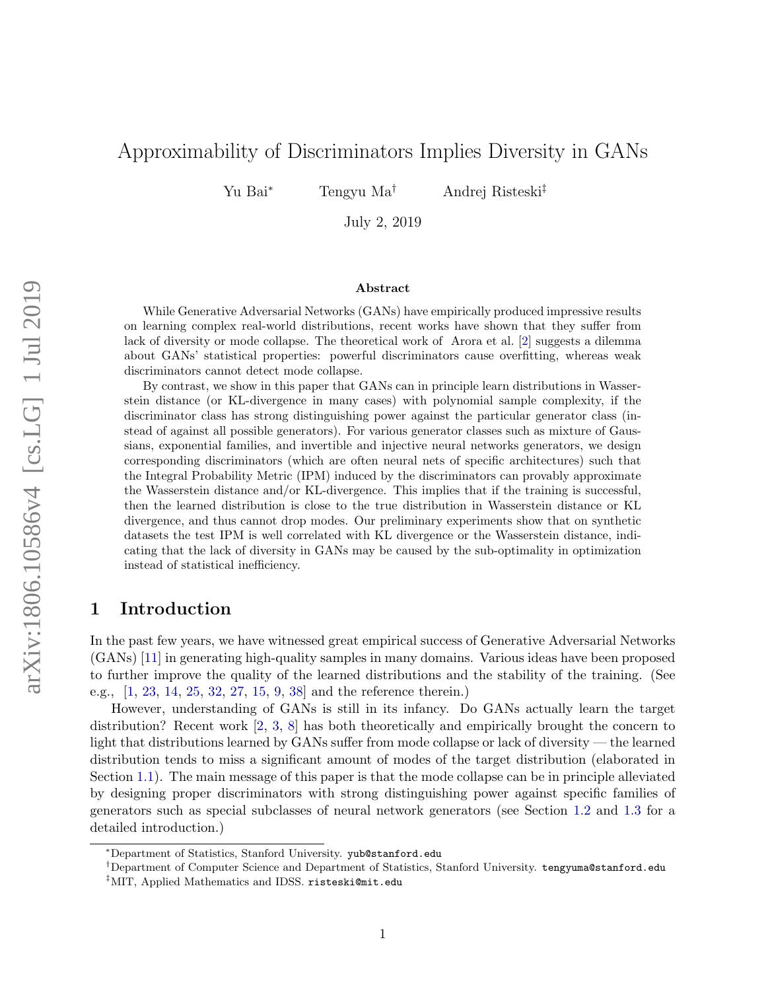# Approximability of Discriminators Implies Diversity in GANs

Yu Bai<sup>∗</sup> Tengyu Ma† Andrej Risteski‡

July 2, 2019

#### Abstract

While Generative Adversarial Networks (GANs) have empirically produced impressive results on learning complex real-world distributions, recent works have shown that they suffer from lack of diversity or mode collapse. The theoretical work of Arora et al. [\[2\]](#page-11-0) suggests a dilemma about GANs' statistical properties: powerful discriminators cause overfitting, whereas weak discriminators cannot detect mode collapse.

By contrast, we show in this paper that GANs can in principle learn distributions in Wasserstein distance (or KL-divergence in many cases) with polynomial sample complexity, if the discriminator class has strong distinguishing power against the particular generator class (instead of against all possible generators). For various generator classes such as mixture of Gaussians, exponential families, and invertible and injective neural networks generators, we design corresponding discriminators (which are often neural nets of specific architectures) such that the Integral Probability Metric (IPM) induced by the discriminators can provably approximate the Wasserstein distance and/or KL-divergence. This implies that if the training is successful, then the learned distribution is close to the true distribution in Wasserstein distance or KL divergence, and thus cannot drop modes. Our preliminary experiments show that on synthetic datasets the test IPM is well correlated with KL divergence or the Wasserstein distance, indicating that the lack of diversity in GANs may be caused by the sub-optimality in optimization instead of statistical inefficiency.

# 1 Introduction

In the past few years, we have witnessed great empirical success of Generative Adversarial Networks (GANs) [\[11\]](#page-12-0) in generating high-quality samples in many domains. Various ideas have been proposed to further improve the quality of the learned distributions and the stability of the training. (See e.g., [\[1,](#page-11-1) [23,](#page-13-0) [14,](#page-12-1) [25,](#page-13-1) [32,](#page-13-2) [27,](#page-13-3) [15,](#page-12-2) [9,](#page-12-3) [38\]](#page-13-4) and the reference therein.)

However, understanding of GANs is still in its infancy. Do GANs actually learn the target distribution? Recent work [\[2,](#page-11-0) [3,](#page-11-2) [8\]](#page-12-4) has both theoretically and empirically brought the concern to light that distributions learned by GANs suffer from mode collapse or lack of diversity — the learned distribution tends to miss a significant amount of modes of the target distribution (elaborated in Section [1.1\)](#page-1-0). The main message of this paper is that the mode collapse can be in principle alleviated by designing proper discriminators with strong distinguishing power against specific families of generators such as special subclasses of neural network generators (see Section [1.2](#page-2-0) and [1.3](#page-2-1) for a detailed introduction.)

<sup>∗</sup>Department of Statistics, Stanford University. <yub@stanford.edu>

<sup>†</sup>Department of Computer Science and Department of Statistics, Stanford University. <tengyuma@stanford.edu>

<sup>‡</sup>MIT, Applied Mathematics and IDSS. <risteski@mit.edu>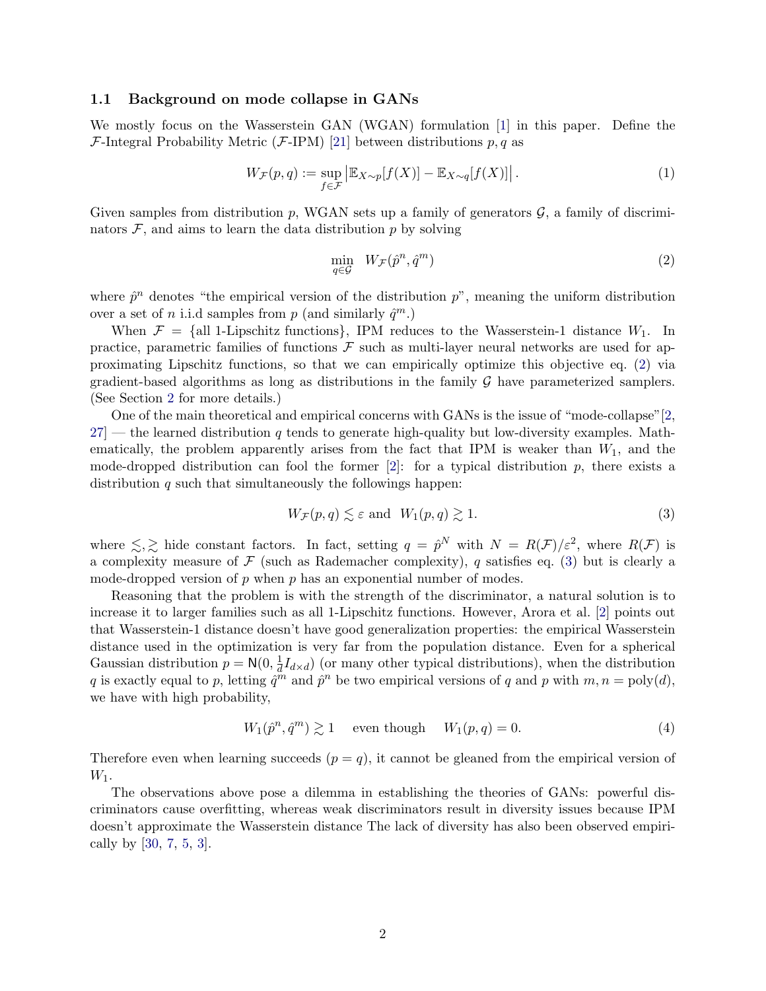### <span id="page-1-0"></span>1.1 Background on mode collapse in GANs

We mostly focus on the Wasserstein GAN (WGAN) formulation [\[1\]](#page-11-1) in this paper. Define the F-Integral Probability Metric (F-IPM) [\[21\]](#page-12-5) between distributions  $p, q$  as

$$
W_{\mathcal{F}}(p,q) := \sup_{f \in \mathcal{F}} \left| \mathbb{E}_{X \sim p}[f(X)] - \mathbb{E}_{X \sim q}[f(X)] \right|.
$$
 (1)

Given samples from distribution p, WGAN sets up a family of generators  $\mathcal{G}$ , a family of discriminators  $\mathcal F$ , and aims to learn the data distribution  $p$  by solving

<span id="page-1-3"></span><span id="page-1-1"></span>
$$
\min_{q \in \mathcal{G}} \quad W_{\mathcal{F}}(\hat{p}^n, \hat{q}^m) \tag{2}
$$

where  $\hat{p}^n$  denotes "the empirical version of the distribution  $p$ ", meaning the uniform distribution over a set of *n* i.i.d samples from *p* (and similarly  $\hat{q}^m$ .)

When  $\mathcal{F} = \{\text{all 1-Lipschitz functions}\}\$ , IPM reduces to the Wasserstein-1 distance  $W_1$ . In practice, parametric families of functions  $\mathcal F$  such as multi-layer neural networks are used for approximating Lipschitz functions, so that we can empirically optimize this objective eq. [\(2\)](#page-1-1) via gradient-based algorithms as long as distributions in the family  $\mathcal G$  have parameterized samplers. (See Section [2](#page-4-0) for more details.)

One of the main theoretical and empirical concerns with GANs is the issue of "mode-collapse"[\[2,](#page-11-0)  $27$  – the learned distribution q tends to generate high-quality but low-diversity examples. Mathematically, the problem apparently arises from the fact that IPM is weaker than  $W_1$ , and the mode-dropped distribution can fool the former [\[2\]](#page-11-0): for a typical distribution  $p$ , there exists a distribution  $q$  such that simultaneously the followings happen:

<span id="page-1-2"></span>
$$
W_{\mathcal{F}}(p,q) \lesssim \varepsilon \text{ and } W_1(p,q) \gtrsim 1.
$$
 (3)

where  $\leq, \geq$  hide constant factors. In fact, setting  $q = \hat{p}^N$  with  $N = R(\mathcal{F})/\varepsilon^2$ , where  $R(\mathcal{F})$  is a complexity measure of  $\mathcal F$  (such as Rademacher complexity), q satisfies eq. [\(3\)](#page-1-2) but is clearly a mode-dropped version of  $p$  when  $p$  has an exponential number of modes.

Reasoning that the problem is with the strength of the discriminator, a natural solution is to increase it to larger families such as all 1-Lipschitz functions. However, Arora et al. [\[2\]](#page-11-0) points out that Wasserstein-1 distance doesn't have good generalization properties: the empirical Wasserstein distance used in the optimization is very far from the population distance. Even for a spherical Gaussian distribution  $p = N(0, \frac{1}{d})$  $\frac{1}{d}I_{d\times d}$ ) (or many other typical distributions), when the distribution q is exactly equal to p, letting  $\hat{q}^m$  and  $\hat{p}^n$  be two empirical versions of q and p with  $m, n = \text{poly}(d)$ , we have with high probability,

$$
W_1(\hat{p}^n, \hat{q}^m) \gtrsim 1 \quad \text{even though} \quad W_1(p, q) = 0. \tag{4}
$$

Therefore even when learning succeeds  $(p = q)$ , it cannot be gleaned from the empirical version of  $W_1$ .

The observations above pose a dilemma in establishing the theories of GANs: powerful discriminators cause overfitting, whereas weak discriminators result in diversity issues because IPM doesn't approximate the Wasserstein distance The lack of diversity has also been observed empirically by [\[30,](#page-13-5) [7,](#page-12-6) [5,](#page-12-7) [3\]](#page-11-2).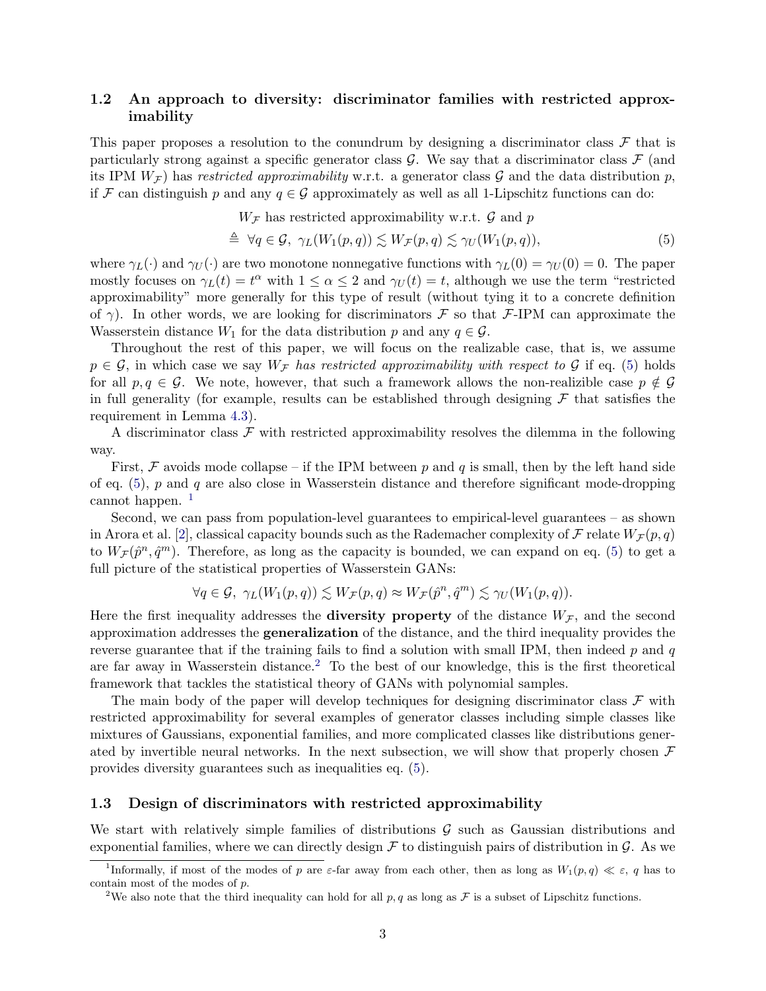## <span id="page-2-0"></span>1.2 An approach to diversity: discriminator families with restricted approximability

This paper proposes a resolution to the conundrum by designing a discriminator class  $\mathcal F$  that is particularly strong against a specific generator class  $\mathcal{G}$ . We say that a discriminator class  $\mathcal{F}$  (and its IPM  $W_{\mathcal{F}}$  has restricted approximability w.r.t. a generator class G and the data distribution p, if F can distinguish p and any  $q \in \mathcal{G}$  approximately as well as all 1-Lipschitz functions can do:

<span id="page-2-2"></span> $W_{\mathcal{F}}$  has restricted approximability w.r.t.  $\mathcal G$  and  $p$ 

$$
\triangleq \forall q \in \mathcal{G}, \ \gamma_L(W_1(p,q)) \lesssim W_{\mathcal{F}}(p,q) \lesssim \gamma_U(W_1(p,q)),\tag{5}
$$

where  $\gamma_L(\cdot)$  and  $\gamma_U(\cdot)$  are two monotone nonnegative functions with  $\gamma_L(0) = \gamma_U(0) = 0$ . The paper mostly focuses on  $\gamma_L(t) = t^{\alpha}$  with  $1 \leq \alpha \leq 2$  and  $\gamma_U(t) = t$ , although we use the term "restricted" approximability" more generally for this type of result (without tying it to a concrete definition of  $\gamma$ ). In other words, we are looking for discriminators F so that F-IPM can approximate the Wasserstein distance  $W_1$  for the data distribution p and any  $q \in \mathcal{G}$ .

Throughout the rest of this paper, we will focus on the realizable case, that is, we assume  $p \in \mathcal{G}$ , in which case we say  $W_{\mathcal{F}}$  has restricted approximability with respect to  $\mathcal{G}$  if eq. [\(5\)](#page-2-2) holds for all  $p, q \in \mathcal{G}$ . We note, however, that such a framework allows the non-realizible case  $p \notin \mathcal{G}$ in full generality (for example, results can be established through designing  $\mathcal F$  that satisfies the requirement in Lemma [4.3\)](#page-8-0).

A discriminator class  $\mathcal F$  with restricted approximability resolves the dilemma in the following way.

First,  $\mathcal F$  avoids mode collapse – if the IPM between p and q is small, then by the left hand side of eq.  $(5)$ , p and q are also close in Wasserstein distance and therefore significant mode-dropping cannot happen.<sup>[1](#page-2-3)</sup>

Second, we can pass from population-level guarantees to empirical-level guarantees – as shown in Arora et al. [\[2\]](#page-11-0), classical capacity bounds such as the Rademacher complexity of  $\mathcal F$  relate  $W_{\mathcal F}(p,q)$ to  $W_{\mathcal{F}}(\hat{p}^n, \hat{q}^m)$ . Therefore, as long as the capacity is bounded, we can expand on eq. [\(5\)](#page-2-2) to get a full picture of the statistical properties of Wasserstein GANs:

$$
\forall q \in \mathcal{G}, \ \gamma_L(W_1(p,q)) \lesssim W_{\mathcal{F}}(p,q) \approx W_{\mathcal{F}}(\hat{p}^n, \hat{q}^m) \lesssim \gamma_U(W_1(p,q)).
$$

Here the first inequality addresses the **diversity property** of the distance  $W_{\mathcal{F}}$ , and the second approximation addresses the generalization of the distance, and the third inequality provides the reverse guarantee that if the training fails to find a solution with small IPM, then indeed  $p$  and  $q$ are far away in Wasserstein distance.<sup>[2](#page-2-4)</sup> To the best of our knowledge, this is the first theoretical framework that tackles the statistical theory of GANs with polynomial samples.

The main body of the paper will develop techniques for designing discriminator class  $\mathcal F$  with restricted approximability for several examples of generator classes including simple classes like mixtures of Gaussians, exponential families, and more complicated classes like distributions generated by invertible neural networks. In the next subsection, we will show that properly chosen  $\mathcal F$ provides diversity guarantees such as inequalities eq. [\(5\)](#page-2-2).

### <span id="page-2-1"></span>1.3 Design of discriminators with restricted approximability

We start with relatively simple families of distributions  $\mathcal G$  such as Gaussian distributions and exponential families, where we can directly design  $\mathcal F$  to distinguish pairs of distribution in  $\mathcal G$ . As we

<span id="page-2-3"></span><sup>&</sup>lt;sup>1</sup>Informally, if most of the modes of p are  $\varepsilon$ -far away from each other, then as long as  $W_1(p,q) \ll \varepsilon$ , q has to contain most of the modes of p.

<span id="page-2-4"></span><sup>&</sup>lt;sup>2</sup>We also note that the third inequality can hold for all  $p, q$  as long as  $\mathcal F$  is a subset of Lipschitz functions.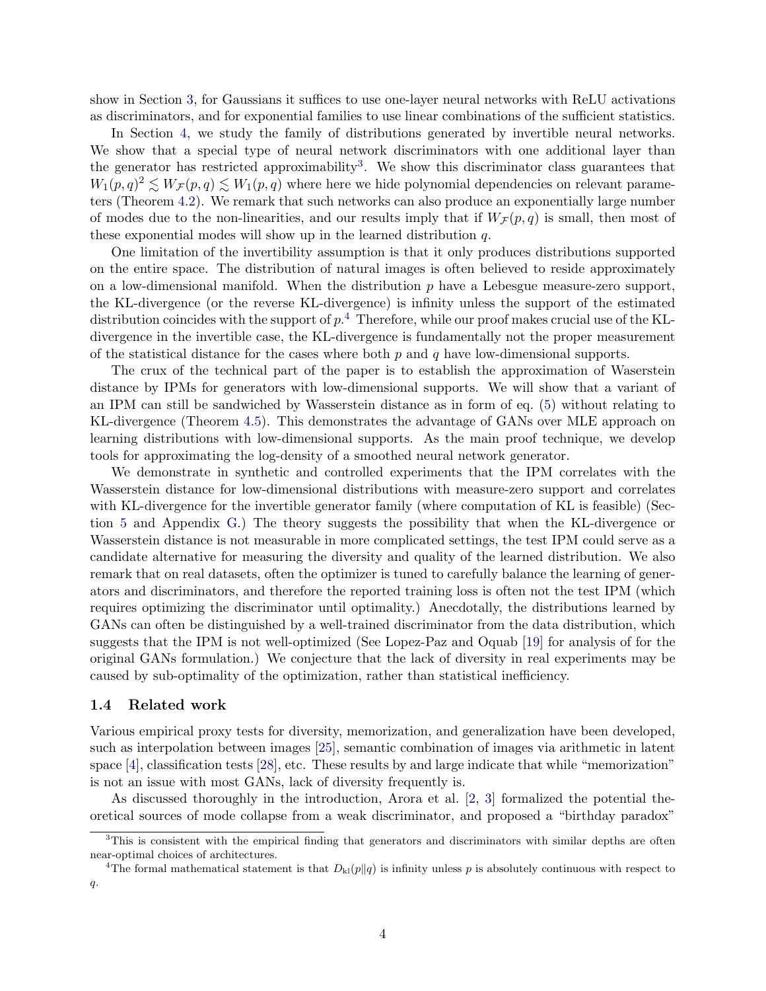show in Section [3,](#page-5-0) for Gaussians it suffices to use one-layer neural networks with ReLU activations as discriminators, and for exponential families to use linear combinations of the sufficient statistics.

In Section [4,](#page-6-0) we study the family of distributions generated by invertible neural networks. We show that a special type of neural network discriminators with one additional layer than the generator has restricted approximability<sup>[3](#page-3-0)</sup>. We show this discriminator class guarantees that  $W_1(p,q)^2 \lesssim W_{\mathcal{F}}(p,q) \lesssim W_1(p,q)$  where here we hide polynomial dependencies on relevant parameters (Theorem [4.2\)](#page-7-0). We remark that such networks can also produce an exponentially large number of modes due to the non-linearities, and our results imply that if  $W_{\mathcal{F}}(p,q)$  is small, then most of these exponential modes will show up in the learned distribution  $q$ .

One limitation of the invertibility assumption is that it only produces distributions supported on the entire space. The distribution of natural images is often believed to reside approximately on a low-dimensional manifold. When the distribution  $p$  have a Lebesgue measure-zero support. the KL-divergence (or the reverse KL-divergence) is infinity unless the support of the estimated distribution coincides with the support of  $p$ .<sup>[4](#page-3-1)</sup> Therefore, while our proof makes crucial use of the KLdivergence in the invertible case, the KL-divergence is fundamentally not the proper measurement of the statistical distance for the cases where both  $p$  and  $q$  have low-dimensional supports.

The crux of the technical part of the paper is to establish the approximation of Waserstein distance by IPMs for generators with low-dimensional supports. We will show that a variant of an IPM can still be sandwiched by Wasserstein distance as in form of eq. [\(5\)](#page-2-2) without relating to KL-divergence (Theorem [4.5\)](#page-9-0). This demonstrates the advantage of GANs over MLE approach on learning distributions with low-dimensional supports. As the main proof technique, we develop tools for approximating the log-density of a smoothed neural network generator.

We demonstrate in synthetic and controlled experiments that the IPM correlates with the Wasserstein distance for low-dimensional distributions with measure-zero support and correlates with KL-divergence for the invertible generator family (where computation of KL is feasible) (Section [5](#page-9-1) and Appendix [G.](#page-40-0)) The theory suggests the possibility that when the KL-divergence or Wasserstein distance is not measurable in more complicated settings, the test IPM could serve as a candidate alternative for measuring the diversity and quality of the learned distribution. We also remark that on real datasets, often the optimizer is tuned to carefully balance the learning of generators and discriminators, and therefore the reported training loss is often not the test IPM (which requires optimizing the discriminator until optimality.) Anecdotally, the distributions learned by GANs can often be distinguished by a well-trained discriminator from the data distribution, which suggests that the IPM is not well-optimized (See Lopez-Paz and Oquab [\[19\]](#page-12-8) for analysis of for the original GANs formulation.) We conjecture that the lack of diversity in real experiments may be caused by sub-optimality of the optimization, rather than statistical inefficiency.

#### 1.4 Related work

Various empirical proxy tests for diversity, memorization, and generalization have been developed, such as interpolation between images [\[25\]](#page-13-1), semantic combination of images via arithmetic in latent space [\[4\]](#page-11-3), classification tests [\[28\]](#page-13-6), etc. These results by and large indicate that while "memorization" is not an issue with most GANs, lack of diversity frequently is.

As discussed thoroughly in the introduction, Arora et al. [\[2,](#page-11-0) [3\]](#page-11-2) formalized the potential theoretical sources of mode collapse from a weak discriminator, and proposed a "birthday paradox"

<span id="page-3-0"></span> $3$ This is consistent with the empirical finding that generators and discriminators with similar depths are often near-optimal choices of architectures.

<span id="page-3-1"></span><sup>&</sup>lt;sup>4</sup>The formal mathematical statement is that  $D_{kl}(p||q)$  is infinity unless p is absolutely continuous with respect to q.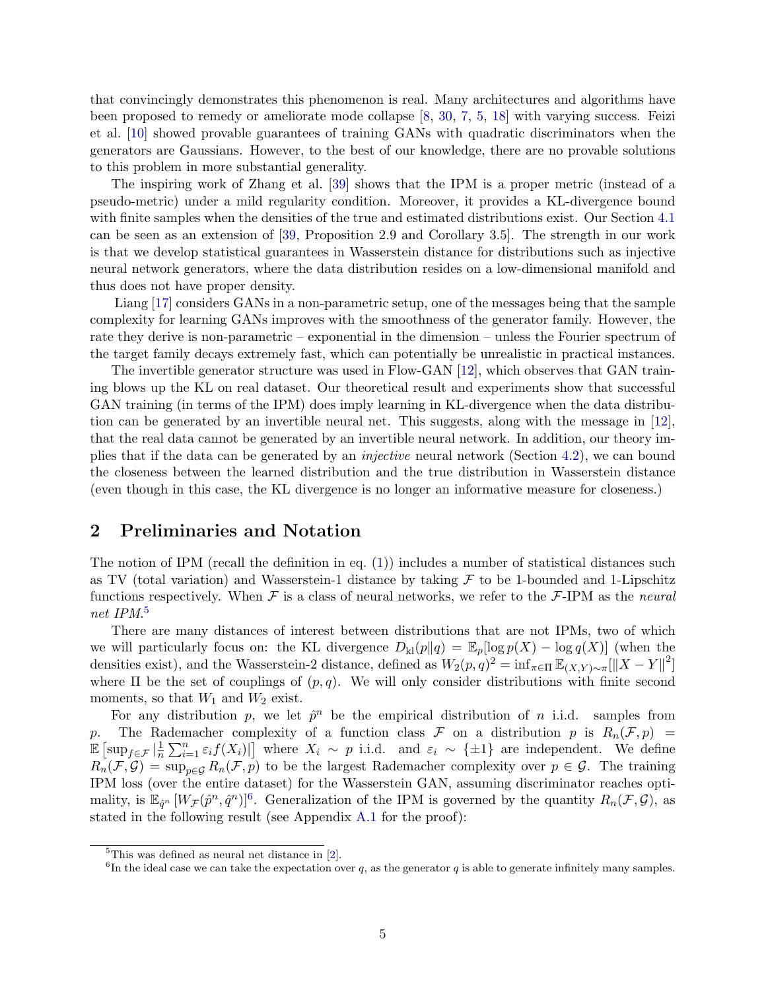that convincingly demonstrates this phenomenon is real. Many architectures and algorithms have been proposed to remedy or ameliorate mode collapse [\[8,](#page-12-4) [30,](#page-13-5) [7,](#page-12-6) [5,](#page-12-7) [18\]](#page-12-9) with varying success. Feizi et al. [\[10\]](#page-12-10) showed provable guarantees of training GANs with quadratic discriminators when the generators are Gaussians. However, to the best of our knowledge, there are no provable solutions to this problem in more substantial generality.

The inspiring work of Zhang et al. [\[39\]](#page-14-0) shows that the IPM is a proper metric (instead of a pseudo-metric) under a mild regularity condition. Moreover, it provides a KL-divergence bound with finite samples when the densities of the true and estimated distributions exist. Our Section [4.1](#page-6-1) can be seen as an extension of [\[39,](#page-14-0) Proposition 2.9 and Corollary 3.5]. The strength in our work is that we develop statistical guarantees in Wasserstein distance for distributions such as injective neural network generators, where the data distribution resides on a low-dimensional manifold and thus does not have proper density.

Liang [\[17\]](#page-12-11) considers GANs in a non-parametric setup, one of the messages being that the sample complexity for learning GANs improves with the smoothness of the generator family. However, the rate they derive is non-parametric – exponential in the dimension – unless the Fourier spectrum of the target family decays extremely fast, which can potentially be unrealistic in practical instances.

The invertible generator structure was used in Flow-GAN [\[12\]](#page-12-12), which observes that GAN training blows up the KL on real dataset. Our theoretical result and experiments show that successful GAN training (in terms of the IPM) does imply learning in KL-divergence when the data distribution can be generated by an invertible neural net. This suggests, along with the message in [\[12\]](#page-12-12), that the real data cannot be generated by an invertible neural network. In addition, our theory implies that if the data can be generated by an injective neural network (Section [4.2\)](#page-8-1), we can bound the closeness between the learned distribution and the true distribution in Wasserstein distance (even though in this case, the KL divergence is no longer an informative measure for closeness.)

## <span id="page-4-0"></span>2 Preliminaries and Notation

The notion of IPM (recall the definition in eq.  $(1)$ ) includes a number of statistical distances such as TV (total variation) and Wasserstein-1 distance by taking  $F$  to be 1-bounded and 1-Lipschitz functions respectively. When  $\mathcal F$  is a class of neural networks, we refer to the  $\mathcal F$ -IPM as the neural net IPM. [5](#page-4-1)

There are many distances of interest between distributions that are not IPMs, two of which we will particularly focus on: the KL divergence  $D_{\text{kl}}(p||q) = \mathbb{E}_p[\log p(X) - \log q(X)]$  (when the densities exist), and the Wasserstein-2 distance, defined as  $W_2(p,q)^2 = \inf_{\pi \in \Pi} \mathbb{E}_{(X,Y) \sim \pi} [\|X - Y\|^2]$ where  $\Pi$  be the set of couplings of  $(p, q)$ . We will only consider distributions with finite second moments, so that  $W_1$  and  $W_2$  exist.

For any distribution p, we let  $\hat{p}^n$  be the empirical distribution of n i.i.d. samples from p. The Rademacher complexity of a function class  $\mathcal F$  on a distribution p is  $R_n(\mathcal F, p)$  =  $\mathbb{E} \left[ \sup_{f \in \mathcal{F}} \left| \frac{1}{n} \right. \right]$  $\frac{1}{n}\sum_{i=1}^n \varepsilon_i f(X_i)$  where  $X_i \sim p$  i.i.d. and  $\varepsilon_i \sim {\pm 1}$  are independent. We define  $R_n(\mathcal{F}, \mathcal{G}) = \sup_{p \in \mathcal{G}} R_n(\mathcal{F}, p)$  to be the largest Rademacher complexity over  $p \in \mathcal{G}$ . The training IPM loss (over the entire dataset) for the Wasserstein GAN, assuming discriminator reaches optimality, is  $\mathbb{E}_{\hat{q}^n}[W_{\mathcal{F}}(\hat{p}^n, \hat{q}^n)]^6$  $\mathbb{E}_{\hat{q}^n}[W_{\mathcal{F}}(\hat{p}^n, \hat{q}^n)]^6$ . Generalization of the IPM is governed by the quantity  $R_n(\mathcal{F}, \mathcal{G})$ , as stated in the following result (see Appendix [A.1](#page-14-1) for the proof):

<span id="page-4-3"></span><span id="page-4-1"></span><sup>5</sup>This was defined as neural net distance in [\[2\]](#page-11-0).

<span id="page-4-2"></span><sup>&</sup>lt;sup>6</sup>In the ideal case we can take the expectation over q, as the generator q is able to generate infinitely many samples.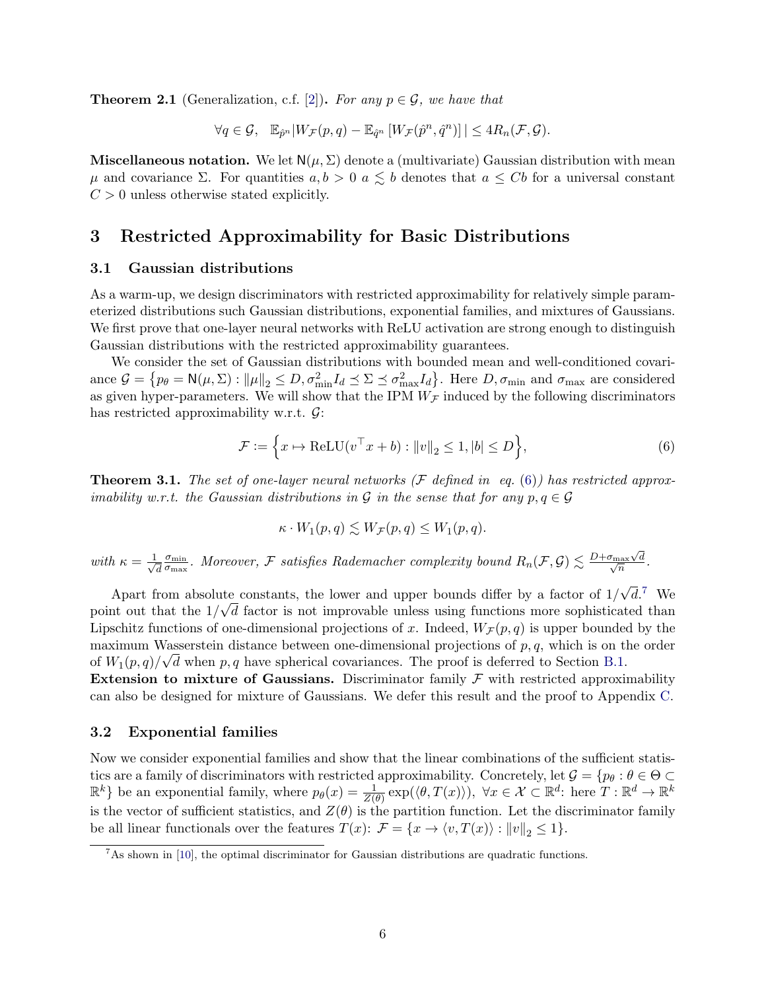**Theorem 2.1** (Generalization, c.f. [\[2\]](#page-11-0)). For any  $p \in \mathcal{G}$ , we have that

$$
\forall q \in \mathcal{G}, \quad \mathbb{E}_{\hat{p}^n} |W_{\mathcal{F}}(p,q) - \mathbb{E}_{\hat{q}^n} [W_{\mathcal{F}}(\hat{p}^n, \hat{q}^n)]| \leq 4R_n(\mathcal{F}, \mathcal{G}).
$$

**Miscellaneous notation.** We let  $N(\mu, \Sigma)$  denote a (multivariate) Gaussian distribution with mean  $\mu$  and covariance Σ. For quantities  $a, b > 0$  a  $\leq b$  denotes that  $a \leq Cb$  for a universal constant  $C > 0$  unless otherwise stated explicitly.

# <span id="page-5-0"></span>3 Restricted Approximability for Basic Distributions

### 3.1 Gaussian distributions

As a warm-up, we design discriminators with restricted approximability for relatively simple parameterized distributions such Gaussian distributions, exponential families, and mixtures of Gaussians. We first prove that one-layer neural networks with ReLU activation are strong enough to distinguish Gaussian distributions with the restricted approximability guarantees.

We consider the set of Gaussian distributions with bounded mean and well-conditioned covariance  $\mathcal{G} = \{ p_\theta = \mathsf{N}(\mu, \Sigma) : ||\mu||_2 \leq D, \sigma_{\min}^2 I_d \leq \Sigma \leq \sigma_{\max}^2 I_d \}.$  Here  $D, \sigma_{\min}$  and  $\sigma_{\max}$  are considered as given hyper-parameters. We will show that the IPM  $W_{\mathcal{F}}$  induced by the following discriminators has restricted approximability w.r.t.  $\mathcal{G}$ :

<span id="page-5-1"></span>
$$
\mathcal{F} := \left\{ x \mapsto \text{ReLU}(v^{\top} x + b) : ||v||_2 \le 1, |b| \le D \right\},\tag{6}
$$

<span id="page-5-3"></span>**Theorem 3.1.** The set of one-layer neural networks (F defined in eq. [\(6\)](#page-5-1)) has restricted approximability w.r.t. the Gaussian distributions in G in the sense that for any  $p, q \in \mathcal{G}$ 

$$
\kappa \cdot W_1(p,q) \lesssim W_{\mathcal{F}}(p,q) \leq W_1(p,q).
$$

with  $\kappa = \frac{1}{\sqrt{2}}$ d  $\sigma_{\rm min}$  $\frac{\sigma_{\min}}{\sigma_{\max}}$ . Moreover, F satisfies Rademacher complexity bound  $R_n(\mathcal{F}, \mathcal{G}) \lesssim \frac{D + \sigma_{\max} \sqrt{n}}{\sqrt{n}}$  $\sigma_{\rm max} \sqrt{d}$  $\frac{\ln x \sqrt{d}}{n}$ .

Apart from absolute constants, the lower and upper bounds differ by a factor of 1/ √ the constants, the lower and upper bounds differ by a factor of  $1/\sqrt{d}$ .<sup>[7](#page-5-2)</sup> We point out that the  $1/\sqrt{d}$  factor is not improvable unless using functions more sophisticated than Lipschitz functions of one-dimensional projections of x. Indeed,  $W_{\mathcal{F}}(p,q)$  is upper bounded by the maximum Wasserstein distance between one-dimensional projections of  $p, q$ , which is on the order of  $W_1(p,q)/\sqrt{d}$  when p, q have spherical covariances. The proof is deferred to Section [B.1.](#page-14-2)

Extension to mixture of Gaussians. Discriminator family  $\mathcal F$  with restricted approximability can also be designed for mixture of Gaussians. We defer this result and the proof to Appendix [C.](#page-18-0)

### 3.2 Exponential families

Now we consider exponential families and show that the linear combinations of the sufficient statistics are a family of discriminators with restricted approximability. Concretely, let  $\mathcal{G} = \{p_\theta : \theta \in \Theta \subset \Theta\}$  $\mathbb{R}^k$  be an exponential family, where  $p_\theta(x) = \frac{1}{Z(\theta)} \exp(\langle \theta, T(x) \rangle)$ ,  $\forall x \in \mathcal{X} \subset \mathbb{R}^d$ : here  $T : \mathbb{R}^d \to \mathbb{R}^k$ is the vector of sufficient statistics, and  $Z(\theta)$  is the partition function. Let the discriminator family be all linear functionals over the features  $T(x): \mathcal{F} = \{x \to \langle v, T(x) \rangle : ||v||_2 \leq 1\}.$ 

<span id="page-5-4"></span><span id="page-5-2"></span> ${}^{7}$ As shown in [\[10\]](#page-12-10), the optimal discriminator for Gaussian distributions are quadratic functions.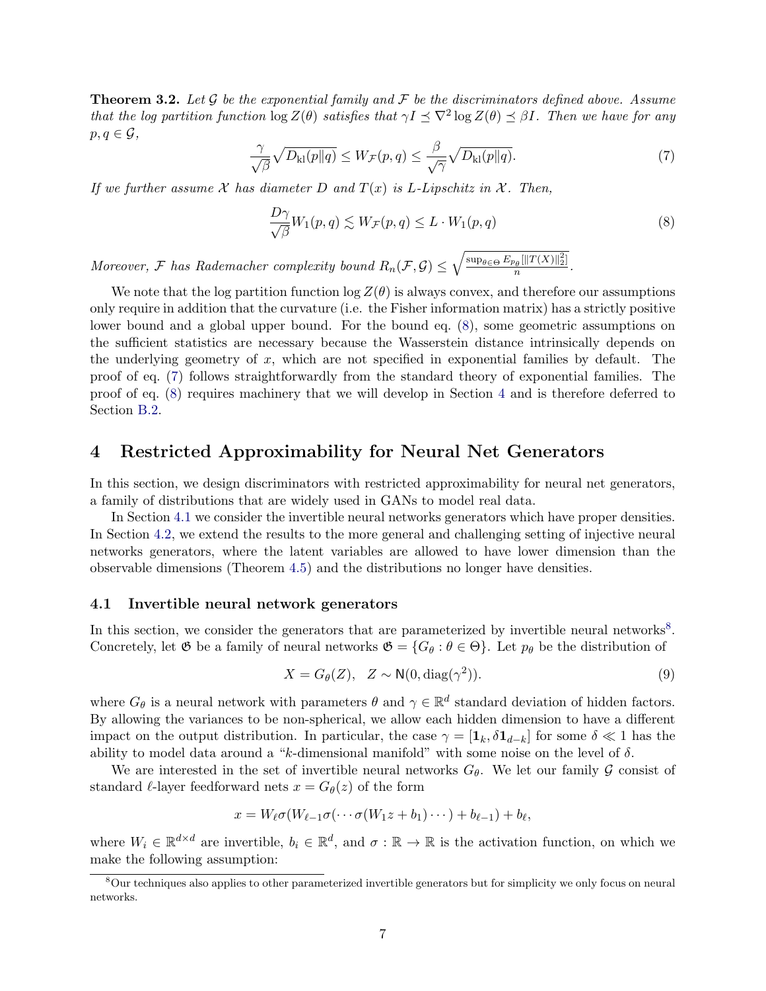**Theorem 3.2.** Let G be the exponential family and F be the discriminators defined above. Assume that the log partition function  $\log Z(\theta)$  satisfies that  $\gamma I \preceq \nabla^2 \log Z(\theta) \preceq \beta I$ . Then we have for any  $p, q \in \mathcal{G}$ ,

<span id="page-6-3"></span>
$$
\frac{\gamma}{\sqrt{\beta}}\sqrt{D_{\mathrm{kl}}(p\|q)} \le W_{\mathcal{F}}(p,q) \le \frac{\beta}{\sqrt{\gamma}}\sqrt{D_{\mathrm{kl}}(p\|q)}.\tag{7}
$$

If we further assume  $\mathcal X$  has diameter D and  $T(x)$  is L-Lipschitz in  $\mathcal X$ . Then,

<span id="page-6-2"></span>
$$
\frac{D\gamma}{\sqrt{\beta}}W_1(p,q) \lesssim W_{\mathcal{F}}(p,q) \le L \cdot W_1(p,q) \tag{8}
$$

Moreover, F has Rademacher complexity bound  $R_n(\mathcal{F}, \mathcal{G}) \leq \sqrt{\frac{\sup_{\theta \in \Theta} E_{p_\theta}[||T(X)||_2^2]}{n}}$  $\frac{n}{n}$ .

We note that the log partition function  $\log Z(\theta)$  is always convex, and therefore our assumptions only require in addition that the curvature (i.e. the Fisher information matrix) has a strictly positive lower bound and a global upper bound. For the bound eq. [\(8\)](#page-6-2), some geometric assumptions on the sufficient statistics are necessary because the Wasserstein distance intrinsically depends on the underlying geometry of  $x$ , which are not specified in exponential families by default. The proof of eq. [\(7\)](#page-6-3) follows straightforwardly from the standard theory of exponential families. The proof of eq. [\(8\)](#page-6-2) requires machinery that we will develop in Section [4](#page-6-0) and is therefore deferred to Section [B.2.](#page-17-0)

## <span id="page-6-0"></span>4 Restricted Approximability for Neural Net Generators

In this section, we design discriminators with restricted approximability for neural net generators, a family of distributions that are widely used in GANs to model real data.

In Section [4.1](#page-6-1) we consider the invertible neural networks generators which have proper densities. In Section [4.2,](#page-8-1) we extend the results to the more general and challenging setting of injective neural networks generators, where the latent variables are allowed to have lower dimension than the observable dimensions (Theorem [4.5\)](#page-9-0) and the distributions no longer have densities.

### <span id="page-6-1"></span>4.1 Invertible neural network generators

In this section, we consider the generators that are parameterized by invertible neural networks<sup>[8](#page-6-4)</sup>. Concretely, let  $\mathfrak G$  be a family of neural networks  $\mathfrak G = \{G_\theta : \theta \in \Theta\}$ . Let  $p_\theta$  be the distribution of

<span id="page-6-5"></span>
$$
X = G_{\theta}(Z), \quad Z \sim \mathsf{N}(0, \text{diag}(\gamma^2)).
$$
\n(9)

where  $G_{\theta}$  is a neural network with parameters  $\theta$  and  $\gamma \in \mathbb{R}^d$  standard deviation of hidden factors. By allowing the variances to be non-spherical, we allow each hidden dimension to have a different impact on the output distribution. In particular, the case  $\gamma = [\mathbf{1}_k, \delta \mathbf{1}_{d-k}]$  for some  $\delta \ll 1$  has the ability to model data around a "k-dimensional manifold" with some noise on the level of  $\delta$ .

We are interested in the set of invertible neural networks  $G_{\theta}$ . We let our family  $\mathcal G$  consist of standard  $\ell$ -layer feedforward nets  $x = G_{\theta}(z)$  of the form

$$
x = W_{\ell} \sigma(W_{\ell-1} \sigma(\cdots \sigma(W_1 z + b_1) \cdots) + b_{\ell-1}) + b_{\ell},
$$

where  $W_i \in \mathbb{R}^{d \times d}$  are invertible,  $b_i \in \mathbb{R}^d$ , and  $\sigma : \mathbb{R} \to \mathbb{R}$  is the activation function, on which we make the following assumption:

<span id="page-6-6"></span><span id="page-6-4"></span><sup>8</sup>Our techniques also applies to other parameterized invertible generators but for simplicity we only focus on neural networks.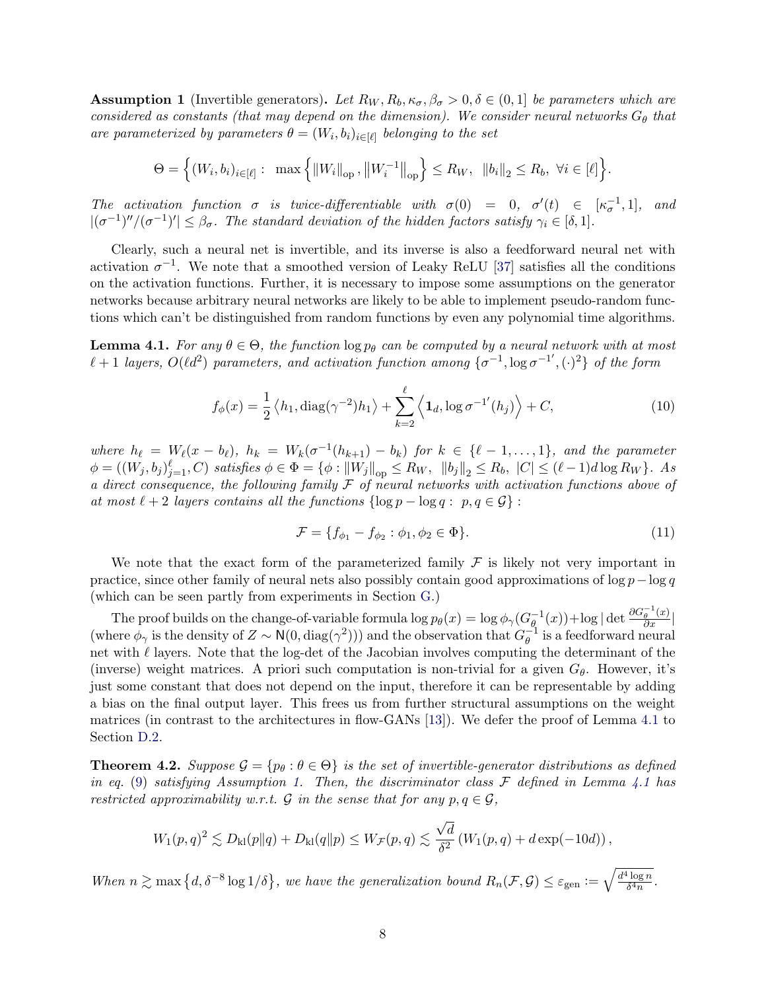**Assumption 1** (Invertible generators). Let  $R_W, R_b, \kappa_{\sigma}, \beta_{\sigma} > 0, \delta \in (0, 1]$  be parameters which are considered as constants (that may depend on the dimension). We consider neural networks  $G_{\theta}$  that are parameterized by parameters  $\theta = (W_i, b_i)_{i \in [\ell]}$  belonging to the set

$$
\Theta = \Big\{ (W_i, b_i)_{i \in [\ell]} : \max \Big\{ ||W_i||_{\text{op}}, ||W_i^{-1}||_{\text{op}} \Big\} \le R_W, ||b_i||_2 \le R_b, \ \forall i \in [\ell] \Big\}.
$$

The activation function  $\sigma$  is twice-differentiable with  $\sigma(0) = 0$ ,  $\sigma'(t) \in [\kappa_{\sigma}^{-1}, 1]$ , and  $|(\sigma^{-1})''/(\sigma^{-1})'| \leq \beta_{\sigma}$ . The standard deviation of the hidden factors satisfy  $\gamma_i \in [\delta,1]$ .

Clearly, such a neural net is invertible, and its inverse is also a feedforward neural net with activation  $\sigma^{-1}$ . We note that a smoothed version of Leaky ReLU [\[37\]](#page-13-7) satisfies all the conditions on the activation functions. Further, it is necessary to impose some assumptions on the generator networks because arbitrary neural networks are likely to be able to implement pseudo-random functions which can't be distinguished from random functions by even any polynomial time algorithms.

<span id="page-7-1"></span>**Lemma 4.1.** For any  $\theta \in \Theta$ , the function  $\log p_{\theta}$  can be computed by a neural network with at most  $\ell + 1$  layers,  $O(\ell d^2)$  parameters, and activation function among  $\{\sigma^{-1}, \log \sigma^{-1'}, (\cdot)^2\}$  of the form

<span id="page-7-2"></span>
$$
f_{\phi}(x) = \frac{1}{2} \left\langle h_1, \text{diag}(\gamma^{-2}) h_1 \right\rangle + \sum_{k=2}^{\ell} \left\langle \mathbf{1}_d, \log \sigma^{-1}(h_j) \right\rangle + C,\tag{10}
$$

where  $h_{\ell} = W_{\ell}(x - b_{\ell}), h_k = W_k(\sigma^{-1}(h_{k+1}) - b_k)$  for  $k \in {\ell - 1, ..., 1}$ , and the parameter  $\phi = ((W_j, b_j)_{j=1}^{\ell}, C)$  satisfies  $\phi \in \Phi = {\phi : ||W_j||}_{op} \le R_W$ ,  $||b_j||_2 \le R_b$ ,  $|C| \le (\ell - 1)d \log R_W$ . As a direct consequence, the following family  $\mathcal F$  of neural networks with activation functions above of at most  $\ell + 2$  layers contains all the functions  $\{\log p - \log q : p, q \in \mathcal{G}\}$ :

<span id="page-7-3"></span>
$$
\mathcal{F} = \{ f_{\phi_1} - f_{\phi_2} : \phi_1, \phi_2 \in \Phi \}. \tag{11}
$$

We note that the exact form of the parameterized family  $\mathcal F$  is likely not very important in practice, since other family of neural nets also possibly contain good approximations of  $\log p - \log q$ (which can be seen partly from experiments in Section [G.](#page-40-0))

The proof builds on the change-of-variable formula  $\log p_{\theta}(x) = \log \phi_{\gamma}(G_{\theta}^{-1})$  $\frac{\partial}{\partial q}^{-1}(x)$  + log | det  $\frac{\partial G_{\theta}^{-1}(x)}{\partial x}$  | (where  $\phi_{\gamma}$  is the density of  $Z \sim \mathsf{N}(0, \text{diag}(\gamma^2))$ ) and the observation that  $G_{\theta}^{-1}$  $_{\theta}^{-1}$  is a feedforward neural net with  $\ell$  layers. Note that the log-det of the Jacobian involves computing the determinant of the (inverse) weight matrices. A priori such computation is non-trivial for a given  $G_{\theta}$ . However, it's just some constant that does not depend on the input, therefore it can be representable by adding a bias on the final output layer. This frees us from further structural assumptions on the weight matrices (in contrast to the architectures in flow-GANs [\[13\]](#page-12-13)). We defer the proof of Lemma [4.1](#page-7-1) to Section [D.2.](#page-23-0)

<span id="page-7-0"></span>**Theorem 4.2.** Suppose  $\mathcal{G} = \{p_\theta : \theta \in \Theta\}$  is the set of invertible-generator distributions as defined in eq. [\(9\)](#page-6-5) satisfying Assumption [1.](#page-6-6) Then, the discriminator class  $\mathcal F$  defined in Lemma [4.1](#page-7-1) has restricted approximability w.r.t.  $\mathcal G$  in the sense that for any  $p, q \in \mathcal G$ ,

$$
W_1(p,q)^2 \lesssim D_{\mathrm{kl}}(p\|q) + D_{\mathrm{kl}}(q\|p) \leq W_{\mathcal{F}}(p,q) \lesssim \frac{\sqrt{d}}{\delta^2} \left(W_1(p,q) + d\exp(-10d)\right),
$$

When  $n \gtrsim \max\left\{d, \delta^{-8} \log 1/\delta\right\}$ , we have the generalization bound  $R_n(\mathcal{F}, \mathcal{G}) \leq \varepsilon_{\text{gen}} := \sqrt{\frac{d^4 \log n}{\delta^4 n}}$  $\frac{\log n}{\delta^4 n}$  .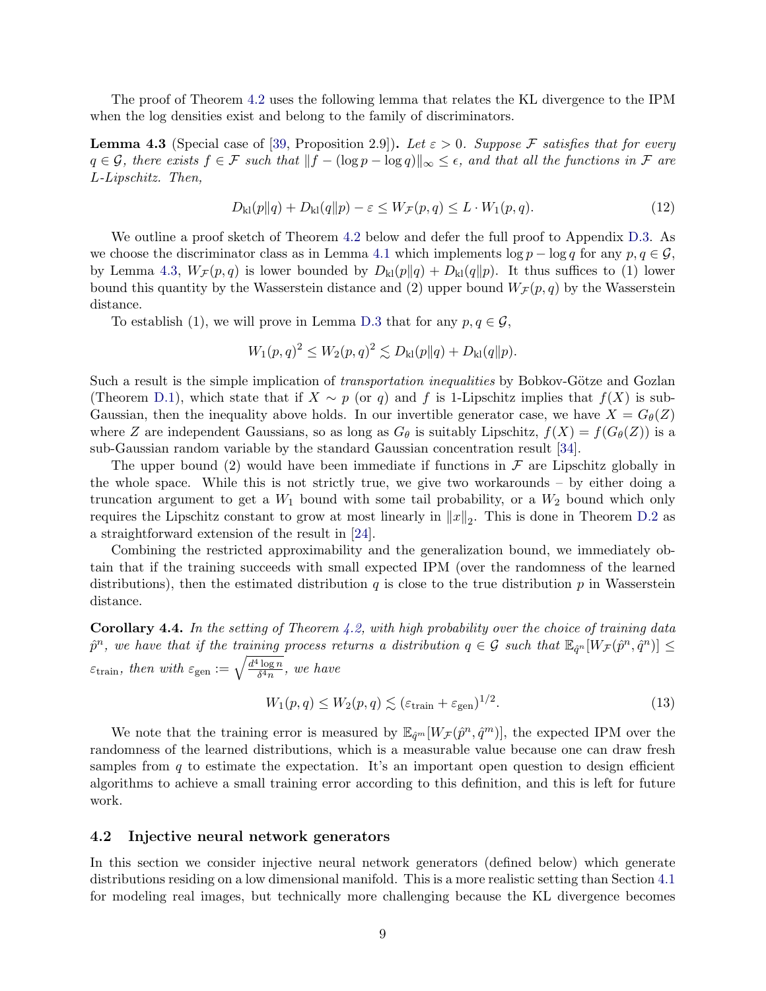The proof of Theorem [4.2](#page-7-0) uses the following lemma that relates the KL divergence to the IPM when the log densities exist and belong to the family of discriminators.

<span id="page-8-0"></span>**Lemma 4.3** (Special case of [\[39,](#page-14-0) Proposition 2.9]). Let  $\varepsilon > 0$ . Suppose F satisfies that for every  $q \in \mathcal{G}$ , there exists  $f \in \mathcal{F}$  such that  $||f - (\log p - \log q)||_{\infty} \leq \epsilon$ , and that all the functions in  $\mathcal{F}$  are L-Lipschitz. Then,

$$
D_{\mathrm{kl}}(p||q) + D_{\mathrm{kl}}(q||p) - \varepsilon \le W_{\mathcal{F}}(p,q) \le L \cdot W_1(p,q). \tag{12}
$$

We outline a proof sketch of Theorem [4.2](#page-7-0) below and defer the full proof to Appendix [D.3.](#page-23-1) As we choose the discriminator class as in Lemma [4.1](#page-7-1) which implements  $\log p - \log q$  for any  $p, q \in \mathcal{G}$ , by Lemma [4.3,](#page-8-0)  $W_{\mathcal{F}}(p,q)$  is lower bounded by  $D_{kl}(p||q) + D_{kl}(q||p)$ . It thus suffices to (1) lower bound this quantity by the Wasserstein distance and (2) upper bound  $W_{\mathcal{F}}(p,q)$  by the Wasserstein distance.

To establish (1), we will prove in Lemma [D.3](#page-23-2) that for any  $p, q \in \mathcal{G}$ ,

$$
W_1(p,q)^2 \le W_2(p,q)^2 \lesssim D_{kl}(p||q) + D_{kl}(q||p).
$$

Such a result is the simple implication of *transportation inequalities* by Bobkov-Götze and Gozlan (Theorem [D.1\)](#page-21-0), which state that if  $X \sim p$  (or q) and f is 1-Lipschitz implies that  $f(X)$  is sub-Gaussian, then the inequality above holds. In our invertible generator case, we have  $X = G_{\theta}(Z)$ where Z are independent Gaussians, so as long as  $G_{\theta}$  is suitably Lipschitz,  $f(X) = f(G_{\theta}(Z))$  is a sub-Gaussian random variable by the standard Gaussian concentration result [\[34\]](#page-13-8).

The upper bound (2) would have been immediate if functions in  $\mathcal F$  are Lipschitz globally in the whole space. While this is not strictly true, we give two workarounds – by either doing a truncation argument to get a  $W_1$  bound with some tail probability, or a  $W_2$  bound which only requires the Lipschitz constant to grow at most linearly in  $||x||_2$ . This is done in Theorem [D.2](#page-21-1) as a straightforward extension of the result in [\[24\]](#page-13-9).

Combining the restricted approximability and the generalization bound, we immediately obtain that if the training succeeds with small expected IPM (over the randomness of the learned distributions), then the estimated distribution  $q$  is close to the true distribution  $p$  in Wasserstein distance.

**Corollary 4.4.** In the setting of Theorem [4.2,](#page-7-0) with high probability over the choice of training data  $\hat{p}^n$ , we have that if the training process returns a distribution  $q \in \mathcal{G}$  such that  $\mathbb{E}_{\hat{q}^n}[W_{\mathcal{F}}(\hat{p}^n, \hat{q}^n)] \leq$  $\varepsilon_{\text{train}}$ , then with  $\varepsilon_{\text{gen}} := \sqrt{\frac{d^4 \log n}{\delta^4 n}}$  $\frac{\log n}{\delta^4 n}$ , we have

$$
W_1(p,q) \le W_2(p,q) \lesssim (\varepsilon_{\text{train}} + \varepsilon_{\text{gen}})^{1/2}.
$$
\n(13)

We note that the training error is measured by  $\mathbb{E}_{\hat{q}^m}[W_{\mathcal{F}}(\hat{p}^n, \hat{q}^m)]$ , the expected IPM over the randomness of the learned distributions, which is a measurable value because one can draw fresh samples from  $q$  to estimate the expectation. It's an important open question to design efficient algorithms to achieve a small training error according to this definition, and this is left for future work.

### <span id="page-8-1"></span>4.2 Injective neural network generators

In this section we consider injective neural network generators (defined below) which generate distributions residing on a low dimensional manifold. This is a more realistic setting than Section [4.1](#page-6-1) for modeling real images, but technically more challenging because the KL divergence becomes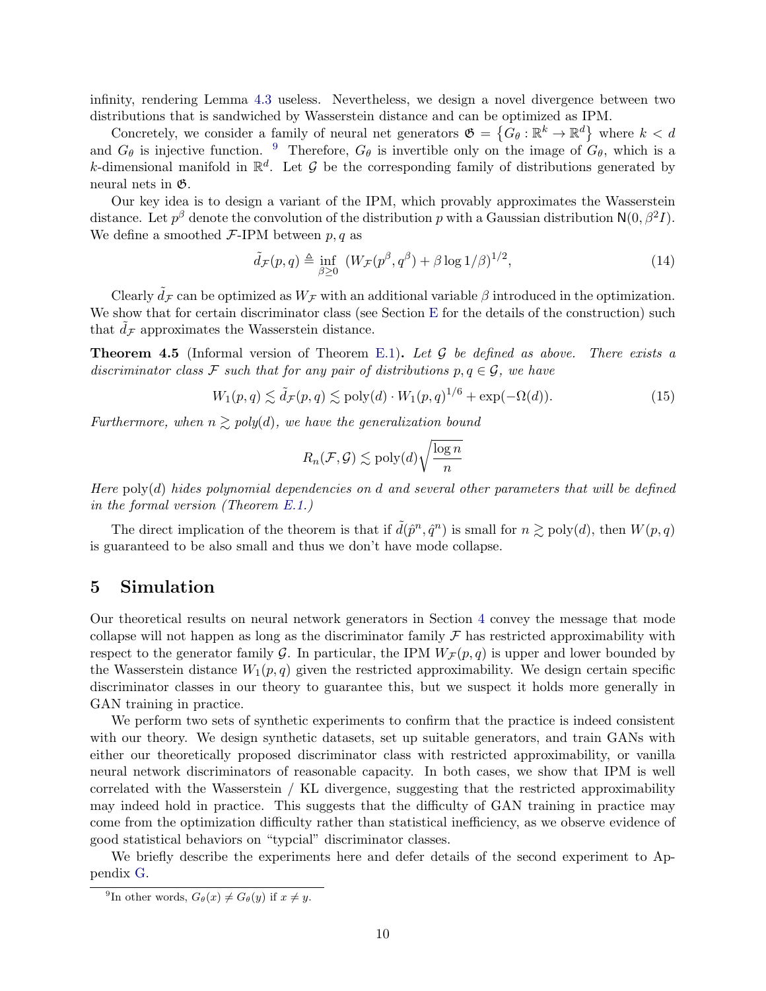infinity, rendering Lemma [4.3](#page-8-0) useless. Nevertheless, we design a novel divergence between two distributions that is sandwiched by Wasserstein distance and can be optimized as IPM.

Concretely, we consider a family of neural net generators  $\mathfrak{G} = \{G_\theta : \mathbb{R}^k \to \mathbb{R}^d\}$  where  $k < d$ and  $G_{\theta}$  is injective function. <sup>[9](#page-9-2)</sup> Therefore,  $G_{\theta}$  is invertible only on the image of  $G_{\theta}$ , which is a k-dimensional manifold in  $\mathbb{R}^d$ . Let G be the corresponding family of distributions generated by neural nets in G.

Our key idea is to design a variant of the IPM, which provably approximates the Wasserstein distance. Let  $p^{\beta}$  denote the convolution of the distribution p with a Gaussian distribution  $N(0, \beta^2 I)$ . We define a smoothed  $\mathcal{F}\text{-IPM}$  between p, q as

$$
\tilde{d}_{\mathcal{F}}(p,q) \triangleq \inf_{\beta \ge 0} \left( W_{\mathcal{F}}(p^{\beta}, q^{\beta}) + \beta \log 1/\beta \right)^{1/2},\tag{14}
$$

Clearly  $\tilde{d}_{\mathcal{F}}$  can be optimized as  $W_{\mathcal{F}}$  with an additional variable  $\beta$  introduced in the optimization. We show that for certain discriminator class (see Section [E](#page-30-0) for the details of the construction) such that  $d_{\mathcal{F}}$  approximates the Wasserstein distance.

<span id="page-9-0"></span>**Theorem 4.5** (Informal version of Theorem [E.1\)](#page-30-1). Let  $\mathcal G$  be defined as above. There exists a discriminator class F such that for any pair of distributions  $p, q \in \mathcal{G}$ , we have

$$
W_1(p,q) \lesssim \tilde{d}_{\mathcal{F}}(p,q) \lesssim \text{poly}(d) \cdot W_1(p,q)^{1/6} + \exp(-\Omega(d)).\tag{15}
$$

Furthermore, when  $n \geq poly(d)$ , we have the generalization bound

$$
R_n(\mathcal{F}, \mathcal{G}) \lesssim \mathrm{poly}(d) \sqrt{\frac{\log n}{n}}
$$

Here  $poly(d)$  hides polynomial dependencies on d and several other parameters that will be defined in the formal version (Theorem [E.1.](#page-30-1))

The direct implication of the theorem is that if  $\tilde{d}(\hat{p}^n, \hat{q}^n)$  is small for  $n \gtrsim \text{poly}(d)$ , then  $W(p, q)$ is guaranteed to be also small and thus we don't have mode collapse.

## <span id="page-9-1"></span>5 Simulation

Our theoretical results on neural network generators in Section [4](#page-6-0) convey the message that mode collapse will not happen as long as the discriminator family  $\mathcal F$  has restricted approximability with respect to the generator family G. In particular, the IPM  $W_{\mathcal{F}}(p,q)$  is upper and lower bounded by the Wasserstein distance  $W_1(p,q)$  given the restricted approximability. We design certain specific discriminator classes in our theory to guarantee this, but we suspect it holds more generally in GAN training in practice.

We perform two sets of synthetic experiments to confirm that the practice is indeed consistent with our theory. We design synthetic datasets, set up suitable generators, and train GANs with either our theoretically proposed discriminator class with restricted approximability, or vanilla neural network discriminators of reasonable capacity. In both cases, we show that IPM is well correlated with the Wasserstein / KL divergence, suggesting that the restricted approximability may indeed hold in practice. This suggests that the difficulty of GAN training in practice may come from the optimization difficulty rather than statistical inefficiency, as we observe evidence of good statistical behaviors on "typcial" discriminator classes.

We briefly describe the experiments here and defer details of the second experiment to Appendix [G.](#page-40-0)

<span id="page-9-2"></span><sup>&</sup>lt;sup>9</sup>In other words,  $G_{\theta}(x) \neq G_{\theta}(y)$  if  $x \neq y$ .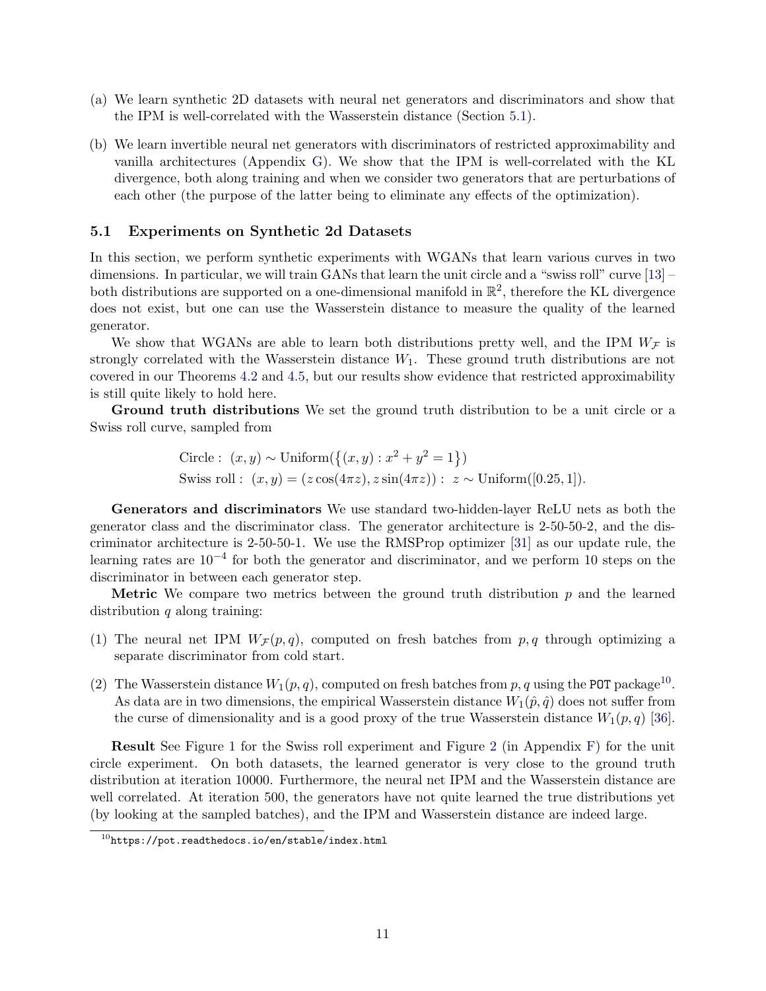- (a) We learn synthetic 2D datasets with neural net generators and discriminators and show that the IPM is well-correlated with the Wasserstein distance (Section [5.1\)](#page-10-0).
- (b) We learn invertible neural net generators with discriminators of restricted approximability and vanilla architectures (Appendix [G\)](#page-40-0). We show that the IPM is well-correlated with the KL divergence, both along training and when we consider two generators that are perturbations of each other (the purpose of the latter being to eliminate any effects of the optimization).

### <span id="page-10-0"></span>5.1 Experiments on Synthetic 2d Datasets

In this section, we perform synthetic experiments with WGANs that learn various curves in two dimensions. In particular, we will train GANs that learn the unit circle and a "swiss roll" curve [\[13\]](#page-12-13) – both distributions are supported on a one-dimensional manifold in  $\mathbb{R}^2$ , therefore the KL divergence does not exist, but one can use the Wasserstein distance to measure the quality of the learned generator.

We show that WGANs are able to learn both distributions pretty well, and the IPM  $W_{\mathcal{F}}$  is strongly correlated with the Wasserstein distance  $W_1$ . These ground truth distributions are not covered in our Theorems [4.2](#page-7-0) and [4.5,](#page-9-0) but our results show evidence that restricted approximability is still quite likely to hold here.

Ground truth distributions We set the ground truth distribution to be a unit circle or a Swiss roll curve, sampled from

Circle: 
$$
(x, y) \sim \text{Uniform}(\{(x, y) : x^2 + y^2 = 1\})
$$
  
Swiss roll:  $(x, y) = (z \cos(4\pi z), z \sin(4\pi z)) : z \sim \text{Uniform}([0.25, 1]).$ 

Generators and discriminators We use standard two-hidden-layer ReLU nets as both the generator class and the discriminator class. The generator architecture is 2-50-50-2, and the discriminator architecture is 2-50-50-1. We use the RMSProp optimizer [\[31\]](#page-13-10) as our update rule, the learning rates are 10−<sup>4</sup> for both the generator and discriminator, and we perform 10 steps on the discriminator in between each generator step.

**Metric** We compare two metrics between the ground truth distribution  $p$  and the learned distribution  $q$  along training:

- (1) The neural net IPM  $W_{\mathcal{F}}(p,q)$ , computed on fresh batches from  $p,q$  through optimizing a separate discriminator from cold start.
- (2) The Wasserstein distance  $W_1(p,q)$ , computed on fresh batches from p, q using the POT package<sup>[10](#page-10-1)</sup>. As data are in two dimensions, the empirical Wasserstein distance  $W_1(\hat{p}, \hat{q})$  does not suffer from the curse of dimensionality and is a good proxy of the true Wasserstein distance  $W_1(p,q)$  [\[36\]](#page-13-11).

Result See Figure [1](#page-11-4) for the Swiss roll experiment and Figure [2](#page-40-1) (in Appendix [F\)](#page-40-2) for the unit circle experiment. On both datasets, the learned generator is very close to the ground truth distribution at iteration 10000. Furthermore, the neural net IPM and the Wasserstein distance are well correlated. At iteration 500, the generators have not quite learned the true distributions yet (by looking at the sampled batches), and the IPM and Wasserstein distance are indeed large.

<span id="page-10-1"></span> $^{10}$ <https://pot.readthedocs.io/en/stable/index.html>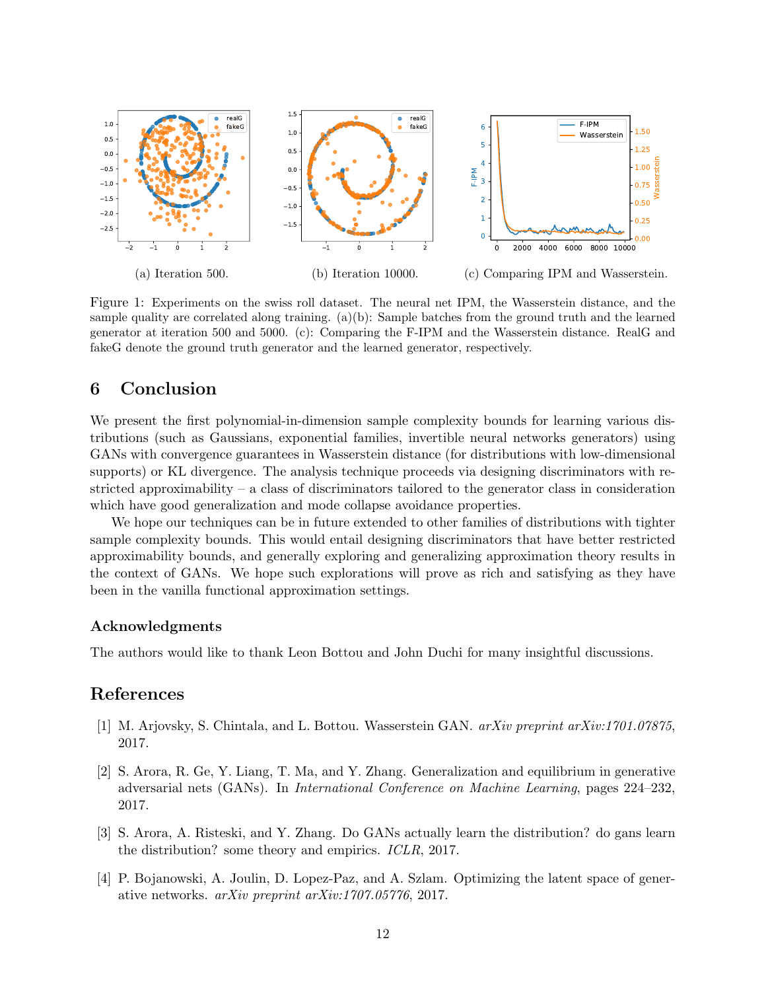<span id="page-11-4"></span>

Figure 1: Experiments on the swiss roll dataset. The neural net IPM, the Wasserstein distance, and the sample quality are correlated along training. (a)(b): Sample batches from the ground truth and the learned generator at iteration 500 and 5000. (c): Comparing the F-IPM and the Wasserstein distance. RealG and fakeG denote the ground truth generator and the learned generator, respectively.

## 6 Conclusion

We present the first polynomial-in-dimension sample complexity bounds for learning various distributions (such as Gaussians, exponential families, invertible neural networks generators) using GANs with convergence guarantees in Wasserstein distance (for distributions with low-dimensional supports) or KL divergence. The analysis technique proceeds via designing discriminators with restricted approximability – a class of discriminators tailored to the generator class in consideration which have good generalization and mode collapse avoidance properties.

We hope our techniques can be in future extended to other families of distributions with tighter sample complexity bounds. This would entail designing discriminators that have better restricted approximability bounds, and generally exploring and generalizing approximation theory results in the context of GANs. We hope such explorations will prove as rich and satisfying as they have been in the vanilla functional approximation settings.

### Acknowledgments

The authors would like to thank Leon Bottou and John Duchi for many insightful discussions.

## References

- <span id="page-11-1"></span>[1] M. Arjovsky, S. Chintala, and L. Bottou. Wasserstein GAN. arXiv preprint arXiv:1701.07875, 2017.
- <span id="page-11-0"></span>[2] S. Arora, R. Ge, Y. Liang, T. Ma, and Y. Zhang. Generalization and equilibrium in generative adversarial nets (GANs). In International Conference on Machine Learning, pages 224–232, 2017.
- <span id="page-11-2"></span>[3] S. Arora, A. Risteski, and Y. Zhang. Do GANs actually learn the distribution? do gans learn the distribution? some theory and empirics. ICLR, 2017.
- <span id="page-11-3"></span>[4] P. Bojanowski, A. Joulin, D. Lopez-Paz, and A. Szlam. Optimizing the latent space of generative networks. arXiv preprint arXiv:1707.05776, 2017.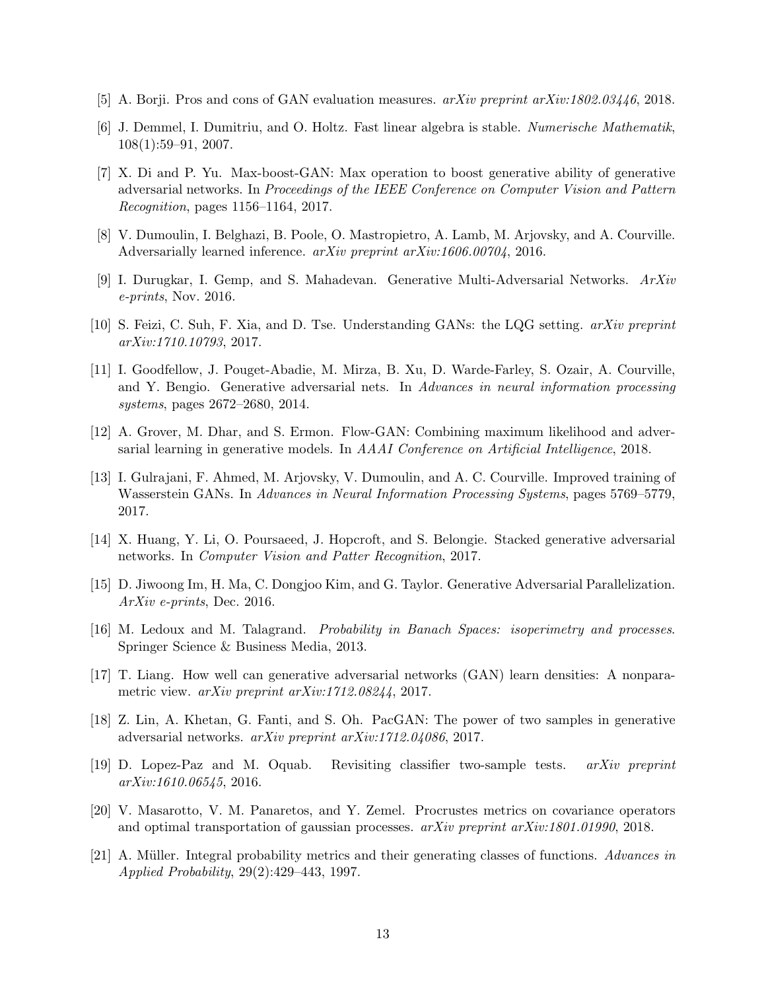- <span id="page-12-7"></span>[5] A. Borji. Pros and cons of GAN evaluation measures. arXiv preprint arXiv:1802.03446, 2018.
- <span id="page-12-16"></span>[6] J. Demmel, I. Dumitriu, and O. Holtz. Fast linear algebra is stable. Numerische Mathematik, 108(1):59–91, 2007.
- <span id="page-12-6"></span>[7] X. Di and P. Yu. Max-boost-GAN: Max operation to boost generative ability of generative adversarial networks. In Proceedings of the IEEE Conference on Computer Vision and Pattern Recognition, pages 1156–1164, 2017.
- <span id="page-12-4"></span>[8] V. Dumoulin, I. Belghazi, B. Poole, O. Mastropietro, A. Lamb, M. Arjovsky, and A. Courville. Adversarially learned inference. arXiv preprint arXiv:1606.00704, 2016.
- <span id="page-12-3"></span>[9] I. Durugkar, I. Gemp, and S. Mahadevan. Generative Multi-Adversarial Networks. ArXiv e-prints, Nov. 2016.
- <span id="page-12-10"></span>[10] S. Feizi, C. Suh, F. Xia, and D. Tse. Understanding GANs: the LQG setting. arXiv preprint arXiv:1710.10793, 2017.
- <span id="page-12-0"></span>[11] I. Goodfellow, J. Pouget-Abadie, M. Mirza, B. Xu, D. Warde-Farley, S. Ozair, A. Courville, and Y. Bengio. Generative adversarial nets. In Advances in neural information processing systems, pages 2672–2680, 2014.
- <span id="page-12-12"></span>[12] A. Grover, M. Dhar, and S. Ermon. Flow-GAN: Combining maximum likelihood and adversarial learning in generative models. In AAAI Conference on Artificial Intelligence, 2018.
- <span id="page-12-13"></span>[13] I. Gulrajani, F. Ahmed, M. Arjovsky, V. Dumoulin, and A. C. Courville. Improved training of Wasserstein GANs. In Advances in Neural Information Processing Systems, pages 5769–5779, 2017.
- <span id="page-12-1"></span>[14] X. Huang, Y. Li, O. Poursaeed, J. Hopcroft, and S. Belongie. Stacked generative adversarial networks. In Computer Vision and Patter Recognition, 2017.
- <span id="page-12-2"></span>[15] D. Jiwoong Im, H. Ma, C. Dongjoo Kim, and G. Taylor. Generative Adversarial Parallelization. ArXiv e-prints, Dec. 2016.
- <span id="page-12-15"></span>[16] M. Ledoux and M. Talagrand. Probability in Banach Spaces: isoperimetry and processes. Springer Science & Business Media, 2013.
- <span id="page-12-11"></span>[17] T. Liang. How well can generative adversarial networks (GAN) learn densities: A nonparametric view. arXiv preprint arXiv:1712.08244, 2017.
- <span id="page-12-9"></span>[18] Z. Lin, A. Khetan, G. Fanti, and S. Oh. PacGAN: The power of two samples in generative adversarial networks. arXiv preprint arXiv:1712.04086, 2017.
- <span id="page-12-8"></span>[19] D. Lopez-Paz and M. Oquab. Revisiting classifier two-sample tests. arXiv preprint arXiv:1610.06545, 2016.
- <span id="page-12-14"></span>[20] V. Masarotto, V. M. Panaretos, and Y. Zemel. Procrustes metrics on covariance operators and optimal transportation of gaussian processes. arXiv preprint arXiv:1801.01990, 2018.
- <span id="page-12-5"></span>[21] A. Müller. Integral probability metrics and their generating classes of functions. Advances in Applied Probability, 29(2):429–443, 1997.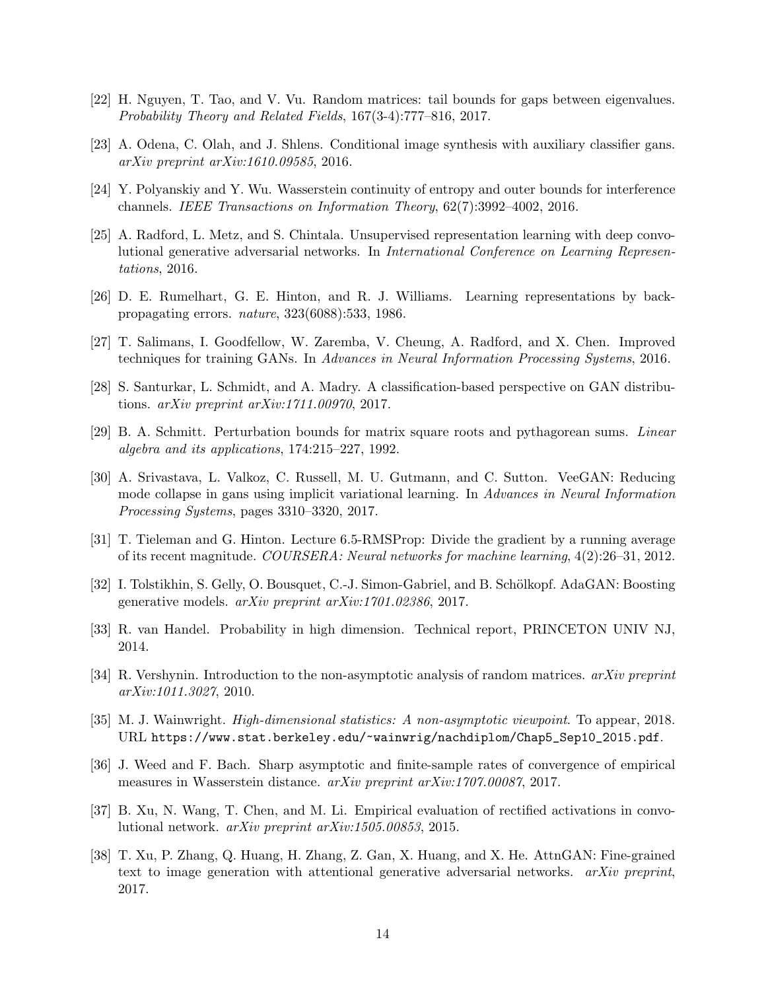- <span id="page-13-16"></span>[22] H. Nguyen, T. Tao, and V. Vu. Random matrices: tail bounds for gaps between eigenvalues. Probability Theory and Related Fields, 167(3-4):777–816, 2017.
- <span id="page-13-0"></span>[23] A. Odena, C. Olah, and J. Shlens. Conditional image synthesis with auxiliary classifier gans. arXiv preprint arXiv:1610.09585, 2016.
- <span id="page-13-9"></span>[24] Y. Polyanskiy and Y. Wu. Wasserstein continuity of entropy and outer bounds for interference channels. IEEE Transactions on Information Theory, 62(7):3992–4002, 2016.
- <span id="page-13-1"></span>[25] A. Radford, L. Metz, and S. Chintala. Unsupervised representation learning with deep convolutional generative adversarial networks. In International Conference on Learning Representations, 2016.
- <span id="page-13-15"></span>[26] D. E. Rumelhart, G. E. Hinton, and R. J. Williams. Learning representations by backpropagating errors. nature, 323(6088):533, 1986.
- <span id="page-13-3"></span>[27] T. Salimans, I. Goodfellow, W. Zaremba, V. Cheung, A. Radford, and X. Chen. Improved techniques for training GANs. In Advances in Neural Information Processing Systems, 2016.
- <span id="page-13-6"></span>[28] S. Santurkar, L. Schmidt, and A. Madry. A classification-based perspective on GAN distributions. arXiv preprint arXiv:1711.00970, 2017.
- <span id="page-13-12"></span>[29] B. A. Schmitt. Perturbation bounds for matrix square roots and pythagorean sums. Linear algebra and its applications, 174:215–227, 1992.
- <span id="page-13-5"></span>[30] A. Srivastava, L. Valkoz, C. Russell, M. U. Gutmann, and C. Sutton. VeeGAN: Reducing mode collapse in gans using implicit variational learning. In Advances in Neural Information Processing Systems, pages 3310–3320, 2017.
- <span id="page-13-10"></span>[31] T. Tieleman and G. Hinton. Lecture 6.5-RMSProp: Divide the gradient by a running average of its recent magnitude. COURSERA: Neural networks for machine learning, 4(2):26–31, 2012.
- <span id="page-13-2"></span>[32] I. Tolstikhin, S. Gelly, O. Bousquet, C.-J. Simon-Gabriel, and B. Schölkopf. AdaGAN: Boosting generative models. arXiv preprint arXiv:1701.02386, 2017.
- <span id="page-13-13"></span>[33] R. van Handel. Probability in high dimension. Technical report, PRINCETON UNIV NJ, 2014.
- <span id="page-13-8"></span>[34] R. Vershynin. Introduction to the non-asymptotic analysis of random matrices.  $arXiv$  preprint arXiv:1011.3027, 2010.
- <span id="page-13-14"></span>[35] M. J. Wainwright. High-dimensional statistics: A non-asymptotic viewpoint. To appear, 2018. URL [https://www.stat.berkeley.edu/~wainwrig/nachdiplom/Chap5\\_Sep10\\_2015.pdf](https://www.stat.berkeley.edu/~wainwrig/nachdiplom/Chap5_Sep10_2015.pdf).
- <span id="page-13-11"></span>[36] J. Weed and F. Bach. Sharp asymptotic and finite-sample rates of convergence of empirical measures in Wasserstein distance. arXiv preprint arXiv:1707.00087, 2017.
- <span id="page-13-7"></span>[37] B. Xu, N. Wang, T. Chen, and M. Li. Empirical evaluation of rectified activations in convolutional network. arXiv preprint arXiv:1505.00853, 2015.
- <span id="page-13-4"></span>[38] T. Xu, P. Zhang, Q. Huang, H. Zhang, Z. Gan, X. Huang, and X. He. AttnGAN: Fine-grained text to image generation with attentional generative adversarial networks.  $arXiv$  preprint, 2017.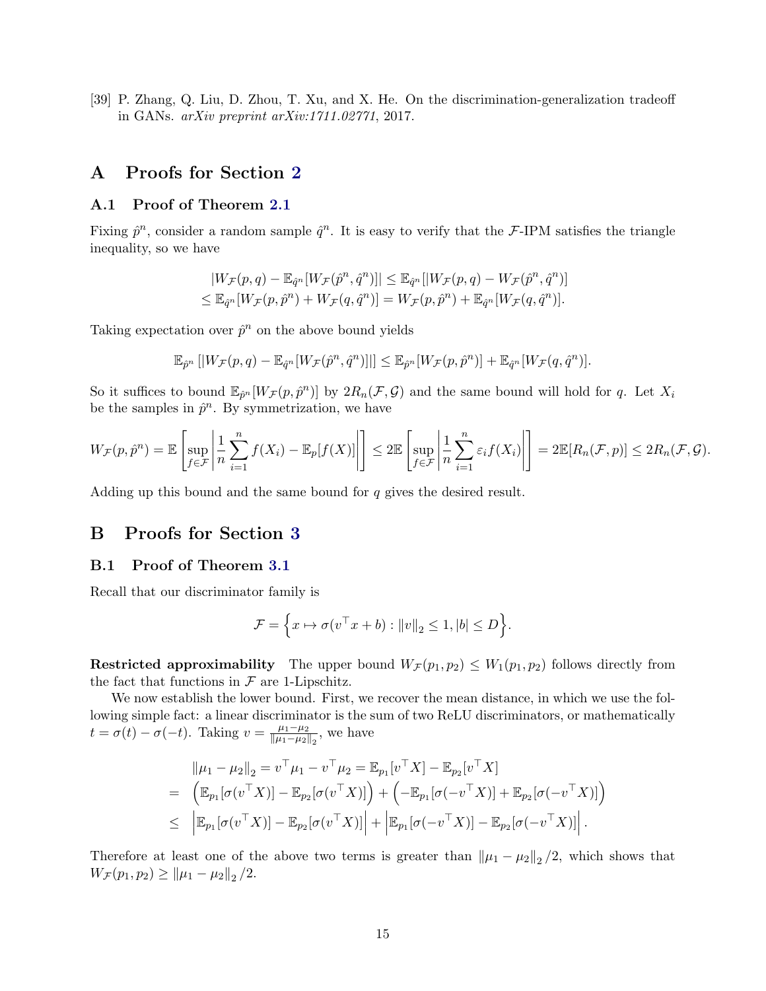<span id="page-14-0"></span>[39] P. Zhang, Q. Liu, D. Zhou, T. Xu, and X. He. On the discrimination-generalization tradeoff in GANs. arXiv preprint arXiv:1711.02771, 2017.

## A Proofs for Section [2](#page-4-0)

#### <span id="page-14-1"></span>A.1 Proof of Theorem [2.1](#page-4-3)

Fixing  $\hat{p}^n$ , consider a random sample  $\hat{q}^n$ . It is easy to verify that the F-IPM satisfies the triangle inequality, so we have

$$
|W_{\mathcal{F}}(p,q)-\mathbb{E}_{\hat{q}^n}[W_{\mathcal{F}}(\hat{p}^n,\hat{q}^n)]| \leq \mathbb{E}_{\hat{q}^n}[|W_{\mathcal{F}}(p,q)-W_{\mathcal{F}}(\hat{p}^n,\hat{q}^n)]
$$
  

$$
\leq \mathbb{E}_{\hat{q}^n}[W_{\mathcal{F}}(p,\hat{p}^n)+W_{\mathcal{F}}(q,\hat{q}^n)] = W_{\mathcal{F}}(p,\hat{p}^n)+\mathbb{E}_{\hat{q}^n}[W_{\mathcal{F}}(q,\hat{q}^n)].
$$

Taking expectation over  $\hat{p}^n$  on the above bound yields

$$
\mathbb{E}_{\hat{p}^n} \left[ |W_{\mathcal{F}}(p,q) - \mathbb{E}_{\hat{q}^n} [W_{\mathcal{F}}(\hat{p}^n, \hat{q}^n)]| \right] \leq \mathbb{E}_{\hat{p}^n} [W_{\mathcal{F}}(p, \hat{p}^n)] + \mathbb{E}_{\hat{q}^n} [W_{\mathcal{F}}(q, \hat{q}^n)].
$$

So it suffices to bound  $\mathbb{E}_{\hat{p}^n}[W_{\mathcal{F}}(p,\hat{p}^n)]$  by  $2R_n(\mathcal{F},\mathcal{G})$  and the same bound will hold for q. Let  $X_i$ be the samples in  $\hat{p}^n$ . By symmetrization, we have

$$
W_{\mathcal{F}}(p,\hat{p}^n) = \mathbb{E}\left[\sup_{f \in \mathcal{F}}\left|\frac{1}{n}\sum_{i=1}^n f(X_i) - \mathbb{E}_p[f(X)]\right|\right] \leq 2\mathbb{E}\left[\sup_{f \in \mathcal{F}}\left|\frac{1}{n}\sum_{i=1}^n \varepsilon_i f(X_i)\right|\right] = 2\mathbb{E}[R_n(\mathcal{F},p)] \leq 2R_n(\mathcal{F},\mathcal{G}).
$$

Adding up this bound and the same bound for q gives the desired result.

## B Proofs for Section [3](#page-5-0)

#### <span id="page-14-2"></span>B.1 Proof of Theorem [3.1](#page-5-3)

Recall that our discriminator family is

$$
\mathcal{F} = \left\{ x \mapsto \sigma(v^\top x + b) : ||v||_2 \le 1, |b| \le D \right\}.
$$

**Restricted approximability** The upper bound  $W_{\mathcal{F}}(p_1, p_2) \leq W_1(p_1, p_2)$  follows directly from the fact that functions in  $\mathcal F$  are 1-Lipschitz.

We now establish the lower bound. First, we recover the mean distance, in which we use the following simple fact: a linear discriminator is the sum of two ReLU discriminators, or mathematically  $t = \sigma(t) - \sigma(-t)$ . Taking  $v = \frac{\mu_1 - \mu_2}{\|\mu_1 - \mu_2\|}$  $\frac{\mu_1 - \mu_2}{\|\mu_1 - \mu_2\|_2}$ , we have

$$
\|\mu_1 - \mu_2\|_2 = v^\top \mu_1 - v^\top \mu_2 = \mathbb{E}_{p_1}[v^\top X] - \mathbb{E}_{p_2}[v^\top X] \n= \left( \mathbb{E}_{p_1}[\sigma(v^\top X)] - \mathbb{E}_{p_2}[\sigma(v^\top X)] \right) + \left( -\mathbb{E}_{p_1}[\sigma(-v^\top X)] + \mathbb{E}_{p_2}[\sigma(-v^\top X)] \right) \n\leq \left| \mathbb{E}_{p_1}[\sigma(v^\top X)] - \mathbb{E}_{p_2}[\sigma(v^\top X)] \right| + \left| \mathbb{E}_{p_1}[\sigma(-v^\top X)] - \mathbb{E}_{p_2}[\sigma(-v^\top X)] \right|.
$$

Therefore at least one of the above two terms is greater than  $\|\mu_1 - \mu_2\|_2/2$ , which shows that  $W_{\mathcal{F}}(p_1, p_2) \geq ||\mu_1 - \mu_2||_2/2.$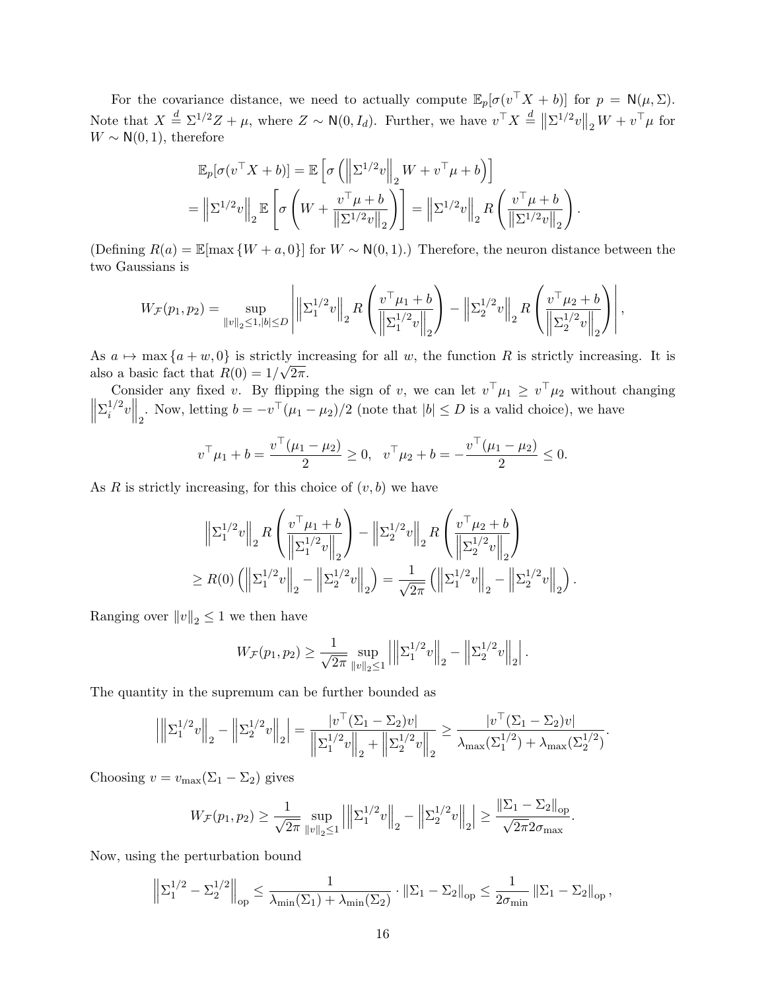For the covariance distance, we need to actually compute  $\mathbb{E}_p[\sigma(v^{\top}X + b)]$  for  $p = \mathsf{N}(\mu, \Sigma)$ . Note that  $X \stackrel{d}{=} \Sigma^{1/2} Z + \mu$ , where  $Z \sim \mathsf{N}(0, I_d)$ . Further, we have  $v^{\top} X \stackrel{d}{=} ||\Sigma^{1/2} v||_2 W + v^{\top} \mu$  for  $W \sim N(0, 1)$ , therefore

$$
\mathbb{E}_p[\sigma(v^\top X + b)] = \mathbb{E}\left[\sigma\left(\left\|\Sigma^{1/2}v\right\|_2 W + v^\top \mu + b\right)\right]
$$
  
= 
$$
\left\|\Sigma^{1/2}v\right\|_2 \mathbb{E}\left[\sigma\left(W + \frac{v^\top \mu + b}{\|\Sigma^{1/2}v\|_2}\right)\right] = \left\|\Sigma^{1/2}v\right\|_2 R\left(\frac{v^\top \mu + b}{\|\Sigma^{1/2}v\|_2}\right).
$$

(Defining  $R(a) = \mathbb{E}[\max \{W + a, 0\}]$  for  $W \sim N(0, 1)$ .) Therefore, the neuron distance between the two Gaussians is

$$
W_{\mathcal{F}}(p_1, p_2) = \sup_{\|v\|_2 \le 1, |b| \le D} \left| \left\| \Sigma_1^{1/2} v \right\|_2 R \left( \frac{v^\top \mu_1 + b}{\left\| \Sigma_1^{1/2} v \right\|_2} \right) - \left\| \Sigma_2^{1/2} v \right\|_2 R \left( \frac{v^\top \mu_2 + b}{\left\| \Sigma_2^{1/2} v \right\|_2} \right) \right|,
$$

As  $a \mapsto \max\{a + w, 0\}$  is strictly increasing for all w, the function R is strictly increasing. It is also a basic fact that  $R(0) = 1/\sqrt{2\pi}$ .

Consider any fixed v. By flipping the sign of v, we can let  $v^{\top} \mu_1 \geq v^{\top} \mu_2$  without changing  $\biggl\| \biggr.$  $\Sigma_i^{1/2}$  $\left\| \frac{1}{2}v \right\|_2$ . Now, letting  $b = -v^\top (\mu_1 - \mu_2)/2$  (note that  $|b| \le D$  is a valid choice), we have

$$
v^{\top} \mu_1 + b = \frac{v^{\top}(\mu_1 - \mu_2)}{2} \ge 0, \quad v^{\top} \mu_2 + b = -\frac{v^{\top}(\mu_1 - \mu_2)}{2} \le 0.
$$

As R is strictly increasing, for this choice of  $(v, b)$  we have

$$
\left\| \Sigma_1^{1/2} v \right\|_2 R \left( \frac{v^\top \mu_1 + b}{\left\| \Sigma_1^{1/2} v \right\|_2} \right) - \left\| \Sigma_2^{1/2} v \right\|_2 R \left( \frac{v^\top \mu_2 + b}{\left\| \Sigma_2^{1/2} v \right\|_2} \right)
$$
  
\n
$$
\geq R(0) \left( \left\| \Sigma_1^{1/2} v \right\|_2 - \left\| \Sigma_2^{1/2} v \right\|_2 \right) = \frac{1}{\sqrt{2\pi}} \left( \left\| \Sigma_1^{1/2} v \right\|_2 - \left\| \Sigma_2^{1/2} v \right\|_2 \right).
$$

Ranging over  $||v||_2 \leq 1$  we then have

$$
W_{\mathcal{F}}(p_1, p_2) \ge \frac{1}{\sqrt{2\pi}} \sup_{\|v\|_2 \le 1} \left| \left\| \Sigma_1^{1/2} v \right\|_2 - \left\| \Sigma_2^{1/2} v \right\|_2 \right|.
$$

The quantity in the supremum can be further bounded as

$$
\left| \left\| \Sigma_1^{1/2} v \right\|_2 - \left\| \Sigma_2^{1/2} v \right\|_2 \right| = \frac{|v^\top (\Sigma_1 - \Sigma_2) v|}{\left\| \Sigma_1^{1/2} v \right\|_2 + \left\| \Sigma_2^{1/2} v \right\|_2} \ge \frac{|v^\top (\Sigma_1 - \Sigma_2) v|}{\lambda_{\max} (\Sigma_1^{1/2}) + \lambda_{\max} (\Sigma_2^{1/2})}.
$$

Choosing  $v = v_{\text{max}}(\Sigma_1 - \Sigma_2)$  gives

$$
W_{\mathcal{F}}(p_1, p_2) \ge \frac{1}{\sqrt{2\pi}} \sup_{\|v\|_2 \le 1} \left| \left\| \Sigma_1^{1/2} v \right\|_2 - \left\| \Sigma_2^{1/2} v \right\|_2 \right| \ge \frac{\left\| \Sigma_1 - \Sigma_2 \right\|_{\text{op}}}{\sqrt{2\pi} 2\sigma_{\text{max}}}.
$$

Now, using the perturbation bound

$$
\left\|\Sigma_1^{1/2}-\Sigma_2^{1/2}\right\|_{\text{op}} \leq \frac{1}{\lambda_{\min}(\Sigma_1)+\lambda_{\min}(\Sigma_2)} \cdot \left\|\Sigma_1-\Sigma_2\right\|_{\text{op}} \leq \frac{1}{2\sigma_{\min}}\left\|\Sigma_1-\Sigma_2\right\|_{\text{op}},
$$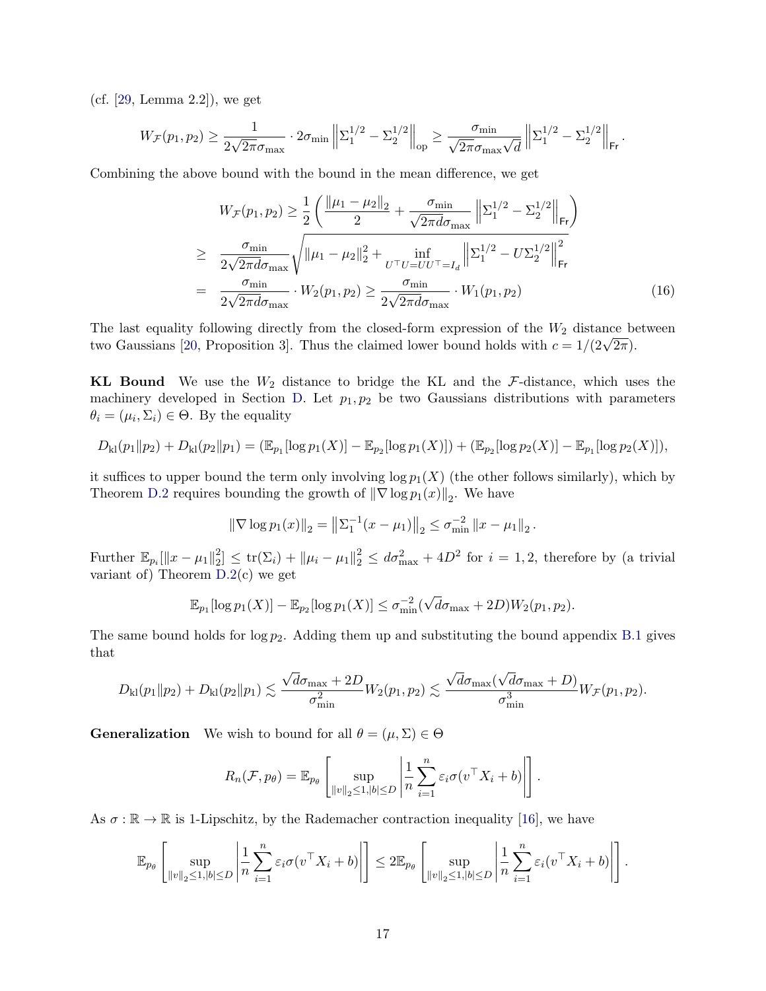(cf. [\[29,](#page-13-12) Lemma 2.2]), we get

$$
W_{\mathcal{F}}(p_1, p_2) \ge \frac{1}{2\sqrt{2\pi}\sigma_{\max}} \cdot 2\sigma_{\min} \left\| \Sigma_1^{1/2} - \Sigma_2^{1/2} \right\|_{\text{op}} \ge \frac{\sigma_{\min}}{\sqrt{2\pi}\sigma_{\max} \sqrt{d}} \left\| \Sigma_1^{1/2} - \Sigma_2^{1/2} \right\|_{\text{Fr}}.
$$

Combining the above bound with the bound in the mean difference, we get

<span id="page-16-0"></span>
$$
W_{\mathcal{F}}(p_1, p_2) \ge \frac{1}{2} \left( \frac{\|\mu_1 - \mu_2\|_2}{2} + \frac{\sigma_{\min}}{\sqrt{2\pi d \sigma_{\max}}} \left\| \Sigma_1^{1/2} - \Sigma_2^{1/2} \right\|_{\text{Fr}} \right)
$$
  
\n
$$
\ge \frac{\sigma_{\min}}{2\sqrt{2\pi d \sigma_{\max}}} \sqrt{\|\mu_1 - \mu_2\|_2^2 + \inf_{U^\top U = U U^\top = I_d} \left\| \Sigma_1^{1/2} - U \Sigma_2^{1/2} \right\|_{\text{Fr}}^2}
$$
  
\n
$$
= \frac{\sigma_{\min}}{2\sqrt{2\pi d \sigma_{\max}}} \cdot W_2(p_1, p_2) \ge \frac{\sigma_{\min}}{2\sqrt{2\pi d \sigma_{\max}}} \cdot W_1(p_1, p_2) \tag{16}
$$

The last equality following directly from the closed-form expression of the  $W_2$  distance between The fast equality following directly from the closed-form expression of the  $W_2$  distance betwo Gaussians [\[20,](#page-12-14) Proposition 3]. Thus the claimed lower bound holds with  $c = 1/(2\sqrt{2\pi})$ .

**KL Bound** We use the  $W_2$  distance to bridge the KL and the  $\mathcal{F}\text{-distance}$ , which uses the machinery developed in Section [D.](#page-21-2) Let  $p_1, p_2$  be two Gaussians distributions with parameters  $\theta_i = (\mu_i, \Sigma_i) \in \Theta$ . By the equality

$$
D_{\mathrm{kl}}(p_1||p_2)+D_{\mathrm{kl}}(p_2||p_1)=(\mathbb{E}_{p_1}[\log p_1(X)]-\mathbb{E}_{p_2}[\log p_1(X)])+(\mathbb{E}_{p_2}[\log p_2(X)]-\mathbb{E}_{p_1}[\log p_2(X)]),
$$

it suffices to upper bound the term only involving  $\log p_1(X)$  (the other follows similarly), which by Theorem [D.2](#page-21-1) requires bounding the growth of  $\|\nabla \log p_1(x)\|_2$ . We have

$$
\|\nabla \log p_1(x)\|_2 = \left\|\sum_{1}^{-1} (x - \mu_1)\right\|_2 \leq \sigma_{\min}^{-2} \|x - \mu_1\|_2.
$$

Further  $\mathbb{E}_{p_i}[\|x-\mu_1\|_2^2]$  $\mathcal{L}_2^2 \leq \text{tr}(\Sigma_i) + \|\mu_i - \mu_1\|_2^2 \leq d\sigma_{\text{max}}^2 + 4D^2$  for  $i = 1, 2$ , therefore by (a trivial variant of) Theorem [D.2\(](#page-21-1)c) we get

$$
\mathbb{E}_{p_1}[\log p_1(X)] - \mathbb{E}_{p_2}[\log p_1(X)] \le \sigma_{\min}^{-2}(\sqrt{d}\sigma_{\max} + 2D)W_2(p_1, p_2).
$$

The same bound holds for  $\log p_2$ . Adding them up and substituting the bound appendix [B.1](#page-16-0) gives that

$$
D_{\rm kl}(p_1\|p_2)+D_{\rm kl}(p_2\|p_1)\lesssim \frac{\sqrt{d}\sigma_{\max}+2D}{\sigma_{\min}^2}W_2(p_1,p_2)\lesssim \frac{\sqrt{d}\sigma_{\max}(\sqrt{d}\sigma_{\max}+D)}{\sigma_{\min}^3}W_{\mathcal{F}}(p_1,p_2).
$$

**Generalization** We wish to bound for all  $\theta = (\mu, \Sigma) \in \Theta$ 

$$
R_n(\mathcal{F}, p_\theta) = \mathbb{E}_{p_\theta} \left[ \sup_{\|v\|_2 \le 1, |b| \le D} \left| \frac{1}{n} \sum_{i=1}^n \varepsilon_i \sigma(v^\top X_i + b) \right| \right].
$$

As  $\sigma : \mathbb{R} \to \mathbb{R}$  is 1-Lipschitz, by the Rademacher contraction inequality [\[16\]](#page-12-15), we have

$$
\mathbb{E}_{p_{\theta}}\left[\sup_{\|v\|_2\leq 1,|b|\leq D}\left|\frac{1}{n}\sum_{i=1}^n\varepsilon_i\sigma(v^\top X_i+b)\right|\right]\leq 2\mathbb{E}_{p_{\theta}}\left[\sup_{\|v\|_2\leq 1,|b|\leq D}\left|\frac{1}{n}\sum_{i=1}^n\varepsilon_i(v^\top X_i+b)\right|\right].
$$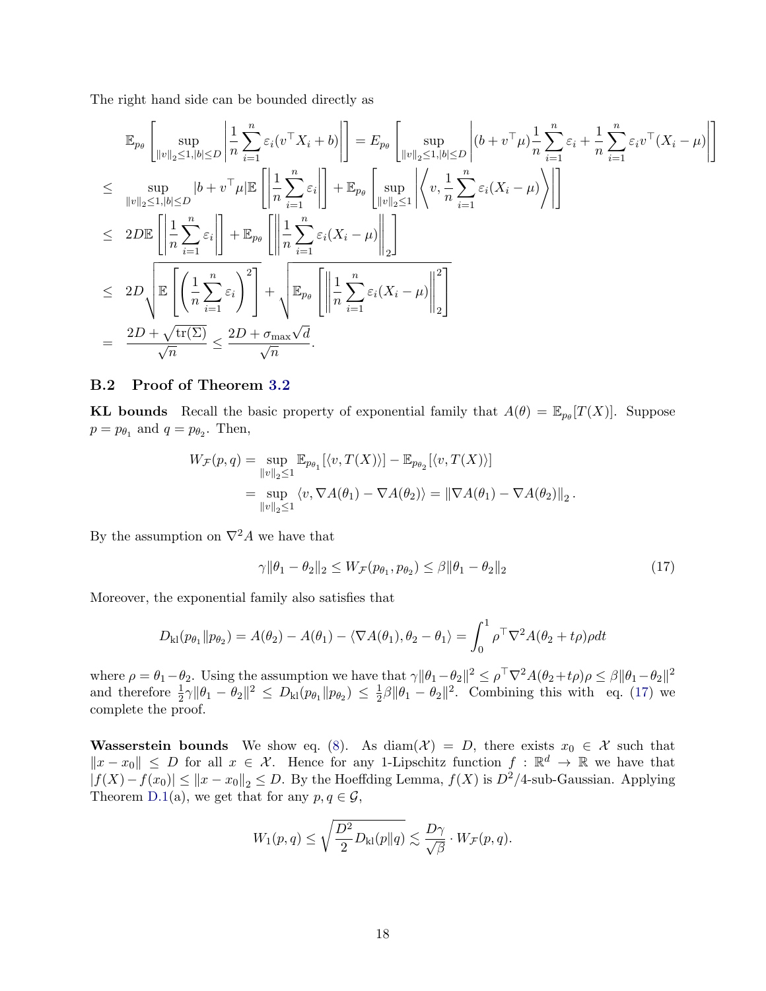The right hand side can be bounded directly as

$$
\mathbb{E}_{p_{\theta}}\left[\sup_{\|v\|_{2}\leq1,\,|b|\leq D}\left|\frac{1}{n}\sum_{i=1}^{n}\varepsilon_{i}(v^{\top}X_{i}+b)\right|\right] = E_{p_{\theta}}\left[\sup_{\|v\|_{2}\leq1,\,|b|\leq D}\left|(b+v^{\top}\mu)\frac{1}{n}\sum_{i=1}^{n}\varepsilon_{i}+\frac{1}{n}\sum_{i=1}^{n}\varepsilon_{i}v^{\top}(X_{i}-\mu)\right|\right]
$$
\n
$$
\leq \sup_{\|v\|_{2}\leq1,\,|b|\leq D}|b+v^{\top}\mu|\mathbb{E}\left[\left|\frac{1}{n}\sum_{i=1}^{n}\varepsilon_{i}\right|\right]+\mathbb{E}_{p_{\theta}}\left[\sup_{\|v\|_{2}\leq1}\left|\left\langle v,\frac{1}{n}\sum_{i=1}^{n}\varepsilon_{i}(X_{i}-\mu)\right\rangle\right|\right]
$$
\n
$$
\leq 2D\mathbb{E}\left[\left|\frac{1}{n}\sum_{i=1}^{n}\varepsilon_{i}\right|\right]+\mathbb{E}_{p_{\theta}}\left[\left|\left|\frac{1}{n}\sum_{i=1}^{n}\varepsilon_{i}(X_{i}-\mu)\right|\right|_{2}\right]
$$
\n
$$
\leq 2D\sqrt{\mathbb{E}\left[\left(\frac{1}{n}\sum_{i=1}^{n}\varepsilon_{i}\right)^{2}\right]}+\sqrt{\mathbb{E}_{p_{\theta}}\left[\left|\left|\frac{1}{n}\sum_{i=1}^{n}\varepsilon_{i}(X_{i}-\mu)\right|\right|_{2}\right]}
$$
\n
$$
= \frac{2D+\sqrt{\text{tr}(\Sigma)}}{\sqrt{n}} \leq \frac{2D+\sigma_{\text{max}}\sqrt{d}}{\sqrt{n}}.
$$

## <span id="page-17-0"></span>B.2 Proof of Theorem [3.2](#page-5-4)

**KL** bounds Recall the basic property of exponential family that  $A(\theta) = \mathbb{E}_{p_{\theta}}[T(X)]$ . Suppose  $p = p_{\theta_1}$  and  $q = p_{\theta_2}$ . Then,

$$
W_{\mathcal{F}}(p,q) = \sup_{\|v\|_2 \le 1} \mathbb{E}_{p_{\theta_1}}[\langle v, T(X) \rangle] - \mathbb{E}_{p_{\theta_2}}[\langle v, T(X) \rangle]
$$
  
= 
$$
\sup_{\|v\|_2 \le 1} \langle v, \nabla A(\theta_1) - \nabla A(\theta_2) \rangle = \|\nabla A(\theta_1) - \nabla A(\theta_2)\|_2.
$$

By the assumption on  $\nabla^2 A$  we have that

<span id="page-17-1"></span>
$$
\gamma \|\theta_1 - \theta_2\|_2 \le W_{\mathcal{F}}(p_{\theta_1}, p_{\theta_2}) \le \beta \|\theta_1 - \theta_2\|_2 \tag{17}
$$

Moreover, the exponential family also satisfies that

$$
D_{kl}(p_{\theta_1} \| p_{\theta_2}) = A(\theta_2) - A(\theta_1) - \langle \nabla A(\theta_1), \theta_2 - \theta_1 \rangle = \int_0^1 \rho^\top \nabla^2 A(\theta_2 + t\rho) \rho dt
$$

where  $\rho = \theta_1 - \theta_2$ . Using the assumption we have that  $\gamma \|\theta_1 - \theta_2\|^2 \leq \rho^{\top} \nabla^2 A(\theta_2 + t\rho) \rho \leq \beta \|\theta_1 - \theta_2\|^2$ and therefore  $\frac{1}{2}\gamma \|\theta_1 - \theta_2\|^2 \le D_{kl}(p_{\theta_1} \| p_{\theta_2}) \le \frac{1}{2}$  $\frac{1}{2}\beta \|\theta_1 - \theta_2\|^2$ . Combining this with eq. [\(17\)](#page-17-1) we complete the proof.

Wasserstein bounds We show eq. [\(8\)](#page-6-2). As diam( $\mathcal{X}$ ) = D, there exists  $x_0 \in \mathcal{X}$  such that  $||x-x_0|| \leq D$  for all  $x \in \mathcal{X}$ . Hence for any 1-Lipschitz function  $f : \mathbb{R}^d \to \mathbb{R}$  we have that  $|f(X)-f(x_0)| \leq ||x-x_0||_2 \leq D$ . By the Hoeffding Lemma,  $f(X)$  is  $D^2/4$ -sub-Gaussian. Applying Theorem [D.1\(](#page-21-0)a), we get that for any  $p, q \in \mathcal{G}$ ,

$$
W_1(p,q) \le \sqrt{\frac{D^2}{2}D_{\mathrm{kl}}(p\|q)} \lesssim \frac{D\gamma}{\sqrt{\beta}} \cdot W_{\mathcal{F}}(p,q).
$$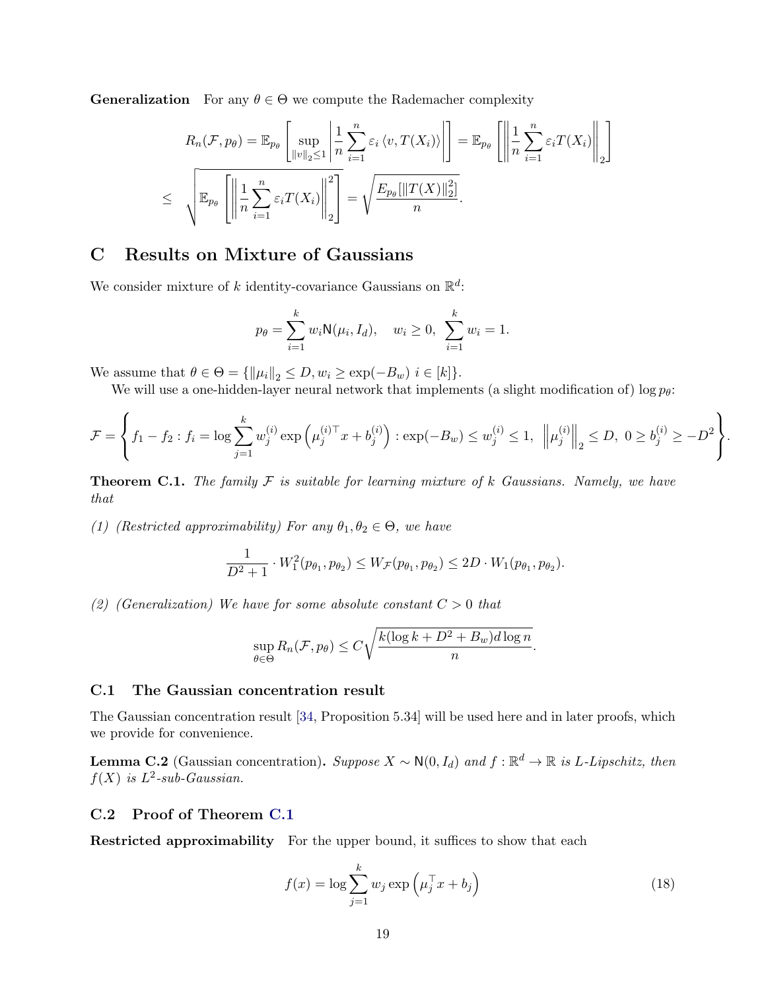**Generalization** For any  $\theta \in \Theta$  we compute the Rademacher complexity

$$
R_n(\mathcal{F}, p_\theta) = \mathbb{E}_{p_\theta} \left[ \sup_{\|v\|_2 \le 1} \left| \frac{1}{n} \sum_{i=1}^n \varepsilon_i \langle v, T(X_i) \rangle \right| \right] = \mathbb{E}_{p_\theta} \left[ \left\| \frac{1}{n} \sum_{i=1}^n \varepsilon_i T(X_i) \right\|_2 \right]
$$
  

$$
\le \sqrt{\mathbb{E}_{p_\theta} \left[ \left\| \frac{1}{n} \sum_{i=1}^n \varepsilon_i T(X_i) \right\|_2^2 \right]} = \sqrt{\frac{E_{p_\theta} [\|T(X)\|_2^2]}{n}}.
$$

# <span id="page-18-0"></span>C Results on Mixture of Gaussians

We consider mixture of k identity-covariance Gaussians on  $\mathbb{R}^d$ :

$$
p_{\theta} = \sum_{i=1}^{k} w_i \mathsf{N}(\mu_i, I_d), \quad w_i \ge 0, \sum_{i=1}^{k} w_i = 1.
$$

We assume that  $\theta \in \Theta = {\|\|\mu_i\|_2 \le D, w_i \ge \exp(-B_w) \ i \in [k]}.$ 

We will use a one-hidden-layer neural network that implements (a slight modification of) log  $p_{\theta}$ :

$$
\mathcal{F} = \left\{ f_1 - f_2 : f_i = \log \sum_{j=1}^k w_j^{(i)} \exp \left( \mu_j^{(i) \top} x + b_j^{(i)} \right) : \exp(-B_w) \le w_j^{(i)} \le 1, \ \left\| \mu_j^{(i)} \right\|_2 \le D, \ 0 \ge b_j^{(i)} \ge -D^2 \right\}.
$$

<span id="page-18-1"></span>**Theorem C.1.** The family  $\mathcal F$  is suitable for learning mixture of k Gaussians. Namely, we have that

(1) (Restricted approximability) For any  $\theta_1, \theta_2 \in \Theta$ , we have

$$
\frac{1}{D^2+1} \cdot W_1^2(p_{\theta_1}, p_{\theta_2}) \le W_{\mathcal{F}}(p_{\theta_1}, p_{\theta_2}) \le 2D \cdot W_1(p_{\theta_1}, p_{\theta_2}).
$$

(2) (Generalization) We have for some absolute constant  $C > 0$  that

$$
\sup_{\theta \in \Theta} R_n(\mathcal{F}, p_\theta) \le C \sqrt{\frac{k(\log k + D^2 + B_w)d\log n}{n}}.
$$

#### C.1 The Gaussian concentration result

The Gaussian concentration result [\[34,](#page-13-8) Proposition 5.34] will be used here and in later proofs, which we provide for convenience.

<span id="page-18-2"></span>**Lemma C.2** (Gaussian concentration). Suppose  $X \sim N(0, I_d)$  and  $f : \mathbb{R}^d \to \mathbb{R}$  is L-Lipschitz, then  $f(X)$  is  $L^2$ -sub-Gaussian.

### C.2 Proof of Theorem [C.1](#page-18-1)

**Restricted approximability** For the upper bound, it suffices to show that each

<span id="page-18-3"></span>
$$
f(x) = \log \sum_{j=1}^{k} w_j \exp \left( \mu_j^{\top} x + b_j \right)
$$
 (18)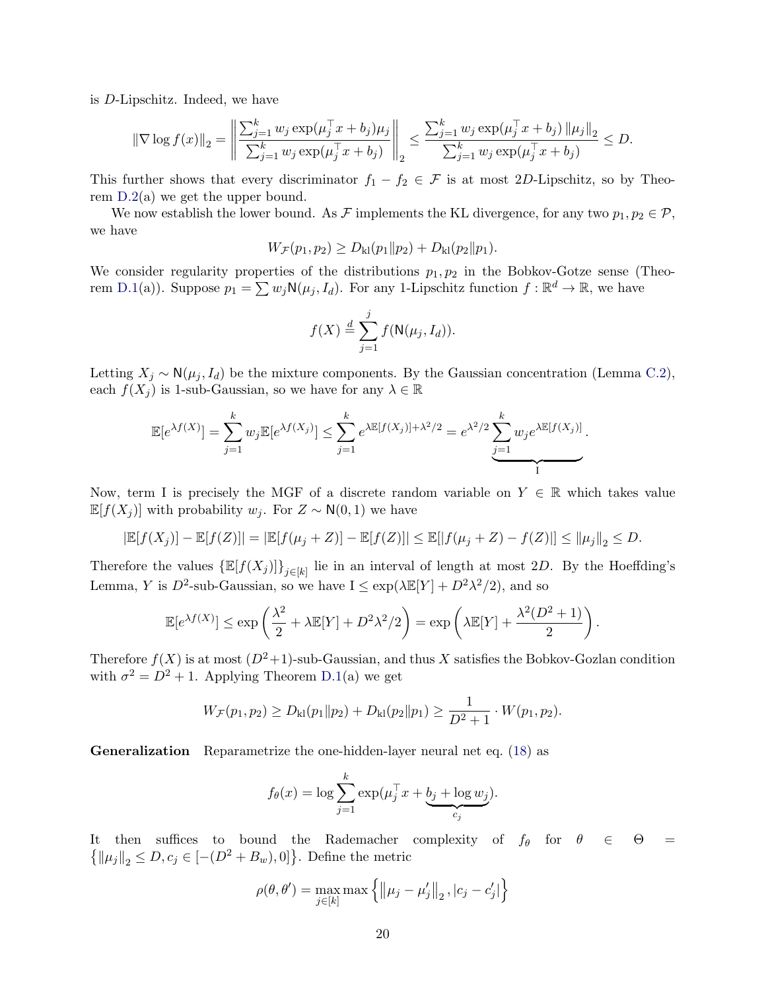is D-Lipschitz. Indeed, we have

$$
\|\nabla \log f(x)\|_2 = \left\|\frac{\sum_{j=1}^k w_j \exp(\mu_j^\top x + b_j)\mu_j}{\sum_{j=1}^k w_j \exp(\mu_j^\top x + b_j)}\right\|_2 \le \frac{\sum_{j=1}^k w_j \exp(\mu_j^\top x + b_j) \|\mu_j\|_2}{\sum_{j=1}^k w_j \exp(\mu_j^\top x + b_j)} \le D.
$$

This further shows that every discriminator  $f_1 - f_2 \in \mathcal{F}$  is at most 2D-Lipschitz, so by Theorem [D.2\(](#page-21-1)a) we get the upper bound.

We now establish the lower bound. As F implements the KL divergence, for any two  $p_1, p_2 \in \mathcal{P}$ , we have

$$
W_{\mathcal{F}}(p_1, p_2) \ge D_{kl}(p_1 \| p_2) + D_{kl}(p_2 \| p_1).
$$

We consider regularity properties of the distributions  $p_1, p_2$  in the Bobkov-Gotze sense (Theo-rem [D.1\(](#page-21-0)a)). Suppose  $p_1 = \sum w_j \mathsf{N}(\mu_j, I_d)$ . For any 1-Lipschitz function  $f : \mathbb{R}^d \to \mathbb{R}$ , we have

$$
f(X) \stackrel{d}{=} \sum_{j=1}^{j} f(\mathsf{N}(\mu_j, I_d)).
$$

Letting  $X_j \sim \mathsf{N}(\mu_j, I_d)$  be the mixture components. By the Gaussian concentration (Lemma [C.2\)](#page-18-2), each  $f(X_i)$  is 1-sub-Gaussian, so we have for any  $\lambda \in \mathbb{R}$ 

$$
\mathbb{E}[e^{\lambda f(X)}] = \sum_{j=1}^k w_j \mathbb{E}[e^{\lambda f(X_j)}] \le \sum_{j=1}^k e^{\lambda \mathbb{E}[f(X_j)] + \lambda^2/2} = e^{\lambda^2/2} \underbrace{\sum_{j=1}^k w_j e^{\lambda \mathbb{E}[f(X_j)]}}_{\text{I}}.
$$

Now, term I is precisely the MGF of a discrete random variable on  $Y \in \mathbb{R}$  which takes value  $\mathbb{E}[f(X_i)]$  with probability  $w_i$ . For  $Z \sim N(0, 1)$  we have

$$
|\mathbb{E}[f(X_j)] - \mathbb{E}[f(Z)]| = |\mathbb{E}[f(\mu_j + Z)] - \mathbb{E}[f(Z)]| \le \mathbb{E}[|f(\mu_j + Z) - f(Z)|] \le ||\mu_j||_2 \le D.
$$

Therefore the values  $\{\mathbb{E}[f(X_j)]\}_{j\in[k]}$  lie in an interval of length at most 2D. By the Hoeffding's Lemma, Y is  $D^2$ -sub-Gaussian, so we have  $I \leq \exp(\lambda \mathbb{E}[Y] + D^2 \lambda^2/2)$ , and so

$$
\mathbb{E}[e^{\lambda f(X)}] \le \exp\left(\frac{\lambda^2}{2} + \lambda \mathbb{E}[Y] + D^2 \lambda^2 / 2\right) = \exp\left(\lambda \mathbb{E}[Y] + \frac{\lambda^2 (D^2 + 1)}{2}\right).
$$

Therefore  $f(X)$  is at most  $(D^2+1)$ -sub-Gaussian, and thus X satisfies the Bobkov-Gozlan condition with  $\sigma^2 = D^2 + 1$ . Applying Theorem [D.1\(](#page-21-0)a) we get

$$
W_{\mathcal{F}}(p_1, p_2) \ge D_{kl}(p_1 \| p_2) + D_{kl}(p_2 \| p_1) \ge \frac{1}{D^2 + 1} \cdot W(p_1, p_2).
$$

Generalization Reparametrize the one-hidden-layer neural net eq. [\(18\)](#page-18-3) as

$$
f_{\theta}(x) = \log \sum_{j=1}^{k} \exp(\mu_j^{\top} x + \underbrace{b_j + \log w_j}_{c_j}).
$$

It then suffices to bound the Rademacher complexity of  $f_{\theta}$  for  $\theta \in \Theta =$  $\{ {\left\| {\mu _j } \right\|_2} \le D,c_j \in [ -(D^2 + B_w ),0] \}$ . Define the metric

$$
\rho(\theta, \theta') = \max_{j \in [k]} \max \left\{ \left\| \mu_j - \mu'_j \right\|_2, |c_j - c'_j| \right\}
$$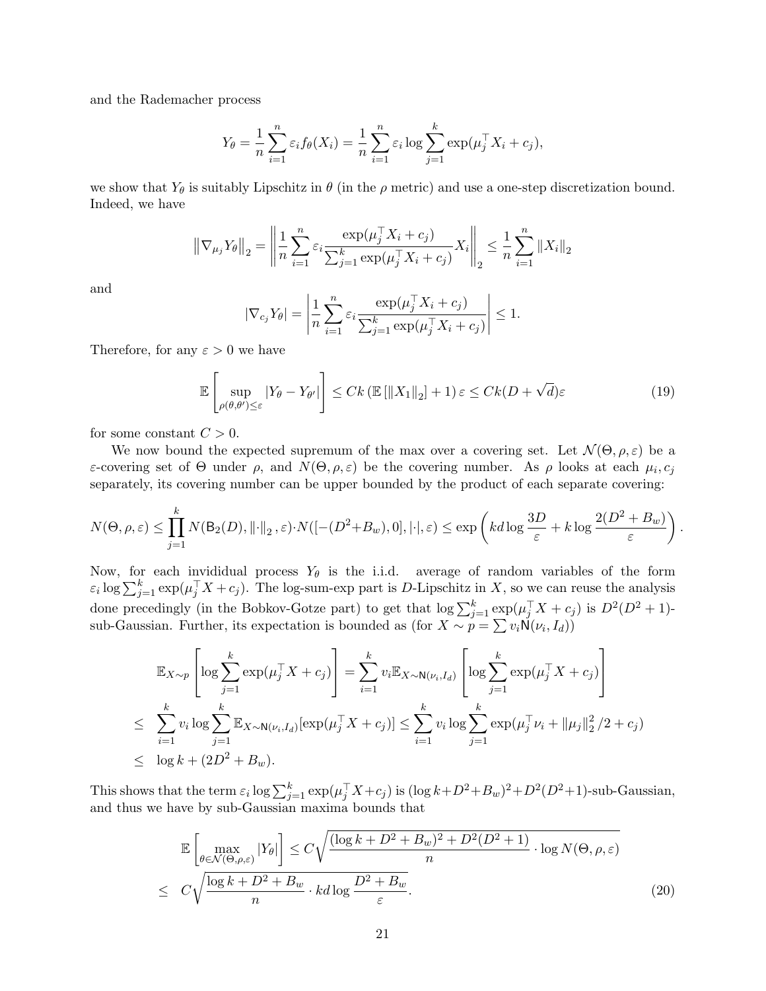and the Rademacher process

$$
Y_{\theta} = \frac{1}{n} \sum_{i=1}^{n} \varepsilon_i f_{\theta}(X_i) = \frac{1}{n} \sum_{i=1}^{n} \varepsilon_i \log \sum_{j=1}^{k} \exp(\mu_j^{\top} X_i + c_j),
$$

we show that  $Y_{\theta}$  is suitably Lipschitz in  $\theta$  (in the  $\rho$  metric) and use a one-step discretization bound. Indeed, we have

$$
\left\|\nabla_{\mu_j} Y_{\theta}\right\|_2 = \left\|\frac{1}{n} \sum_{i=1}^n \varepsilon_i \frac{\exp(\mu_j^{\top} X_i + c_j)}{\sum_{j=1}^k \exp(\mu_j^{\top} X_i + c_j)} X_i\right\|_2 \le \frac{1}{n} \sum_{i=1}^n \left\|X_i\right\|_2
$$

and

$$
|\nabla_{c_j} Y_{\theta}| = \left| \frac{1}{n} \sum_{i=1}^n \varepsilon_i \frac{\exp(\mu_j^{\top} X_i + c_j)}{\sum_{j=1}^k \exp(\mu_j^{\top} X_i + c_j)} \right| \le 1.
$$

Therefore, for any  $\varepsilon > 0$  we have

<span id="page-20-0"></span>
$$
\mathbb{E}\left[\sup_{\rho(\theta,\theta')\leq\varepsilon}|Y_{\theta}-Y_{\theta'}|\right] \leq Ck\left(\mathbb{E}\left[\|X_1\|_2\right]+1\right)\varepsilon \leq Ck(D+\sqrt{d})\varepsilon\tag{19}
$$

for some constant  $C > 0$ .

We now bound the expected supremum of the max over a covering set. Let  $\mathcal{N}(\Theta,\rho,\varepsilon)$  be a ε-covering set of  $\Theta$  under  $\rho$ , and  $N(\Theta, \rho, \varepsilon)$  be the covering number. As  $\rho$  looks at each  $\mu_i$ ,  $c_j$ separately, its covering number can be upper bounded by the product of each separate covering:

$$
N(\Theta,\rho,\varepsilon) \leq \prod_{j=1}^k N(\mathsf{B}_2(D),\lVert \cdot \rVert_2,\varepsilon) \cdot N([- (D^2+B_w),0],\lvert \cdot \rvert,\varepsilon) \leq \exp\left(kd\log\frac{3D}{\varepsilon}+k\log\frac{2(D^2+B_w)}{\varepsilon}\right).
$$

Now, for each invididual process  $Y_{\theta}$  is the i.i.d. average of random variables of the form  $\varepsilon_i \log \sum_{j=1}^k \exp(\mu_j^\top X + c_j)$ . The log-sum-exp part is D-Lipschitz in X, so we can reuse the analysis done precedingly (in the Bobkov-Gotze part) to get that  $\log \sum_{j=1}^{k} \exp(\mu_j^\top X + c_j)$  is  $D^2(D^2 + 1)$ sub-Gaussian. Further, its expectation is bounded as (for  $X \sim p = \sum v_i \mathsf{N}(\nu_i, I_d)$ )

$$
\mathbb{E}_{X \sim p} \left[ \log \sum_{j=1}^{k} \exp(\mu_j^{\top} X + c_j) \right] = \sum_{i=1}^{k} v_i \mathbb{E}_{X \sim \mathsf{N}(\nu_i, I_d)} \left[ \log \sum_{j=1}^{k} \exp(\mu_j^{\top} X + c_j) \right]
$$
  
\n
$$
\leq \sum_{i=1}^{k} v_i \log \sum_{j=1}^{k} \mathbb{E}_{X \sim \mathsf{N}(\nu_i, I_d)} [\exp(\mu_j^{\top} X + c_j)] \leq \sum_{i=1}^{k} v_i \log \sum_{j=1}^{k} \exp(\mu_j^{\top} \nu_i + ||\mu_j||_2^2 / 2 + c_j)
$$
  
\n
$$
\leq \log k + (2D^2 + B_w).
$$

This shows that the term  $\varepsilon_i \log \sum_{j=1}^k \exp(\mu_j^\top X + c_j)$  is  $(\log k + D^2 + B_w)^2 + D^2(D^2 + 1)$ -sub-Gaussian, and thus we have by sub-Gaussian maxima bounds that

<span id="page-20-1"></span>
$$
\mathbb{E}\left[\max_{\theta \in \mathcal{N}(\Theta,\rho,\varepsilon)}|Y_{\theta}|\right] \leq C\sqrt{\frac{(\log k + D^2 + B_w)^2 + D^2(D^2 + 1)}{n} \cdot \log N(\Theta,\rho,\varepsilon)}}{\log N(\Theta,\rho,\varepsilon)} \leq C\sqrt{\frac{\log k + D^2 + B_w}{n} \cdot kd \log \frac{D^2 + B_w}{\varepsilon}}.
$$
\n(20)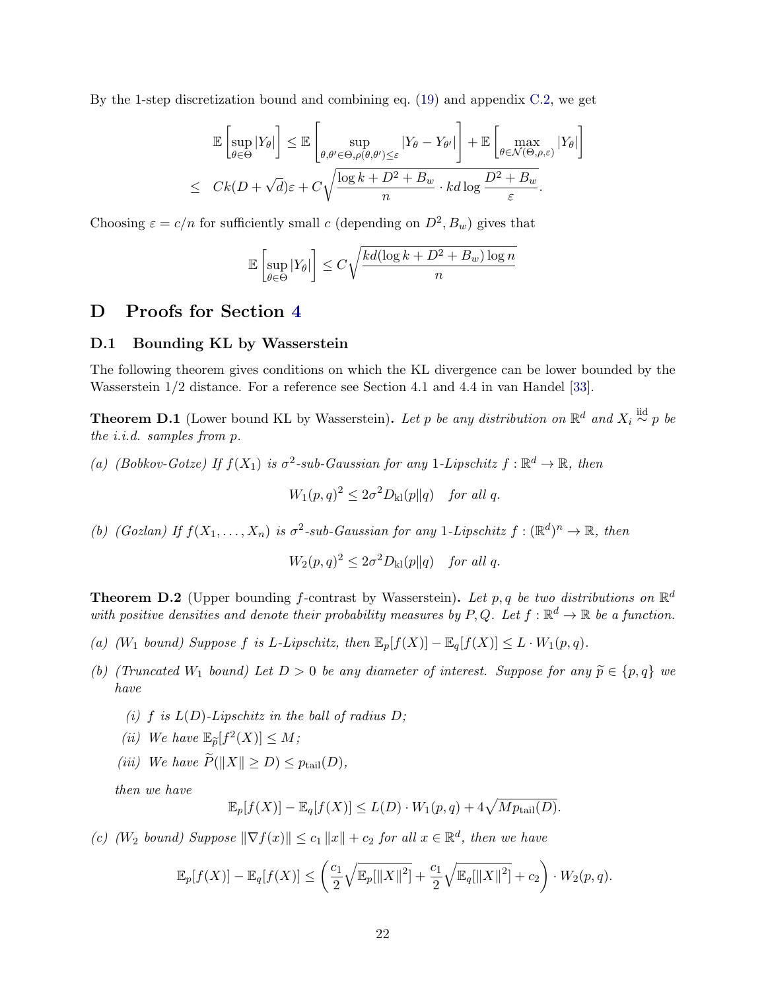By the 1-step discretization bound and combining eq. [\(19\)](#page-20-0) and appendix [C.2,](#page-20-1) we get

$$
\mathbb{E}\left[\sup_{\theta\in\Theta}|Y_{\theta}|\right] \leq \mathbb{E}\left[\sup_{\theta,\theta'\in\Theta,\rho(\theta,\theta')\leq\varepsilon}|Y_{\theta}-Y_{\theta'}|\right] + \mathbb{E}\left[\max_{\theta\in\mathcal{N}(\Theta,\rho,\varepsilon)}|Y_{\theta}|\right]
$$
  

$$
\leq Ck(D+\sqrt{d})\varepsilon + C\sqrt{\frac{\log k+D^2+B_w}{n}\cdot k d\log\frac{D^2+B_w}{\varepsilon}}.
$$

Choosing  $\varepsilon = c/n$  for sufficiently small c (depending on  $D^2$ ,  $B_w$ ) gives that

$$
\mathbb{E}\left[\sup_{\theta \in \Theta} |Y_{\theta}|\right] \le C\sqrt{\frac{kd(\log k + D^2 + B_w)\log n}{n}}
$$

# <span id="page-21-2"></span>D Proofs for Section [4](#page-6-0)

## D.1 Bounding KL by Wasserstein

The following theorem gives conditions on which the KL divergence can be lower bounded by the Wasserstein 1/2 distance. For a reference see Section 4.1 and 4.4 in van Handel [\[33\]](#page-13-13).

<span id="page-21-0"></span>**Theorem D.1** (Lower bound KL by Wasserstein). Let p be any distribution on  $\mathbb{R}^d$  and  $X_i \stackrel{\text{iid}}{\sim} p$  be the i.i.d. samples from p.

(a) (Bobkov-Gotze) If  $f(X_1)$  is  $\sigma^2$ -sub-Gaussian for any 1-Lipschitz  $f : \mathbb{R}^d \to \mathbb{R}$ , then

$$
W_1(p,q)^2 \le 2\sigma^2 D_{kl}(p||q) \quad \text{for all } q.
$$

(b) (Gozlan) If  $f(X_1,\ldots,X_n)$  is  $\sigma^2$ -sub-Gaussian for any 1-Lipschitz  $f: (\mathbb{R}^d)^n \to \mathbb{R}$ , then

$$
W_2(p,q)^2 \le 2\sigma^2 D_{kl}(p||q) \quad \text{for all } q.
$$

<span id="page-21-1"></span>**Theorem D.2** (Upper bounding f-contrast by Wasserstein). Let p, q be two distributions on  $\mathbb{R}^d$ with positive densities and denote their probability measures by P,Q. Let  $f : \mathbb{R}^d \to \mathbb{R}$  be a function.

- (a) (W<sub>1</sub> bound) Suppose f is L-Lipschitz, then  $\mathbb{E}_p[f(X)] \mathbb{E}_q[f(X)] \leq L \cdot W_1(p,q)$ .
- (b) (Truncated W<sub>1</sub> bound) Let  $D > 0$  be any diameter of interest. Suppose for any  $\widetilde{p} \in \{p, q\}$  we have
	- (i) f is  $L(D)$ -Lipschitz in the ball of radius  $D$ ;
	- (ii) We have  $\mathbb{E}_{\widetilde{p}}[f^2(X)] \leq M;$
	- (iii) We have  $\widetilde{P}(\Vert X \Vert > D) \leq p_{\text{tail}}(D)$ ,

then we have

$$
\mathbb{E}_p[f(X)] - \mathbb{E}_q[f(X)] \le L(D) \cdot W_1(p,q) + 4\sqrt{Mp_{\text{tail}}(D)}.
$$

(c) (W<sub>2</sub> bound) Suppose  $\|\nabla f(x)\| \le c_1 \|x\| + c_2$  for all  $x \in \mathbb{R}^d$ , then we have

$$
\mathbb{E}_p[f(X)] - \mathbb{E}_q[f(X)] \le \left(\frac{c_1}{2}\sqrt{\mathbb{E}_p[\|X\|^2]} + \frac{c_1}{2}\sqrt{\mathbb{E}_q[\|X\|^2]} + c_2\right) \cdot W_2(p,q).
$$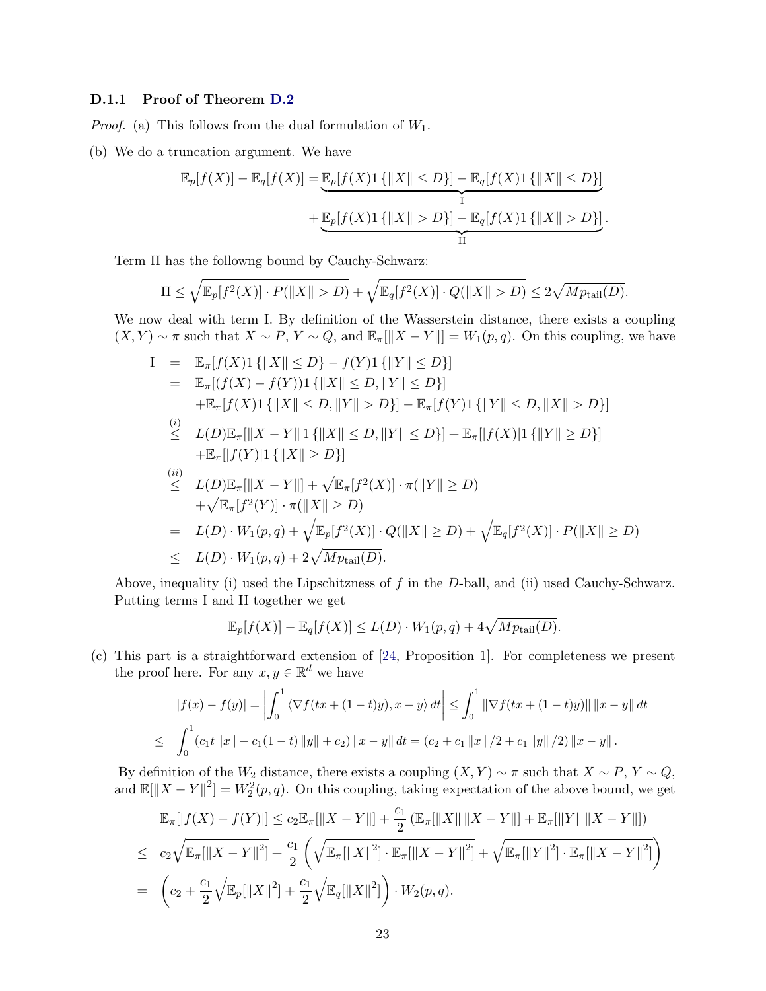### D.1.1 Proof of Theorem [D.2](#page-21-1)

*Proof.* (a) This follows from the dual formulation of  $W_1$ .

(b) We do a truncation argument. We have

$$
\mathbb{E}_p[f(X)] - \mathbb{E}_q[f(X)] = \underbrace{\mathbb{E}_p[f(X)1\{|X\| \le D\}] - \mathbb{E}_q[f(X)1\{|X\| \le D\}]}_{\text{I}} + \underbrace{\mathbb{E}_p[f(X)1\{|X\| > D\}] - \mathbb{E}_q[f(X)1\{|X\| > D\}]}_{\text{II}}.
$$

Term II has the followng bound by Cauchy-Schwarz:

$$
\text{II} \le \sqrt{\mathbb{E}_p[f^2(X)] \cdot P(\|X\| > D)} + \sqrt{\mathbb{E}_q[f^2(X)] \cdot Q(\|X\| > D)} \le 2\sqrt{Mp_{\text{tail}}(D)}.
$$

We now deal with term I. By definition of the Wasserstein distance, there exists a coupling  $(X, Y) \sim \pi$  such that  $X \sim P$ ,  $Y \sim Q$ , and  $\mathbb{E}_{\pi}[\|X - Y\|] = W_1(p, q)$ . On this coupling, we have

$$
I = \mathbb{E}_{\pi}[f(X)1\{|X\| \leq D\} - f(Y)1\{|Y\| \leq D\}]
$$
  
\n
$$
= \mathbb{E}_{\pi}[(f(X) - f(Y))1\{|X\| \leq D, \|Y\| \leq D\}]
$$
  
\n
$$
+ \mathbb{E}_{\pi}[f(X)1\{|X\| \leq D, \|Y\| > D\}] - \mathbb{E}_{\pi}[f(Y)1\{|Y\| \leq D, \|X\| > D\}]
$$
  
\n(i)  
\n
$$
\leq L(D)\mathbb{E}_{\pi}[||X - Y||1\{|X\| \leq D, \|Y\| \leq D\}] + \mathbb{E}_{\pi}[|f(X)|1\{|Y\| \geq D\}]
$$
  
\n
$$
+ \mathbb{E}_{\pi}[|f(Y)|1\{|X\| \geq D\}]
$$
  
\n(ii)  
\n
$$
\leq L(D)\mathbb{E}_{\pi}[||X - Y||] + \sqrt{\mathbb{E}_{\pi}[f^{2}(X)] \cdot \pi(||Y|| \geq D)}
$$
  
\n
$$
+ \sqrt{\mathbb{E}_{\pi}[f^{2}(Y)] \cdot \pi(||X|| \geq D)}
$$
  
\n
$$
= L(D) \cdot W_{1}(p,q) + \sqrt{\mathbb{E}_{p}[f^{2}(X)] \cdot Q(||X|| \geq D)} + \sqrt{\mathbb{E}_{q}[f^{2}(X)] \cdot P(||X|| \geq D)}
$$
  
\n
$$
\leq L(D) \cdot W_{1}(p,q) + 2\sqrt{Mp_{\text{tail}}(D)}.
$$

Above, inequality (i) used the Lipschitzness of  $f$  in the  $D$ -ball, and (ii) used Cauchy-Schwarz. Putting terms I and II together we get

$$
\mathbb{E}_p[f(X)] - \mathbb{E}_q[f(X)] \le L(D) \cdot W_1(p,q) + 4\sqrt{Mp_{\text{tail}}(D)}.
$$

(c) This part is a straightforward extension of [\[24,](#page-13-9) Proposition 1]. For completeness we present the proof here. For any  $x, y \in \mathbb{R}^d$  we have

$$
|f(x) - f(y)| = \left| \int_0^1 \left\langle \nabla f(tx + (1-t)y), x - y \right\rangle dt \right| \le \int_0^1 \left\| \nabla f(tx + (1-t)y) \right\| \left\| x - y \right\| dt
$$
  

$$
\le \int_0^1 (c_1 t \left\| x \right\| + c_1 (1-t) \left\| y \right\| + c_2) \left\| x - y \right\| dt = (c_2 + c_1 \left\| x \right\| / 2 + c_1 \left\| y \right\| / 2) \left\| x - y \right\|.
$$

By definition of the  $W_2$  distance, there exists a coupling  $(X, Y) \sim \pi$  such that  $X \sim P$ ,  $Y \sim Q$ , and  $\mathbb{E}[\|X-Y\|^2] = W_2^2(p,q)$ . On this coupling, taking expectation of the above bound, we get

$$
\mathbb{E}_{\pi}[|f(X) - f(Y)|] \leq c_2 \mathbb{E}_{\pi}[||X - Y||] + \frac{c_1}{2} (\mathbb{E}_{\pi}[||X|| ||X - Y||] + \mathbb{E}_{\pi}[||Y|| ||X - Y||])
$$
  
\n
$$
\leq c_2 \sqrt{\mathbb{E}_{\pi}[||X - Y||^2]} + \frac{c_1}{2} \left( \sqrt{\mathbb{E}_{\pi}[||X||^2] \cdot \mathbb{E}_{\pi}[||X - Y||^2]} + \sqrt{\mathbb{E}_{\pi}[||Y||^2] \cdot \mathbb{E}_{\pi}[||X - Y||^2]} \right)
$$
  
\n
$$
= \left( c_2 + \frac{c_1}{2} \sqrt{\mathbb{E}_{p}[||X||^2]} + \frac{c_1}{2} \sqrt{\mathbb{E}_{q}[||X||^2]} \right) \cdot W_2(p, q).
$$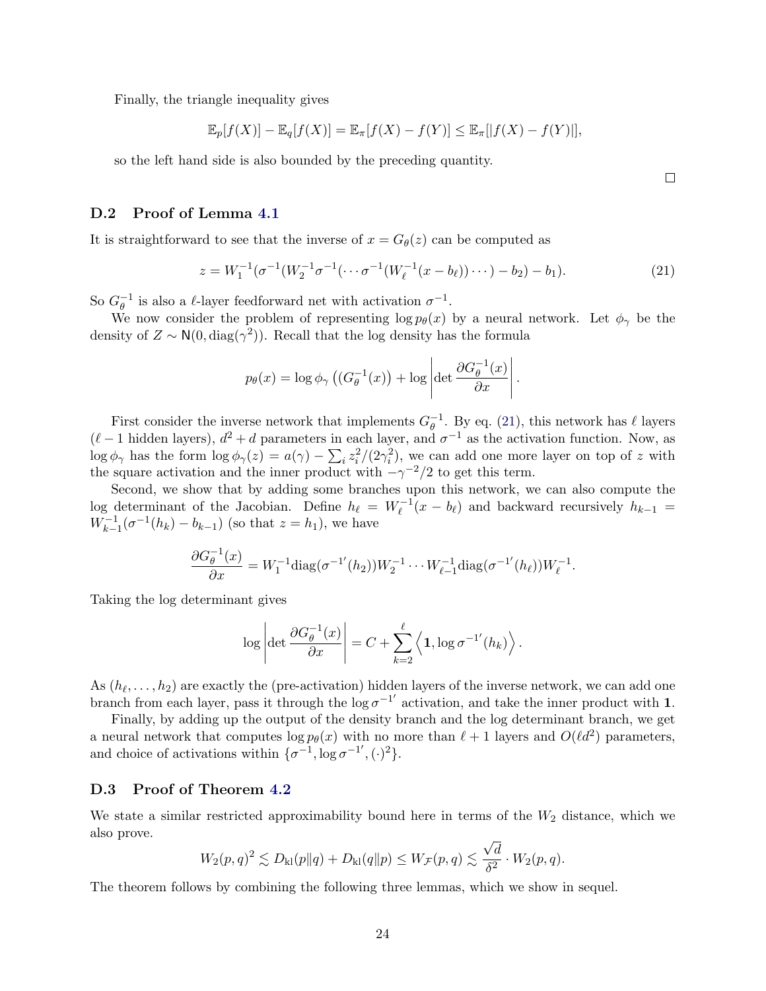Finally, the triangle inequality gives

$$
\mathbb{E}_p[f(X)] - \mathbb{E}_q[f(X)] = \mathbb{E}_\pi[f(X) - f(Y)] \le \mathbb{E}_\pi[|f(X) - f(Y)|],
$$

so the left hand side is also bounded by the preceding quantity.

 $\Box$ 

### <span id="page-23-0"></span>D.2 Proof of Lemma [4.1](#page-7-1)

It is straightforward to see that the inverse of  $x = G_{\theta}(z)$  can be computed as

<span id="page-23-3"></span>
$$
z = W_1^{-1}(\sigma^{-1}(W_2^{-1}\sigma^{-1}(\cdots\sigma^{-1}(W_\ell^{-1}(x - b_\ell))\cdots) - b_2) - b_1).
$$
 (21)

.

So  $G^{-1}_{\theta}$  $\theta^{-1}$  is also a  $\ell$ -layer feedforward net with activation  $\sigma^{-1}$ .

We now consider the problem of representing  $\log p_{\theta}(x)$  by a neural network. Let  $\phi_{\gamma}$  be the density of  $Z \sim N(0, \text{diag}(\gamma^2))$ . Recall that the log density has the formula

$$
p_{\theta}(x) = \log \phi_{\gamma} \left( \left( G_{\theta}^{-1}(x) \right) + \log \left| \det \frac{\partial G_{\theta}^{-1}(x)}{\partial x} \right| \right)
$$

First consider the inverse network that implements  $G_{\theta}^{-1}$  $_{\theta}^{-1}$ . By eq. [\(21\)](#page-23-3), this network has  $\ell$  layers  $(\ell - 1)$  hidden layers),  $d^2 + d$  parameters in each layer, and  $\sigma^{-1}$  as the activation function. Now, as  $\log \phi_\gamma$  has the form  $\log \phi_\gamma(z) = a(\gamma) - \sum_i z_i^2/(2\gamma_i^2)$ , we can add one more layer on top of z with the square activation and the inner product with  $-\gamma^{-2}/2$  to get this term.

Second, we show that by adding some branches upon this network, we can also compute the log determinant of the Jacobian. Define  $h_\ell = W_\ell^{-1}(x - b_\ell)$  and backward recursively  $h_{k-1} =$  $W_{k-1}^{-1}(\sigma^{-1}(h_k) - b_{k-1})$  (so that  $z = h_1$ ), we have

$$
\frac{\partial G_{\theta}^{-1}(x)}{\partial x} = W_1^{-1} \text{diag}(\sigma^{-1'}(h_2)) W_2^{-1} \cdots W_{\ell-1}^{-1} \text{diag}(\sigma^{-1'}(h_{\ell})) W_{\ell}^{-1}.
$$

Taking the log determinant gives

$$
\log \left|\det \frac{\partial G_{\theta}^{-1}(x)}{\partial x}\right| = C + \sum_{k=2}^{\ell} \left\langle \mathbf{1}, \log \sigma^{-1'}(h_k) \right\rangle.
$$

As  $(h_\ell, \ldots, h_2)$  are exactly the (pre-activation) hidden layers of the inverse network, we can add one branch from each layer, pass it through the  $\log \sigma^{-1}$  activation, and take the inner product with 1.

Finally, by adding up the output of the density branch and the log determinant branch, we get a neural network that computes  $\log p_{\theta}(x)$  with no more than  $\ell + 1$  layers and  $O(\ell d^2)$  parameters, and choice of activations within  $\{\sigma^{-1}, \log \sigma^{-1}, (\cdot)^2\}.$ 

#### <span id="page-23-1"></span>D.3 Proof of Theorem [4.2](#page-7-0)

We state a similar restricted approximability bound here in terms of the  $W_2$  distance, which we also prove. √

$$
W_2(p,q)^2 \lesssim D_{\mathrm{kl}}(p\|q) + D_{\mathrm{kl}}(q\|p) \le W_{\mathcal{F}}(p,q) \lesssim \frac{\sqrt{d}}{\delta^2} \cdot W_2(p,q).
$$

<span id="page-23-2"></span>The theorem follows by combining the following three lemmas, which we show in sequel.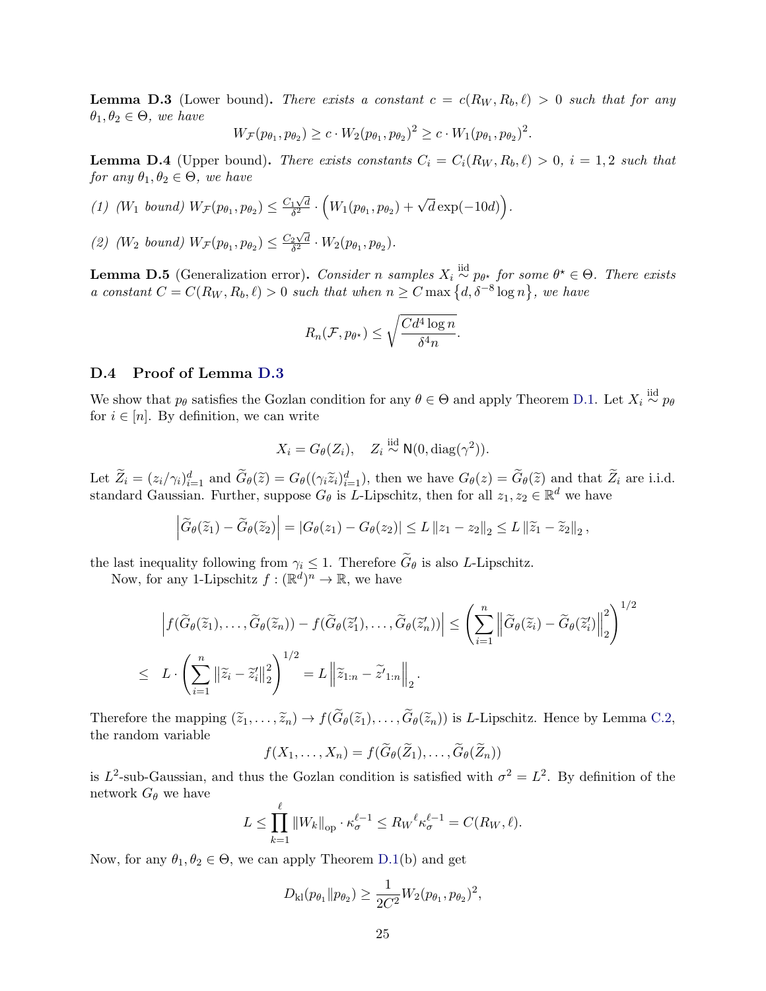**Lemma D.3** (Lower bound). There exists a constant  $c = c(R_W, R_b, \ell) > 0$  such that for any  $\theta_1, \theta_2 \in \Theta$ , we have

$$
W_{\mathcal{F}}(p_{\theta_1}, p_{\theta_2}) \ge c \cdot W_2(p_{\theta_1}, p_{\theta_2})^2 \ge c \cdot W_1(p_{\theta_1}, p_{\theta_2})^2.
$$

<span id="page-24-0"></span>**Lemma D.4** (Upper bound). There exists constants  $C_i = C_i(R_W, R_b, \ell) > 0$ ,  $i = 1, 2$  such that for any  $\theta_1, \theta_2 \in \Theta$ , we have

(1) 
$$
(W_1 \text{ bound}) W_{\mathcal{F}}(p_{\theta_1}, p_{\theta_2}) \leq \frac{C_1\sqrt{d}}{\delta^2} \cdot \left(W_1(p_{\theta_1}, p_{\theta_2}) + \sqrt{d}\exp(-10d)\right).
$$

(2) (W<sub>2</sub> bound)  $W_{\mathcal{F}}(p_{\theta_1}, p_{\theta_2}) \leq \frac{C_2\sqrt{d}}{\delta^2}$  $\frac{2\sqrt{d}}{\delta^2}\cdot W_2(p_{\theta_1},p_{\theta_2}).$ 

<span id="page-24-1"></span>**Lemma D.5** (Generalization error). Consider n samples  $X_i \overset{\text{iid}}{\sim} p_{\theta^{\star}}$  for some  $\theta^{\star} \in \Theta$ . There exists a constant  $C = C(R_W, R_b, \ell) > 0$  such that when  $n \ge C \max\{d, \delta^{-8} \log n\}$ , we have

$$
R_n(\mathcal{F}, p_{\theta^{\star}}) \le \sqrt{\frac{Cd^4\log n}{\delta^4 n}}.
$$

#### D.4 Proof of Lemma [D.3](#page-23-2)

We show that  $p_\theta$  satisfies the Gozlan condition for any  $\theta \in \Theta$  and apply Theorem [D.1.](#page-21-0) Let  $X_i \stackrel{\text{iid}}{\sim} p_\theta$ for  $i \in [n]$ . By definition, we can write

$$
X_i = G_{\theta}(Z_i), \quad Z_i \stackrel{\text{iid}}{\sim} \mathsf{N}(0, \text{diag}(\gamma^2)).
$$

Let  $\widetilde{Z}_i = (z_i/\gamma_i)_{i=1}^d$  and  $\widetilde{G}_{\theta}(\widetilde{z}) = G_{\theta}((\gamma_i \widetilde{z}_i)_{i=1}^d)$ , then we have  $G_{\theta}(z) = \widetilde{G}_{\theta}(\widetilde{z})$  and that  $\widetilde{Z}_i$  are i.i.d. standard Gaussian. Further, suppose  $G_{\theta}$  is *L*-Lipschitz, then

$$
\left|\widetilde{G}_{\theta}(\widetilde{z}_{1})-\widetilde{G}_{\theta}(\widetilde{z}_{2})\right|=\left|G_{\theta}(z_{1})-G_{\theta}(z_{2})\right|\leq L\left\|z_{1}-z_{2}\right\|_{2}\leq L\left\|\widetilde{z}_{1}-\widetilde{z}_{2}\right\|_{2},
$$

the last inequality following from  $\gamma_i \leq 1$ . Therefore  $G_\theta$  is also L-Lipschitz.

Now, for any 1-Lipschitz  $f: (\mathbb{R}^d)^n \to \mathbb{R}$ , we have

$$
\left| f(\widetilde{G}_{\theta}(\widetilde{z}_{1}), \ldots, \widetilde{G}_{\theta}(\widetilde{z}_{n})) - f(\widetilde{G}_{\theta}(\widetilde{z}_{1}), \ldots, \widetilde{G}_{\theta}(\widetilde{z}_{n}')) \right| \leq \left( \sum_{i=1}^{n} \left\| \widetilde{G}_{\theta}(\widetilde{z}_{i}) - \widetilde{G}_{\theta}(\widetilde{z}_{i}') \right\|_{2}^{2} \right)^{1/2}
$$
  

$$
\leq L \cdot \left( \sum_{i=1}^{n} \left\| \widetilde{z}_{i} - \widetilde{z}_{i}' \right\|_{2}^{2} \right)^{1/2} = L \left\| \widetilde{z}_{1:n} - \widetilde{z}'_{1:n} \right\|_{2}.
$$

Therefore the mapping  $(\tilde{z}_1, \ldots, \tilde{z}_n) \to f(\tilde{G}_{\theta}(\tilde{z}_1), \ldots, \tilde{G}_{\theta}(\tilde{z}_n))$  is L-Lipschitz. Hence by Lemma [C.2,](#page-18-2) the random variable

$$
f(X_1,\ldots,X_n)=f(\widetilde{G}_{\theta}(\widetilde{Z}_1),\ldots,\widetilde{G}_{\theta}(\widetilde{Z}_n))
$$

is  $L^2$ -sub-Gaussian, and thus the Gozlan condition is satisfied with  $\sigma^2 = L^2$ . By definition of the network  $G_{\theta}$  we have

$$
L \leq \prod_{k=1}^{\ell} ||W_k||_{\text{op}} \cdot \kappa_{\sigma}^{\ell-1} \leq R_W^{\ell} \kappa_{\sigma}^{\ell-1} = C(R_W, \ell).
$$

Now, for any  $\theta_1, \theta_2 \in \Theta$ , we can apply Theorem [D.1\(](#page-21-0)b) and get

$$
D_{\mathrm{kl}}(p_{\theta_1} \| p_{\theta_2}) \ge \frac{1}{2C^2} W_2(p_{\theta_1}, p_{\theta_2})^2,
$$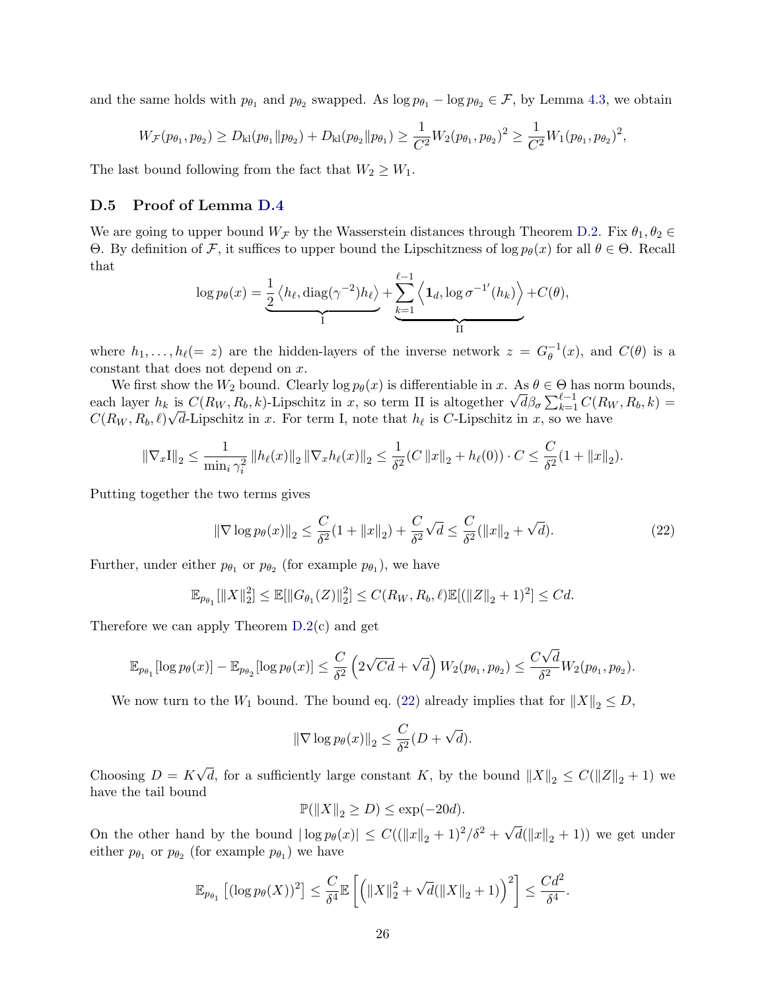and the same holds with  $p_{\theta_1}$  and  $p_{\theta_2}$  swapped. As  $\log p_{\theta_1} - \log p_{\theta_2} \in \mathcal{F}$ , by Lemma [4.3,](#page-8-0) we obtain

$$
W_{\mathcal{F}}(p_{\theta_1}, p_{\theta_2}) \ge D_{kl}(p_{\theta_1} \| p_{\theta_2}) + D_{kl}(p_{\theta_2} \| p_{\theta_1}) \ge \frac{1}{C^2} W_2(p_{\theta_1}, p_{\theta_2})^2 \ge \frac{1}{C^2} W_1(p_{\theta_1}, p_{\theta_2})^2,
$$

The last bound following from the fact that  $W_2 \geq W_1$ .

## D.5 Proof of Lemma [D.4](#page-24-0)

We are going to upper bound  $W_{\mathcal{F}}$  by the Wasserstein distances through Theorem [D.2.](#page-21-1) Fix  $\theta_1, \theta_2 \in$ Θ. By definition of F, it suffices to upper bound the Lipschitzness of log  $p<sub>θ</sub>(x)$  for all  $θ ∈ Θ$ . Recall that

$$
\log p_{\theta}(x) = \underbrace{\frac{1}{2} \langle h_{\ell}, \text{diag}(\gamma^{-2}) h_{\ell} \rangle}_{I} + \underbrace{\sum_{k=1}^{\ell-1} \langle \mathbf{1}_d, \log \sigma^{-1'}(h_k) \rangle}_{II} + C(\theta),
$$

where  $h_1, \ldots, h_\ell (= z)$  are the hidden-layers of the inverse network  $z = G_\theta^{-1}$  $_{\theta}^{-1}(x)$ , and  $C(\theta)$  is a constant that does not depend on x.

We first show the  $W_2$  bound. Clearly log  $p_\theta(x)$  is differentiable in x. As  $\theta \in \Theta$  has norm bounds, We first show the  $W_2$  bound. Clearly log  $p_{\theta}(x)$  is differentiable in x. As  $\theta \in \Theta$  has norm bounds,<br>each layer  $h_k$  is  $C(R_W, R_b, k)$ -Lipschitz in x, so term II is altogether  $\sqrt{d} \beta_{\sigma} \sum_{k=1}^{\ell-1} C(R_W, R_b, k)$  =  $C(R_W, R_b, \ell)\sqrt{d}$ -Lipschitz in x. For term I, note that  $h_\ell$  is C-Lipschitz in x, so we have

$$
\|\nabla_x I\|_2 \le \frac{1}{\min_i \gamma_i^2} \left\|h_\ell(x)\right\|_2 \left\|\nabla_x h_\ell(x)\right\|_2 \le \frac{1}{\delta^2} (C \left\|x\right\|_2 + h_\ell(0)) \cdot C \le \frac{C}{\delta^2} (1 + \left\|x\right\|_2).
$$

Putting together the two terms gives

<span id="page-25-0"></span>
$$
\|\nabla \log p_{\theta}(x)\|_{2} \le \frac{C}{\delta^{2}}(1 + \|x\|_{2}) + \frac{C}{\delta^{2}}\sqrt{d} \le \frac{C}{\delta^{2}}(\|x\|_{2} + \sqrt{d}).
$$
\n(22)

Further, under either  $p_{\theta_1}$  or  $p_{\theta_2}$  (for example  $p_{\theta_1}$ ), we have

$$
\mathbb{E}_{p_{\theta_1}}[\|X\|_2^2] \le \mathbb{E}[\|G_{\theta_1}(Z)\|_2^2] \le C(R_W, R_b, \ell) \mathbb{E}[(\|Z\|_2 + 1)^2] \le Cd.
$$

Therefore we can apply Theorem [D.2\(](#page-21-1)c) and get

$$
\mathbb{E}_{p_{\theta_1}}[\log p_{\theta}(x)] - \mathbb{E}_{p_{\theta_2}}[\log p_{\theta}(x)] \le \frac{C}{\delta^2} \left(2\sqrt{Cd} + \sqrt{d}\right) W_2(p_{\theta_1}, p_{\theta_2}) \le \frac{C\sqrt{d}}{\delta^2} W_2(p_{\theta_1}, p_{\theta_2}).
$$

We now turn to the  $W_1$  bound. The bound eq. [\(22\)](#page-25-0) already implies that for  $||X||_2 \leq D$ ,

$$
\|\nabla \log p_{\theta}(x)\|_2 \le \frac{C}{\delta^2}(D + \sqrt{d}).
$$

Choosing  $D = K$ √ d, for a sufficiently large constant K, by the bound  $||X||_2 \leq C(||Z||_2 + 1)$  we have the tail bound

 $\mathbb{P}(\|X\|_2 \geq D) \leq \exp(-20d).$ 

On the other hand by the bound  $|\log p_{\theta}(x)| \leq C((||x||_2 + 1)^2/\delta^2 + \sqrt{\frac{2}{\delta^2}})$  $d(\|x\|_2 + 1)$  we get under either  $p_{\theta_1}$  or  $p_{\theta_2}$  (for example  $p_{\theta_1}$ ) we have

$$
\mathbb{E}_{p_{\theta_1}}\left[ (\log p_{\theta}(X))^2 \right] \leq \frac{C}{\delta^4} \mathbb{E}\left[ \left( \|X\|_2^2 + \sqrt{d}(\|X\|_2 + 1) \right)^2 \right] \leq \frac{Cd^2}{\delta^4}.
$$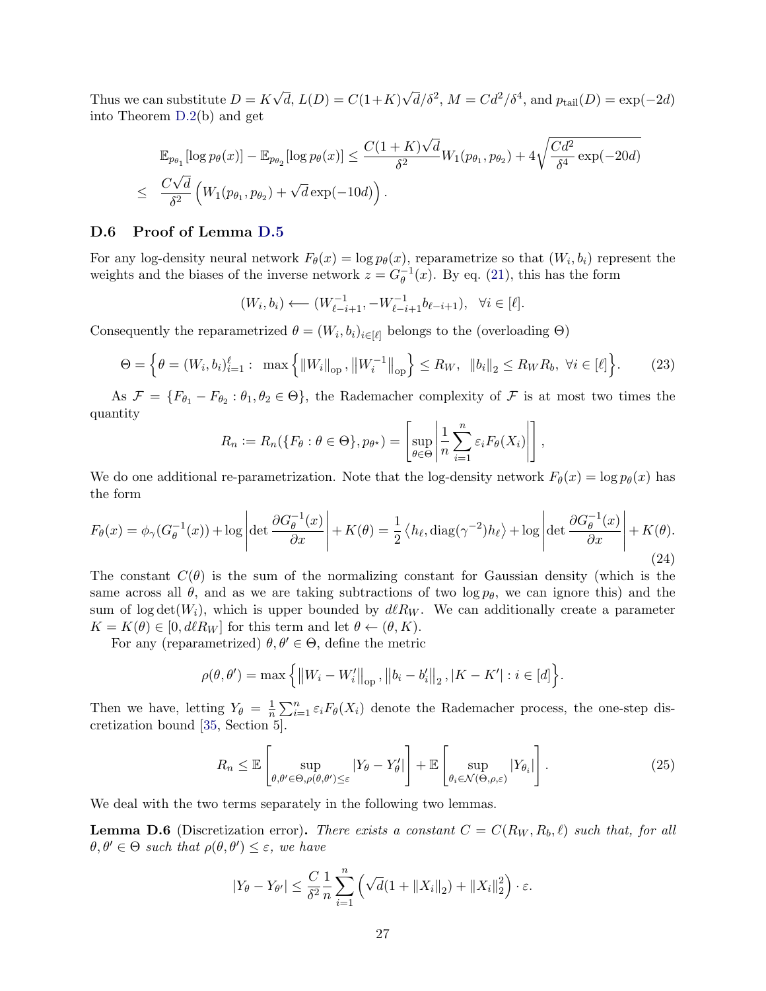Thus we can substitute  $D = K$ √  $d, L(D) = C(1+K)$  $\sqrt{d}/\delta^2$ ,  $M = C d^2/\delta^4$ , and  $p_{\text{tail}}(D) = \exp(-2d)$ into Theorem [D.2\(](#page-21-1)b) and get

$$
\mathbb{E}_{p_{\theta_1}}[\log p_{\theta}(x)] - \mathbb{E}_{p_{\theta_2}}[\log p_{\theta}(x)] \le \frac{C(1+K)\sqrt{d}}{\delta^2} W_1(p_{\theta_1}, p_{\theta_2}) + 4\sqrt{\frac{Cd^2}{\delta^4}} \exp(-20d)
$$
  

$$
\le \frac{C\sqrt{d}}{\delta^2} \left(W_1(p_{\theta_1}, p_{\theta_2}) + \sqrt{d} \exp(-10d)\right).
$$

### D.6 Proof of Lemma [D.5](#page-24-1)

For any log-density neural network  $F_{\theta}(x) = \log p_{\theta}(x)$ , reparametrize so that  $(W_i, b_i)$  represent the weights and the biases of the inverse network  $z = G_{\theta}^{-1}$  $_{\theta}^{-1}(x)$ . By eq. [\(21\)](#page-23-3), this has the form

$$
(W_i, b_i) \longleftarrow (W_{\ell-i+1}^{-1}, -W_{\ell-i+1}^{-1}b_{\ell-i+1}), \ \ \forall i \in [\ell].
$$

Consequently the reparametrized  $\theta = (W_i, b_i)_{i \in [\ell]}$  belongs to the (overloading  $\Theta$ )

$$
\Theta = \left\{ \theta = (W_i, b_i)_{i=1}^{\ell} : \max \left\{ \|W_i\|_{\text{op}}, \|W_i^{-1}\|_{\text{op}} \right\} \le R_W, \|b_i\|_2 \le R_W R_b, \ \forall i \in [\ell] \right\}.
$$
 (23)

As  $\mathcal{F} = \{F_{\theta_1} - F_{\theta_2} : \theta_1, \theta_2 \in \Theta\}$ , the Rademacher complexity of  $\mathcal{F}$  is at most two times the quantity

$$
R_n := R_n(\lbrace F_{\theta} : \theta \in \Theta \rbrace, p_{\theta^{\star}}) = \left[\sup_{\theta \in \Theta} \left| \frac{1}{n} \sum_{i=1}^n \varepsilon_i F_{\theta}(X_i) \right| \right],
$$

We do one additional re-parametrization. Note that the log-density network  $F_{\theta}(x) = \log p_{\theta}(x)$  has the form

$$
F_{\theta}(x) = \phi_{\gamma}(G_{\theta}^{-1}(x)) + \log \left| \det \frac{\partial G_{\theta}^{-1}(x)}{\partial x} \right| + K(\theta) = \frac{1}{2} \left\langle h_{\ell}, \text{diag}(\gamma^{-2}) h_{\ell} \right\rangle + \log \left| \det \frac{\partial G_{\theta}^{-1}(x)}{\partial x} \right| + K(\theta). \tag{24}
$$

The constant  $C(\theta)$  is the sum of the normalizing constant for Gaussian density (which is the same across all  $\theta$ , and as we are taking subtractions of two log  $p_{\theta}$ , we can ignore this) and the sum of log det( $W_i$ ), which is upper bounded by  $dlR_W$ . We can additionally create a parameter  $K = K(\theta) \in [0, d\ell R_W]$  for this term and let  $\theta \leftarrow (\theta, K)$ .

For any (reparametrized)  $\theta, \theta' \in \Theta$ , define the metric

$$
\rho(\theta, \theta') = \max \left\{ ||W_i - W_i'||_{\text{op}}, ||b_i - b_i'||_2, |K - K'| : i \in [d] \right\}.
$$

Then we have, letting  $Y_{\theta} = \frac{1}{n}$  $\frac{1}{n} \sum_{i=1}^{n} \varepsilon_i F_{\theta}(X_i)$  denote the Rademacher process, the one-step discretization bound [\[35,](#page-13-14) Section 5].

<span id="page-26-0"></span>
$$
R_n \leq \mathbb{E}\left[\sup_{\theta,\theta' \in \Theta, \rho(\theta,\theta') \leq \varepsilon} |Y_{\theta} - Y_{\theta}'| \right] + \mathbb{E}\left[\sup_{\theta_i \in \mathcal{N}(\Theta,\rho,\varepsilon)} |Y_{\theta_i}| \right].
$$
 (25)

<span id="page-26-1"></span>We deal with the two terms separately in the following two lemmas.

<span id="page-26-2"></span>**Lemma D.6** (Discretization error). There exists a constant  $C = C(R_W, R_b, \ell)$  such that, for all  $\theta, \theta' \in \Theta$  such that  $\rho(\theta, \theta') \leq \varepsilon$ , we have

$$
|Y_{\theta} - Y_{\theta'}| \leq \frac{C}{\delta^2} \frac{1}{n} \sum_{i=1}^n \left( \sqrt{d} (1 + \|X_i\|_2) + \|X_i\|_2^2 \right) \cdot \varepsilon.
$$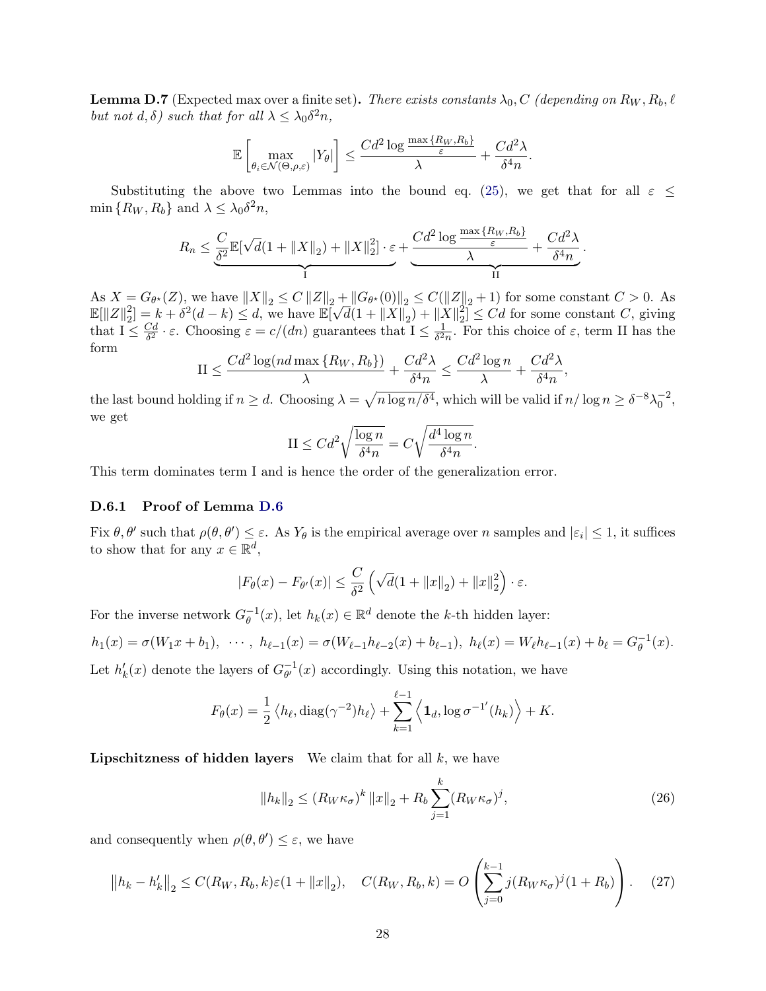**Lemma D.7** (Expected max over a finite set). There exists constants  $\lambda_0$ , C (depending on  $R_W$ ,  $R_b$ ,  $\ell$ but not  $d, \delta$ ) such that for all  $\lambda \leq \lambda_0 \delta^2 n$ ,

$$
\mathbb{E}\left[\max_{\theta_i \in \mathcal{N}(\Theta,\rho,\varepsilon)}|Y_{\theta}|\right] \leq \frac{Cd^2\log\frac{\max\{R_W,R_b\}}{\varepsilon}}{\lambda} + \frac{Cd^2\lambda}{\delta^4 n}.
$$

Substituting the above two Lemmas into the bound eq. [\(25\)](#page-26-0), we get that for all  $\varepsilon \leq$ min  $\{R_W, R_b\}$  and  $\lambda \leq \lambda_0 \delta^2 n$ ,

$$
R_n \leq \underbrace{\frac{C}{\delta^2} \mathbb{E}[\sqrt{d}(1 + \|X\|_2) + \|X\|_2^2]}_{\text{I}} \cdot \varepsilon + \underbrace{\frac{Cd^2 \log \frac{\max\{R_W, R_b\}}{\varepsilon}}{\lambda} + \frac{Cd^2 \lambda}{\delta^4 n}}_{\text{II}}.
$$

As  $X = G_{\theta^*}(Z)$ , we have  $||X||_2 \leq C ||Z||_2 + ||G_{\theta^*}(0)||_2 \leq C(||Z||_2 + 1)$  for some constant  $C > 0$ . As  $\mathbb{E}[\|Z\|_2^2]$  $= G_{\theta^*}(\mathcal{Z})$ , we have  $\|\mathcal{X}\|_2 \leq C \|\mathcal{Z}\|_2 +$ <br>  $\frac{2}{2!} = k + \delta^2(d-k) \leq d$ , we have  $\mathbb{E}[\sqrt{d}]$  $\overline{d}(1 + \|X\|_2) + \|X\|_2^2$  $\mathbb{Z}_2^2 \leq C d$  for some constant C, giving that  $I \leq \frac{Cd}{\delta^2}$  $\frac{Cd}{\delta^2} \cdot \varepsilon$ . Choosing  $\varepsilon = c/(dn)$  guarantees that  $I \leq \frac{1}{\delta^2}$  $\frac{1}{\delta^2 n}$ . For this choice of  $\varepsilon$ , term II has the form

$$
\text{II} \le \frac{Cd^2\log(nd\max\{R_W, R_b\})}{\lambda} + \frac{Cd^2\lambda}{\delta^4n} \le \frac{Cd^2\log n}{\lambda} + \frac{Cd^2\lambda}{\delta^4n},
$$

the last bound holding if  $n \geq d$ . Choosing  $\lambda = \sqrt{n \log n/\delta^4}$ , which will be valid if  $n/\log n \geq \delta^{-8}\lambda_0^{-2}$ , we get

$$
\text{II} \leq C d^2 \sqrt{\frac{\log n}{\delta^4 n}} = C \sqrt{\frac{d^4 \log n}{\delta^4 n}}.
$$

This term dominates term I and is hence the order of the generalization error.

#### D.6.1 Proof of Lemma [D.6](#page-26-1)

Fix  $\theta, \theta'$  such that  $\rho(\theta, \theta') \leq \varepsilon$ . As  $Y_{\theta}$  is the empirical average over n samples and  $|\varepsilon_i| \leq 1$ , it suffices to show that for any  $x \in \mathbb{R}^d$ ,

$$
|F_{\theta}(x) - F_{\theta'}(x)| \leq \frac{C}{\delta^2} \left( \sqrt{d} (1 + ||x||_2) + ||x||_2^2 \right) \cdot \varepsilon.
$$

For the inverse network  $G_{\theta}^{-1}$  $\theta^{-1}(x)$ , let  $h_k(x) \in \mathbb{R}^d$  denote the k-th hidden layer:

$$
h_1(x) = \sigma(W_1x + b_1), \cdots, h_{\ell-1}(x) = \sigma(W_{\ell-1}h_{\ell-2}(x) + b_{\ell-1}), h_{\ell}(x) = W_{\ell}h_{\ell-1}(x) + b_{\ell} = G_{\theta}^{-1}(x).
$$

Let  $h'_k(x)$  denote the layers of  $G_{\theta'}^{-1}$  $_{\theta'}^{-1}(x)$  accordingly. Using this notation, we have

$$
F_{\theta}(x) = \frac{1}{2} \langle h_{\ell}, \text{diag}(\gamma^{-2}) h_{\ell} \rangle + \sum_{k=1}^{\ell-1} \langle \mathbf{1}_d, \log \sigma^{-1}(h_k) \rangle + K.
$$

**Lipschitzness of hidden layers** We claim that for all  $k$ , we have

<span id="page-27-0"></span>
$$
||h_k||_2 \le (R_W \kappa_\sigma)^k ||x||_2 + R_b \sum_{j=1}^k (R_W \kappa_\sigma)^j,
$$
\n(26)

and consequently when  $\rho(\theta, \theta') \leq \varepsilon$ , we have

<span id="page-27-1"></span>
$$
||h_k - h'_k||_2 \le C(R_W, R_b, k)\varepsilon(1 + ||x||_2), \quad C(R_W, R_b, k) = O\left(\sum_{j=0}^{k-1} j(R_W \kappa_\sigma)^j (1 + R_b)\right). \tag{27}
$$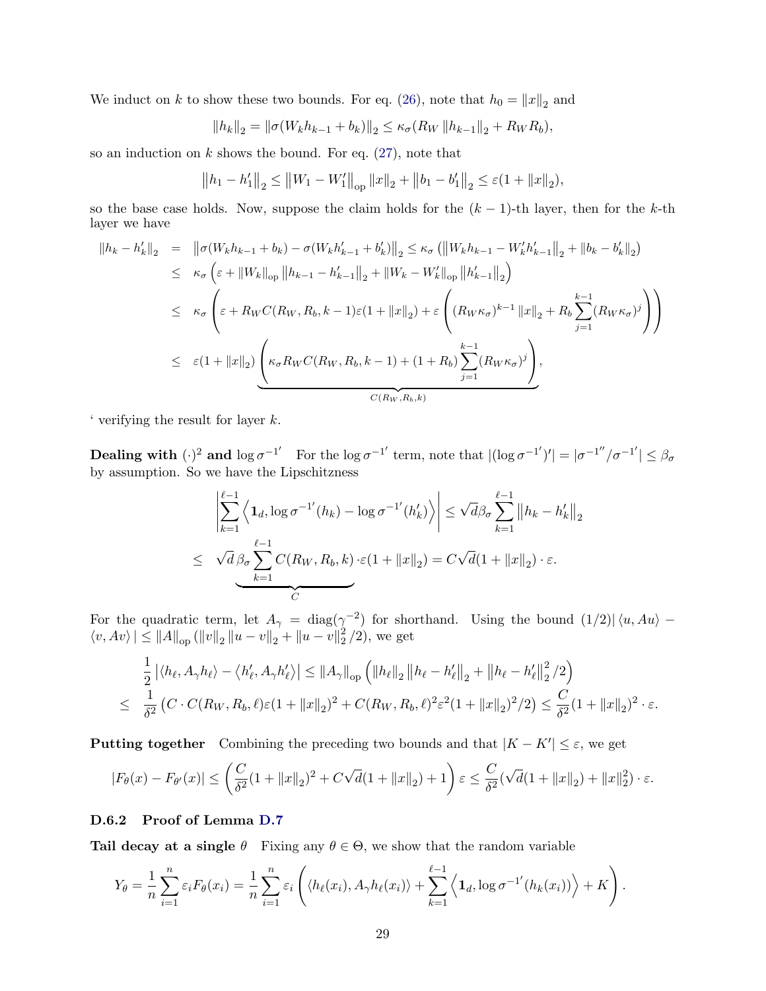We induct on k to show these two bounds. For eq. [\(26\)](#page-27-0), note that  $h_0 = ||x||_2$  and

$$
||h_k||_2 = ||\sigma(W_k h_{k-1} + b_k)||_2 \le \kappa \sigma(R_W ||h_{k-1}||_2 + R_W R_b),
$$

so an induction on  $k$  shows the bound. For eq.  $(27)$ , note that

$$
||h_1 - h'_1||_2 \le ||W_1 - W'_1||_{op} ||x||_2 + ||b_1 - b'_1||_2 \le \varepsilon (1 + ||x||_2),
$$

so the base case holds. Now, suppose the claim holds for the  $(k-1)$ -th layer, then for the k-th layer we have

$$
||h_{k} - h'_{k}||_{2} = ||\sigma(W_{k}h_{k-1} + b_{k}) - \sigma(W_{k}h'_{k-1} + b'_{k})||_{2} \le \kappa_{\sigma} (||W_{k}h_{k-1} - W'_{k}h'_{k-1}||_{2} + ||b_{k} - b'_{k}||_{2})
$$
  
\n
$$
\le \kappa_{\sigma} \left(\varepsilon + ||W_{k}||_{op} ||h_{k-1} - h'_{k-1}||_{2} + ||W_{k} - W'_{k}||_{op} ||h'_{k-1}||_{2}\right)
$$
  
\n
$$
\le \kappa_{\sigma} \left(\varepsilon + R_{W}C(R_{W}, R_{b}, k-1)\varepsilon(1 + ||x||_{2}) + \varepsilon \left((R_{W}\kappa_{\sigma})^{k-1} ||x||_{2} + R_{b} \sum_{j=1}^{k-1} (R_{W}\kappa_{\sigma})^{j}\right)\right)
$$
  
\n
$$
\le \varepsilon(1 + ||x||_{2}) \underbrace{\left(\kappa_{\sigma}R_{W}C(R_{W}, R_{b}, k-1) + (1 + R_{b}) \sum_{j=1}^{k-1} (R_{W}\kappa_{\sigma})^{j}\right)}_{C(R_{W}, R_{b}, k)},
$$

' verifying the result for layer k.

**Dealing with**  $(\cdot)^2$  and  $\log \sigma^{-1'}$  For the  $\log \sigma^{-1'}$  term, note that  $|(\log \sigma^{-1'})'| = |\sigma^{-1''}/\sigma^{-1'}| \leq \beta_\sigma$ by assumption. So we have the Lipschitzness

$$
\left| \sum_{k=1}^{\ell-1} \left\langle \mathbf{1}_d, \log \sigma^{-1'}(h_k) - \log \sigma^{-1'}(h'_k) \right\rangle \right| \leq \sqrt{d} \beta \sigma \sum_{k=1}^{\ell-1} \left\| h_k - h'_k \right\|_2
$$
  

$$
\leq \sqrt{d} \beta \sigma \sum_{k=1}^{\ell-1} C(R_W, R_b, k) \cdot \varepsilon (1 + \|x\|_2) = C \sqrt{d} (1 + \|x\|_2) \cdot \varepsilon.
$$

For the quadratic term, let  $A_{\gamma} = \text{diag}(\gamma^{-2})$  for shorthand. Using the bound  $(1/2)| \langle u, Au \rangle \langle v, Av \rangle \le ||A||_{op} (||v||_2 ||u - v||_2 + ||u - v||_2^2)$  $^{2}_{2}$  /2), we get

$$
\frac{1}{2} |\langle h_{\ell}, A_{\gamma} h_{\ell} \rangle - \langle h'_{\ell}, A_{\gamma} h'_{\ell} \rangle| \le ||A_{\gamma}||_{op} \left( ||h_{\ell}||_2 ||h_{\ell} - h'_{\ell}||_2 + ||h_{\ell} - h'_{\ell}||_2^2 / 2 \right)
$$
  

$$
\leq \frac{1}{\delta^2} \left( C \cdot C(R_W, R_b, \ell) \varepsilon (1 + ||x||_2)^2 + C(R_W, R_b, \ell)^2 \varepsilon^2 (1 + ||x||_2)^2 / 2 \right) \leq \frac{C}{\delta^2} (1 + ||x||_2)^2 \cdot \varepsilon.
$$

**Putting together** Combining the preceding two bounds and that  $|K - K'| \leq \varepsilon$ , we get

$$
|F_{\theta}(x) - F_{\theta'}(x)| \le \left(\frac{C}{\delta^2} (1 + \|x\|_2)^2 + C\sqrt{d}(1 + \|x\|_2) + 1\right) \varepsilon \le \frac{C}{\delta^2} (\sqrt{d}(1 + \|x\|_2) + \|x\|_2^2) \cdot \varepsilon.
$$

## D.6.2 Proof of Lemma [D.7](#page-26-2)

Tail decay at a single  $\theta$  Fixing any  $\theta \in \Theta$ , we show that the random variable

$$
Y_{\theta} = \frac{1}{n} \sum_{i=1}^{n} \varepsilon_{i} F_{\theta}(x_{i}) = \frac{1}{n} \sum_{i=1}^{n} \varepsilon_{i} \left( \langle h_{\ell}(x_{i}), A_{\gamma} h_{\ell}(x_{i}) \rangle + \sum_{k=1}^{\ell-1} \left\langle \mathbf{1}_{d}, \log \sigma^{-1}(h_{k}(x_{i})) \right\rangle + K \right).
$$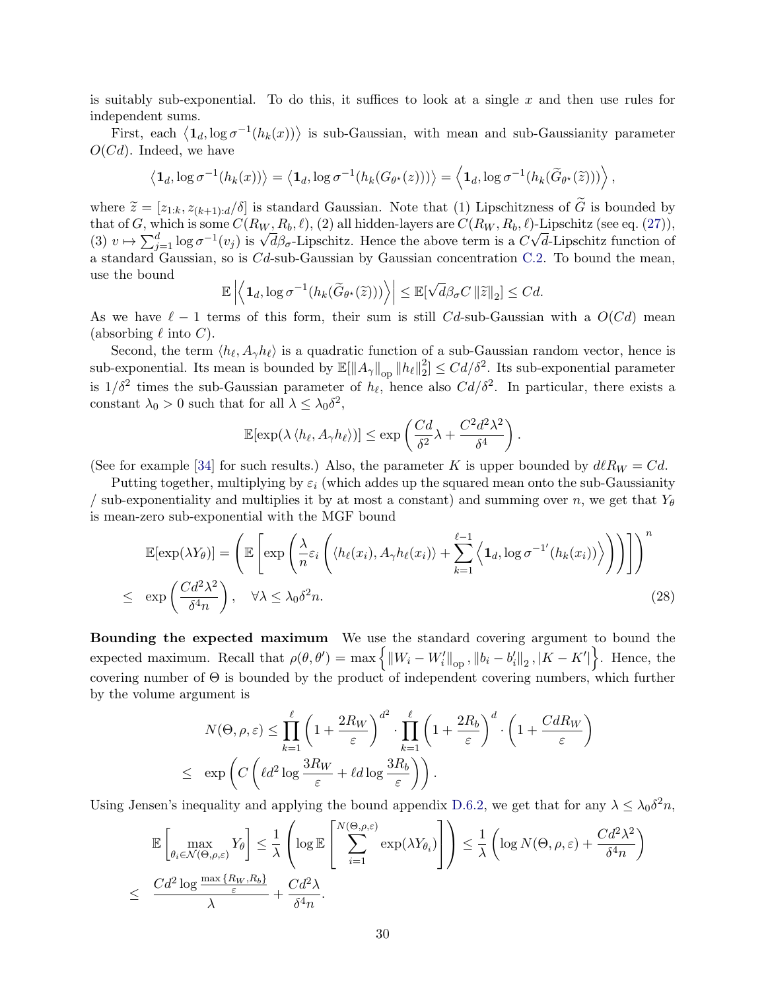is suitably sub-exponential. To do this, it suffices to look at a single  $x$  and then use rules for independent sums.

First, each  $\langle \mathbf{1}_d, \log \sigma^{-1}(h_k(x)) \rangle$  is sub-Gaussian, with mean and sub-Gaussianity parameter  $O(Cd)$ . Indeed, we have

$$
\left\langle \mathbf{1}_d, \log \sigma^{-1}(h_k(x)) \right\rangle = \left\langle \mathbf{1}_d, \log \sigma^{-1}(h_k(G_{\theta^{\star}}(z))) \right\rangle = \left\langle \mathbf{1}_d, \log \sigma^{-1}(h_k(\widetilde{G}_{\theta^{\star}}(\widetilde{z}))) \right\rangle,
$$

where  $\tilde{z} = [z_{1:k}, z_{(k+1):d}/\delta]$  is standard Gaussian. Note that (1) Lipschitzness of  $\tilde{G}$  is bounded by that of G, which is some  $C(R_W, R_b, \ell)$ , (2) all hidden-layers are  $C(R_W, R_b, \ell)$ -Lipschitz (see eq. [\(27\)](#page-27-1)), that or G, which is some  $C(R_W, R_b, \ell)$ , (2) all moden-layers are  $C(R_W, R_b, \ell)$ -Lipschitz (see eq. (2*i*)),<br>(3)  $v \mapsto \sum_{j=1}^d \log \sigma^{-1}(v_j)$  is  $\sqrt{d} \beta_{\sigma}$ -Lipschitz. Hence the above term is a  $C\sqrt{d}$ -Lipschitz function of a standard Gaussian, so is Cd-sub-Gaussian by Gaussian concentration [C.2.](#page-18-2) To bound the mean, use the bound √

$$
\mathbb{E}\left|\left\langle\mathbf{1}_d,\log \sigma^{-1}(h_k(\widetilde{G}_{\theta^*}(\widetilde{z})))\right\rangle\right| \leq \mathbb{E}[\sqrt{d}\beta_{\sigma}C\left\|\widetilde{z}\right\|_2] \leq C d.
$$

As we have  $\ell - 1$  terms of this form, their sum is still Cd-sub-Gaussian with a  $O(Cd)$  mean (absorbing  $\ell$  into C).

Second, the term  $\langle h_\ell, A_\gamma h_\ell \rangle$  is a quadratic function of a sub-Gaussian random vector, hence is sub-exponential. Its mean is bounded by  $\mathbb{E}[\Vert A_{\gamma}\Vert_{\text{op}} \Vert h_{\ell}\Vert_2^2]$  $2\leq Cd/\delta^2$ . Its sub-exponential parameter is  $1/\delta^2$  times the sub-Gaussian parameter of  $h_\ell$ , hence also  $Cd/\delta^2$ . In particular, there exists a constant  $\lambda_0 > 0$  such that for all  $\lambda \leq \lambda_0 \delta^2$ ,

$$
\mathbb{E}[\exp(\lambda \langle h_\ell, A_\gamma h_\ell \rangle)] \le \exp\left(\frac{Cd}{\delta^2} \lambda + \frac{C^2 d^2 \lambda^2}{\delta^4}\right)
$$

.

(See for example [\[34\]](#page-13-8) for such results.) Also, the parameter K is upper bounded by  $dR_W = Cd$ .

Putting together, multiplying by  $\varepsilon_i$  (which addes up the squared mean onto the sub-Gaussianity / sub-exponentiality and multiplies it by at most a constant) and summing over n, we get that  $Y_{\theta}$ is mean-zero sub-exponential with the MGF bound

<span id="page-29-0"></span>
$$
\mathbb{E}[\exp(\lambda Y_{\theta})] = \left(\mathbb{E}\left[\exp\left(\frac{\lambda}{n}\varepsilon_{i}\left(\langle h_{\ell}(x_{i}), A_{\gamma}h_{\ell}(x_{i})\rangle + \sum_{k=1}^{\ell-1}\left\langle\mathbf{1}_{d}, \log \sigma^{-1}(h_{k}(x_{i}))\right\rangle\right)\right)\right]\right)^{n}
$$
\n
$$
\leq \exp\left(\frac{Cd^{2}\lambda^{2}}{\delta^{4}n}\right), \quad \forall \lambda \leq \lambda_{0}\delta^{2}n. \tag{28}
$$

Bounding the expected maximum We use the standard covering argument to bound the expected maximum. Recall that  $\rho(\theta, \theta') = \max \left\{ ||W_i - W_i'||_{\text{op}} , ||b_i - b_i'||_2 , |K - K'|\right\}$ . Hence, the covering number of  $\Theta$  is bounded by the product of independent covering numbers, which further by the volume argument is

$$
N(\Theta, \rho, \varepsilon) \le \prod_{k=1}^{\ell} \left( 1 + \frac{2R_W}{\varepsilon} \right)^{d^2} \cdot \prod_{k=1}^{\ell} \left( 1 + \frac{2R_b}{\varepsilon} \right)^d \cdot \left( 1 + \frac{CdR_W}{\varepsilon} \right)
$$
  

$$
\le \exp \left( C \left( \ell d^2 \log \frac{3R_W}{\varepsilon} + \ell d \log \frac{3R_b}{\varepsilon} \right) \right).
$$

Using Jensen's inequality and applying the bound appendix [D.6.2,](#page-29-0) we get that for any  $\lambda \leq \lambda_0 \delta^2 n$ ,

$$
\mathbb{E}\left[\max_{\theta_i \in \mathcal{N}(\Theta,\rho,\varepsilon)} Y_{\theta}\right] \leq \frac{1}{\lambda} \left(\log \mathbb{E}\left[\sum_{i=1}^{N(\Theta,\rho,\varepsilon)} \exp(\lambda Y_{\theta_i})\right]\right) \leq \frac{1}{\lambda} \left(\log N(\Theta,\rho,\varepsilon) + \frac{Cd^2\lambda^2}{\delta^4 n}\right)
$$
  

$$
\leq \frac{Cd^2 \log \frac{\max\{R_W, R_b\}}{\varepsilon}}{\lambda} + \frac{Cd^2\lambda}{\delta^4 n}.
$$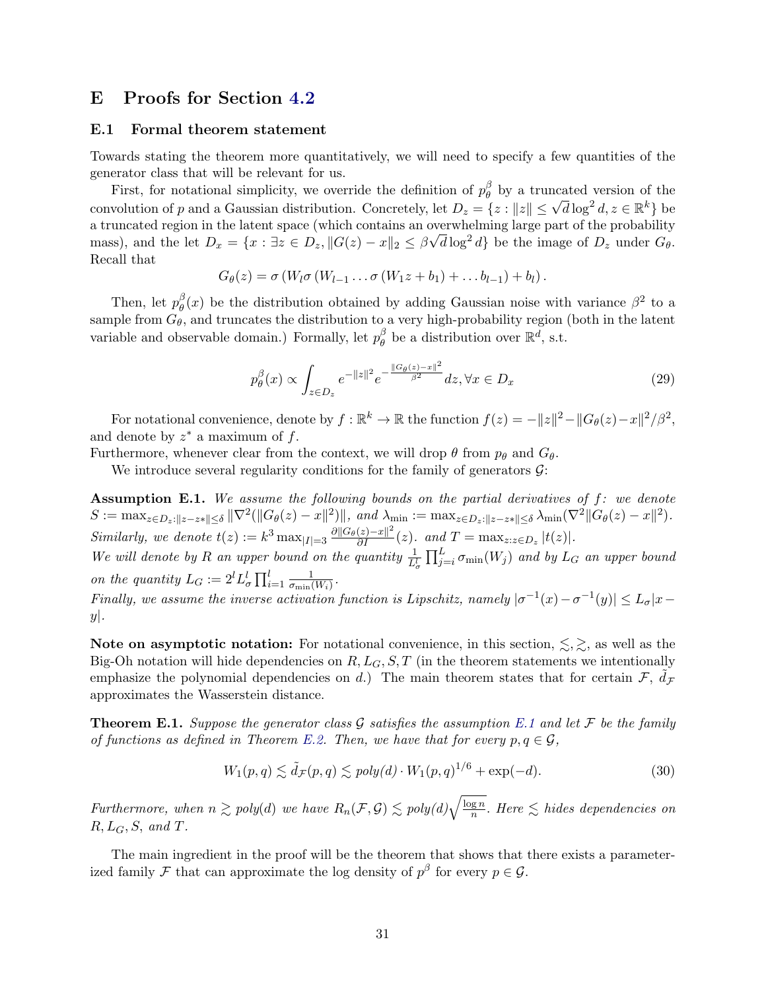## <span id="page-30-0"></span>E Proofs for Section [4.2](#page-8-1)

### E.1 Formal theorem statement

Towards stating the theorem more quantitatively, we will need to specify a few quantities of the generator class that will be relevant for us.

First, for notational simplicity, we override the definition of  $p_\theta^\beta$  $\theta$  by a truncated version of the convolution of p and a Gaussian distribution. Concretely, let  $D_z = \{z : ||z|| \leq \sqrt{d} \log^2 d, z \in \mathbb{R}^k\}$  be a truncated region in the latent space (which contains an overwhelming large part of the probability mass), and the let  $D_x = \{x : \exists z \in D_z, ||G(z) - x||_2 \leq \beta \sqrt{d} \log^2 d\}$  be the image of  $D_z$  under  $G_{\theta}$ . Recall that

$$
G_{\theta}(z) = \sigma(W_l \sigma(W_{l-1} \ldots \sigma(W_1 z + b_1) + \ldots b_{l-1}) + b_l).
$$

Then, let  $p_{\theta}^{\beta}$  $\frac{\beta}{\theta}(x)$  be the distribution obtained by adding Gaussian noise with variance  $\beta^2$  to a sample from  $G_{\theta}$ , and truncates the distribution to a very high-probability region (both in the latent variable and observable domain.) Formally, let  $p_\theta^\beta$  $\stackrel{\beta}{\theta}$  be a distribution over  $\mathbb{R}^d$ , s.t.

$$
p_{\theta}^{\beta}(x) \propto \int_{z \in D_z} e^{-\|z\|^2} e^{-\frac{\|G_{\theta}(z) - x\|^2}{\beta^2}} dz, \forall x \in D_x
$$
 (29)

For notational convenience, denote by  $f: \mathbb{R}^k \to \mathbb{R}$  the function  $f(z) = -\|z\|^2 - \|G_\theta(z) - x\|^2/\beta^2$ , and denote by  $z^*$  a maximum of  $f$ .

Furthermore, whenever clear from the context, we will drop  $\theta$  from  $p_{\theta}$  and  $G_{\theta}$ .

We introduce several regularity conditions for the family of generators  $\mathcal{G}$ :

<span id="page-30-2"></span>Assumption E.1. We assume the following bounds on the partial derivatives of  $f$ : we denote  $S := \max_{z \in D_z: ||z - z|| \leq \delta} ||\nabla^2(||G_{\theta}(z) - x||^2) ||$ , and  $\lambda_{\min} := \max_{z \in D_z: ||z - z|| \leq \delta} \lambda_{\min}(\nabla^2 ||G_{\theta}(z) - x||^2)$ . Similarly, we denote  $t(z) := k^3 \max_{|I|=3} \frac{\partial ||G_{\theta}(z)-x||^2}{\partial I}(z)$ . and  $T = \max_{z:z \in D_z} |t(z)|$ .

We will denote by R an upper bound on the quantity  $\frac{1}{L_{\sigma}^{l}} \prod_{j=i}^{L} \sigma_{\min}(W_j)$  and by  $L_G$  an upper bound on the quantity  $L_G := 2^l L^l_{\sigma} \prod_{i=1}^l \frac{1}{\sigma_{\min}}$  $\frac{1}{\sigma_{\min}(W_i)}$  .

Finally, we assume the inverse activation function is Lipschitz, namely  $|\sigma^{-1}(x) - \sigma^{-1}(y)| \leq L_{\sigma}|x - y|$  $y$ .

Note on asymptotic notation: For notational convenience, in this section,  $\leq, \geq$ , as well as the Big-Oh notation will hide dependencies on  $R, L_G, S, T$  (in the theorem statements we intentionally emphasize the polynomial dependencies on d.) The main theorem states that for certain  $\mathcal{F}, \tilde{d}_{\mathcal{F}}$ approximates the Wasserstein distance.

<span id="page-30-1"></span>**Theorem [E.1](#page-30-2).** Suppose the generator class G satisfies the assumption E.1 and let F be the family of functions as defined in Theorem [E.2.](#page-30-3) Then, we have that for every  $p, q \in \mathcal{G}$ ,

$$
W_1(p,q) \lesssim \tilde{d}_{\mathcal{F}}(p,q) \lesssim poly(d) \cdot W_1(p,q)^{1/6} + \exp(-d). \tag{30}
$$

Furthermore, when  $n \gtrsim poly(d)$  we have  $R_n(\mathcal{F}, \mathcal{G}) \lesssim poly(d) \sqrt{\frac{\log n}{n}}$  $\frac{gn}{n}$ . Here  $\leq$  hides dependencies on  $R, L_G, S, \text{ and } T.$ 

<span id="page-30-3"></span>The main ingredient in the proof will be the theorem that shows that there exists a parameterized family F that can approximate the log density of  $p^{\beta}$  for every  $p \in \mathcal{G}$ .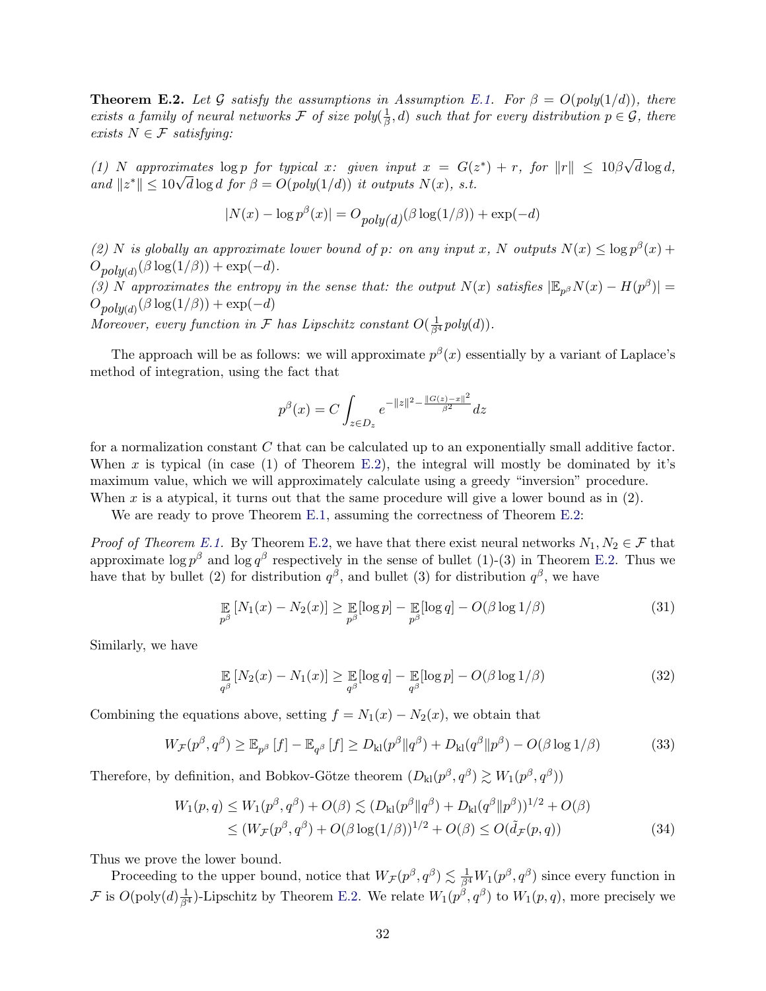**Theorem E.2.** Let G satisfy the assumptions in Assumption [E.1.](#page-30-2) For  $\beta = O(\text{poly}(1/d))$ , there exists a family of neural networks F of size poly $(\frac{1}{6})$  $(\frac{1}{\beta}, d)$  such that for every distribution  $p \in \mathcal{G}$ , there exists  $N \in \mathcal{F}$  satisfying:

(1) N approximates  $\log p$  for typical x: given input  $x = G(z^*) + r$ , for  $||r|| \leq 10\beta$ √  $d \log d$ , (1) Iv approximates  $\log p$  for typical x: given input  $x = G(z)$ <br>and  $||z^*|| \le 10\sqrt{d} \log d$  for  $\beta = O(poly(1/d))$  it outputs  $N(x)$ , s.t.

$$
|N(x) - \log p^{\beta}(x)| = O_{poly(d)}(\beta \log(1/\beta)) + \exp(-d)
$$

(2) N is globally an approximate lower bound of p: on any input x, N outputs  $N(x) \le \log p^{\beta}(x)$  +  $O_{poly(d)}(\beta \log(1/\beta)) + \exp(-d).$ 

(3) N approximates the entropy in the sense that: the output  $N(x)$  satisfies  $|\mathbb{E}_{p^{\beta}}N(x) - H(p^{\beta})|$  =  $O_{poly(d)}(\beta \log(1/\beta)) + \exp(-d)$ 

Moreover, every function in F has Lipschitz constant  $O(\frac{1}{\beta^4}poly(d)).$ 

The approach will be as follows: we will approximate  $p^{\beta}(x)$  essentially by a variant of Laplace's method of integration, using the fact that

$$
p^{\beta}(x) = C \int_{z \in D_z} e^{-\|z\|^2 - \frac{\|G(z) - x\|^2}{\beta^2}} dz
$$

for a normalization constant C that can be calculated up to an exponentially small additive factor. When x is typical (in case (1) of Theorem [E.2\)](#page-30-3), the integral will mostly be dominated by it's maximum value, which we will approximately calculate using a greedy "inversion" procedure. When x is a atypical, it turns out that the same procedure will give a lower bound as in  $(2)$ .

We are ready to prove Theorem [E.1,](#page-30-1) assuming the correctness of Theorem [E.2:](#page-30-3)

*Proof of Theorem [E.1.](#page-30-1)* By Theorem [E.2,](#page-30-3) we have that there exist neural networks  $N_1, N_2 \in \mathcal{F}$  that approximate  $\log p^{\beta}$  and  $\log q^{\beta}$  respectively in the sense of bullet (1)-(3) in Theorem [E.2.](#page-30-3) Thus we have that by bullet (2) for distribution  $q^{\beta}$ , and bullet (3) for distribution  $q^{\beta}$ , we have

$$
\mathop{\mathbb{E}}_{p^{\beta}}\left[N_1(x) - N_2(x)\right] \geq \mathop{\mathbb{E}}_{p^{\beta}}[\log p] - \mathop{\mathbb{E}}_{p^{\beta}}[\log q] - O(\beta \log 1/\beta)
$$
\n(31)

Similarly, we have

$$
\mathop{\mathbb{E}}_{q^{\beta}}\left[N_2(x) - N_1(x)\right] \geq \mathop{\mathbb{E}}_{q^{\beta}}[\log q] - \mathop{\mathbb{E}}_{q^{\beta}}[\log p] - O(\beta \log 1/\beta)
$$
\n(32)

Combining the equations above, setting  $f = N_1(x) - N_2(x)$ , we obtain that

$$
W_{\mathcal{F}}(p^{\beta}, q^{\beta}) \geq \mathbb{E}_{p^{\beta}}[f] - \mathbb{E}_{q^{\beta}}[f] \geq D_{kl}(p^{\beta} || q^{\beta}) + D_{kl}(q^{\beta} || p^{\beta}) - O(\beta \log 1/\beta)
$$
(33)

Therefore, by definition, and Bobkov-Götze theorem  $(D_{kl}(p^{\beta}, q^{\beta}) \gtrsim W_1(p^{\beta}, q^{\beta}))$ 

$$
W_1(p,q) \le W_1(p^{\beta}, q^{\beta}) + O(\beta) \lesssim (D_{kl}(p^{\beta} || q^{\beta}) + D_{kl}(q^{\beta} || p^{\beta}))^{1/2} + O(\beta)
$$
  
\n
$$
\le (W_{\mathcal{F}}(p^{\beta}, q^{\beta}) + O(\beta \log(1/\beta))^{1/2} + O(\beta) \le O(\tilde{d}_{\mathcal{F}}(p, q))
$$
\n(34)

Thus we prove the lower bound.

Proceeding to the upper bound, notice that  $W_{\mathcal{F}}(p^{\beta}, q^{\beta}) \lesssim \frac{1}{\beta^4} W_1(p^{\beta}, q^{\beta})$  since every function in F is  $O(poly(d) \frac{1}{\beta^4})$ -Lipschitz by Theorem [E.2.](#page-30-3) We relate  $W_1(p^{\beta}, q^{\beta})$  to  $W_1(p, q)$ , more precisely we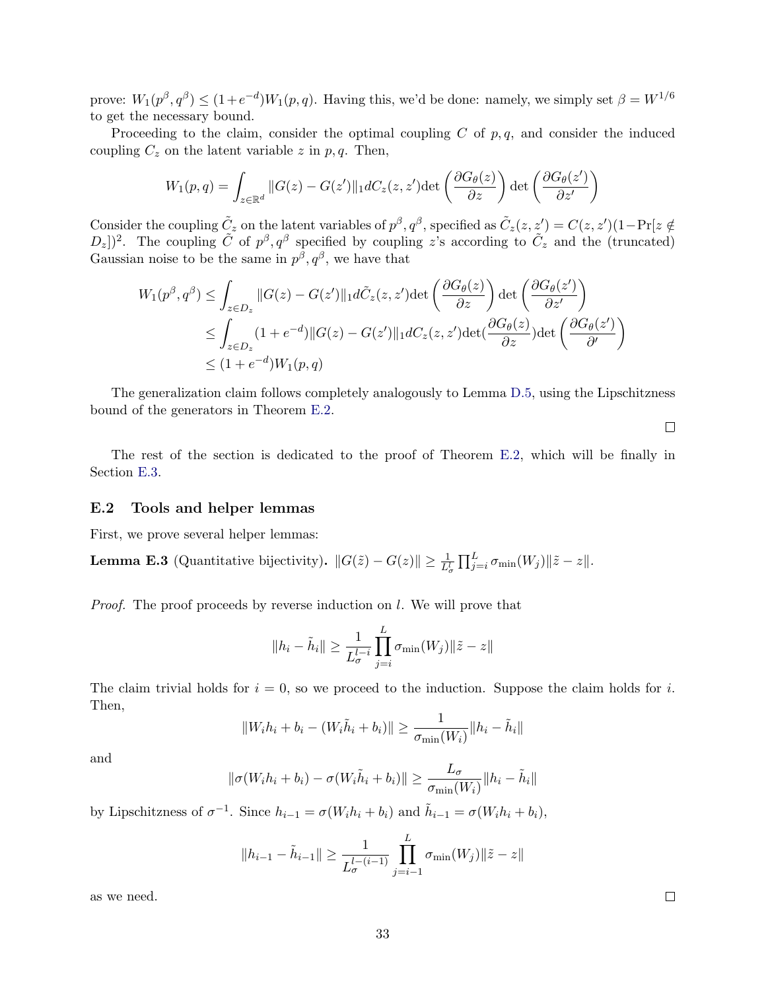prove:  $W_1(p^{\beta}, q^{\beta}) \le (1+e^{-d})W_1(p, q)$ . Having this, we'd be done: namely, we simply set  $\beta = W^{1/6}$ to get the necessary bound.

Proceeding to the claim, consider the optimal coupling  $C$  of  $p, q$ , and consider the induced coupling  $C_z$  on the latent variable z in p, q. Then,

$$
W_1(p,q) = \int_{z \in \mathbb{R}^d} ||G(z) - G(z')||_1 dC_z(z, z') \det\left(\frac{\partial G_{\theta}(z)}{\partial z}\right) \det\left(\frac{\partial G_{\theta}(z')}{\partial z'}\right)
$$

Consider the coupling  $\tilde{C}_z$  on the latent variables of  $p^{\beta}, q^{\beta}$ , specified as  $\tilde{C}_z(z, z') = C(z, z')(1 - \Pr[z \notin z']$  $(D_z)$ <sup>2</sup>. The coupling  $\tilde{C}$  of  $p^{\beta}, q^{\beta}$  specified by coupling z's according to  $\tilde{C}_z$  and the (truncated) Gaussian noise to be the same in  $p^{\beta}, q^{\beta}$ , we have that

$$
W_1(p^{\beta}, q^{\beta}) \le \int_{z \in D_z} ||G(z) - G(z')||_1 d\tilde{C}_z(z, z') \det\left(\frac{\partial G_{\theta}(z)}{\partial z}\right) \det\left(\frac{\partial G_{\theta}(z')}{\partial z'}\right)
$$
  
\n
$$
\le \int_{z \in D_z} (1 + e^{-d}) ||G(z) - G(z')||_1 dC_z(z, z') \det\left(\frac{\partial G_{\theta}(z)}{\partial z}\right) \det\left(\frac{\partial G_{\theta}(z')}{\partial z'}\right)
$$
  
\n
$$
\le (1 + e^{-d}) W_1(p, q)
$$

The generalization claim follows completely analogously to Lemma [D.5,](#page-24-1) using the Lipschitzness bound of the generators in Theorem [E.2.](#page-30-3)

 $\Box$ 

The rest of the section is dedicated to the proof of Theorem [E.2,](#page-30-3) which will be finally in Section [E.3.](#page-34-0)

### E.2 Tools and helper lemmas

First, we prove several helper lemmas:

<span id="page-32-0"></span>**Lemma E.3** (Quantitative bijectivity).  $||G(\tilde{z}) - G(z)|| \geq \frac{1}{L_{\sigma}^{L}} \prod_{j=i}^{L} \sigma_{\min}(W_j) ||\tilde{z} - z||$ .

Proof. The proof proceeds by reverse induction on l. We will prove that

$$
||h_i - \tilde{h}_i|| \ge \frac{1}{L_{\sigma}^{l-i}} \prod_{j=i}^{L} \sigma_{\min}(W_j) ||\tilde{z} - z||
$$

The claim trivial holds for  $i = 0$ , so we proceed to the induction. Suppose the claim holds for i. Then,

$$
||W_i h_i + b_i - (W_i \tilde{h}_i + b_i)|| \ge \frac{1}{\sigma_{\min}(W_i)} ||h_i - \tilde{h}_i||
$$

and

$$
\|\sigma(W_i h_i + b_i) - \sigma(W_i \tilde{h}_i + b_i)\| \ge \frac{L_{\sigma}}{\sigma_{\min}(W_i)} \|h_i - \tilde{h}_i\|
$$

by Lipschitzness of  $\sigma^{-1}$ . Since  $h_{i-1} = \sigma(W_i h_i + b_i)$  and  $\tilde{h}_{i-1} = \sigma(W_i h_i + b_i)$ ,

$$
||h_{i-1} - \tilde{h}_{i-1}|| \ge \frac{1}{L_{\sigma}^{l-(i-1)}} \prod_{j=i-1}^{L} \sigma_{\min}(W_j) ||\tilde{z} - z||
$$

<span id="page-32-1"></span>as we need.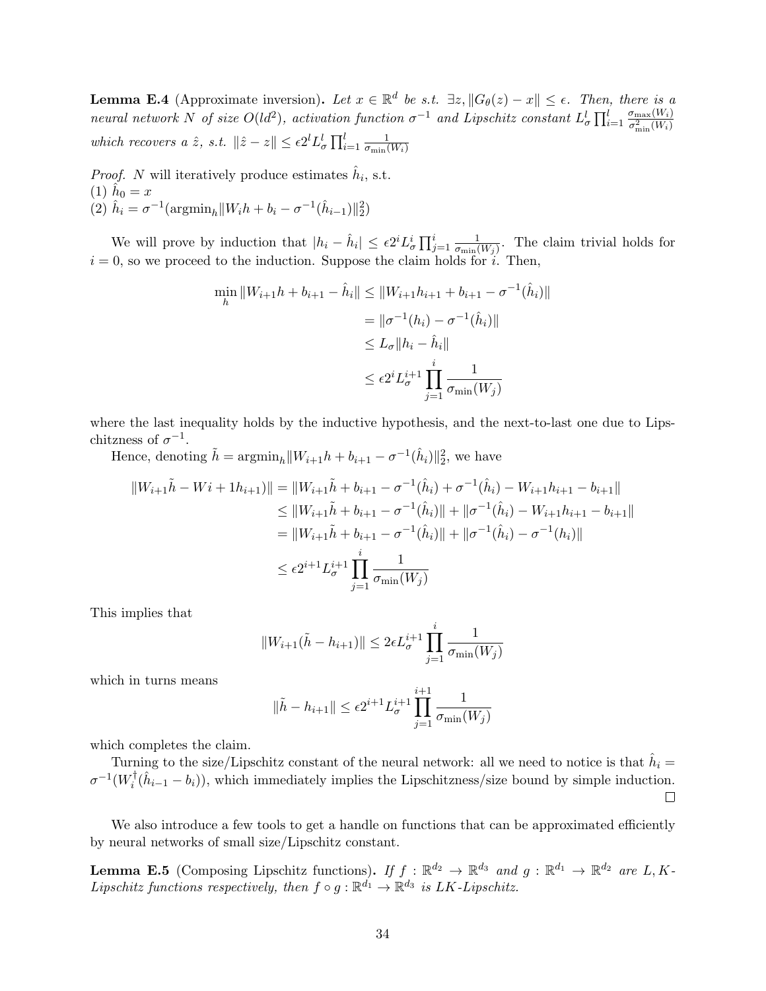**Lemma E.4** (Approximate inversion). Let  $x \in \mathbb{R}^d$  be s.t.  $\exists z, ||G_\theta(z) - x|| \le \epsilon$ . Then, there is a neural network N of size  $O(d^2)$ , activation function  $\sigma^{-1}$  and Lipschitz constant  $L^l_{\sigma} \prod_{i=1}^l \frac{\sigma_{\max}(W_i)}{\sigma^2 \cdot (W_i)}$  $\sigma_{\min}^2(W_i)$ which recovers a  $\hat{z}$ , s.t.  $\|\hat{z}-z\| \leq \epsilon 2^{l} L_{\sigma}^{l} \prod_{i=1}^{l} \frac{1}{\sigma_{\min}}$  $\sigma_{\min}(W_i)$ 

*Proof.* N will iteratively produce estimates  $\hat{h}_i$ , s.t. (1)  $\hat{h}_0 = x$ (2)  $\hat{h}_i = \sigma^{-1}(\text{argmin}_h ||W_i h + b_i - \sigma^{-1}(\hat{h}_{i-1})||_2^2)$ 

We will prove by induction that  $|h_i - \hat{h}_i| \leq \epsilon 2^i L^i_{\sigma} \prod_{j=1}^i \frac{1}{\sigma_{\min}}$  $\frac{1}{\sigma_{\min}(W_j)}$ . The claim trivial holds for  $i = 0$ , so we proceed to the induction. Suppose the claim holds for i. Then,

$$
\min_{h} \|W_{i+1}h + b_{i+1} - \hat{h}_i\| \le \|W_{i+1}h_{i+1} + b_{i+1} - \sigma^{-1}(\hat{h}_i)\|
$$
  
=  $\|\sigma^{-1}(h_i) - \sigma^{-1}(\hat{h}_i)\|$   
 $\le L_{\sigma} \|h_i - \hat{h}_i\|$   
 $\le \epsilon 2^i L_{\sigma}^{i+1} \prod_{j=1}^i \frac{1}{\sigma_{\min}(W_j)}$ 

where the last inequality holds by the inductive hypothesis, and the next-to-last one due to Lipschitzness of  $\sigma^{-1}$ .

Hence, denoting  $\tilde{h} = \operatorname{argmin}_h ||W_{i+1}h + b_{i+1} - \sigma^{-1}(\hat{h}_i)||_2^2$ , we have

$$
||W_{i+1}\tilde{h} - Wi + 1h_{i+1})|| = ||W_{i+1}\tilde{h} + b_{i+1} - \sigma^{-1}(\hat{h}_i) + \sigma^{-1}(\hat{h}_i) - W_{i+1}h_{i+1} - b_{i+1}||
$$
  
\n
$$
\leq ||W_{i+1}\tilde{h} + b_{i+1} - \sigma^{-1}(\hat{h}_i)|| + ||\sigma^{-1}(\hat{h}_i) - W_{i+1}h_{i+1} - b_{i+1}||
$$
  
\n
$$
= ||W_{i+1}\tilde{h} + b_{i+1} - \sigma^{-1}(\hat{h}_i)|| + ||\sigma^{-1}(\hat{h}_i) - \sigma^{-1}(h_i)||
$$
  
\n
$$
\leq \epsilon 2^{i+1} L_{\sigma}^{i+1} \prod_{j=1}^{i} \frac{1}{\sigma_{\min}(W_j)}
$$

This implies that

$$
||W_{i+1}(\tilde{h} - h_{i+1})|| \le 2\epsilon L_{\sigma}^{i+1} \prod_{j=1}^{i} \frac{1}{\sigma_{\min}(W_j)}
$$

which in turns means

$$
\|\tilde{h} - h_{i+1}\| \le \epsilon 2^{i+1} L_{\sigma}^{i+1} \prod_{j=1}^{i+1} \frac{1}{\sigma_{\min}(W_j)}
$$

which completes the claim.

Turning to the size/Lipschitz constant of the neural network: all we need to notice is that  $\hat{h}_i =$  $\sigma^{-1}(W_i^\dagger$  $\hat{i}(\hat{h}_{i-1} - b_i)$ , which immediately implies the Lipschitzness/size bound by simple induction.  $\Box$ 

We also introduce a few tools to get a handle on functions that can be approximated efficiently by neural networks of small size/Lipschitz constant.

<span id="page-33-0"></span>**Lemma E.5** (Composing Lipschitz functions). If  $f : \mathbb{R}^{d_2} \to \mathbb{R}^{d_3}$  and  $g : \mathbb{R}^{d_1} \to \mathbb{R}^{d_2}$  are L, K-Lipschitz functions respectively, then  $f \circ g : \mathbb{R}^{d_1} \to \mathbb{R}^{d_3}$  is LK-Lipschitz.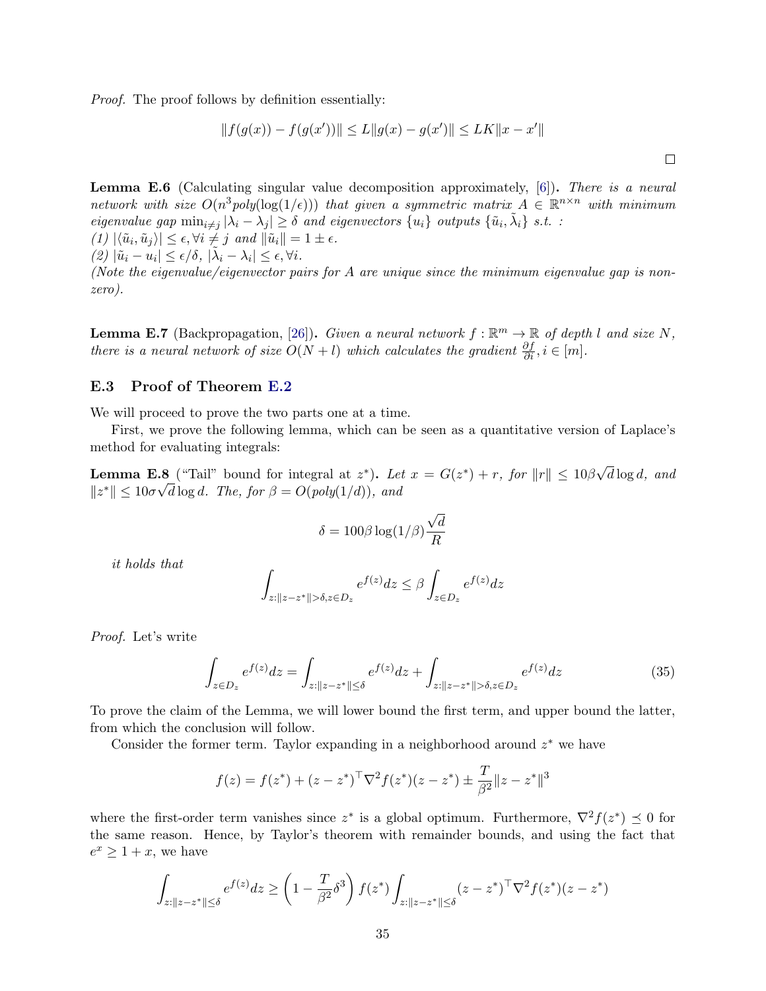Proof. The proof follows by definition essentially:

$$
||f(g(x)) - f(g(x'))|| \le L||g(x) - g(x')|| \le LK||x - x'||
$$

<span id="page-34-3"></span>**Lemma E.6** (Calculating singular value decomposition approximately,  $[6]$ ). There is a neural network with size  $O(n^3 poly(\log(1/\epsilon)))$  that given a symmetric matrix  $A \in \mathbb{R}^{n \times n}$  with minimum eigenvalue gap  $\min_{i \neq j} |\lambda_i - \lambda_j| \ge \delta$  and eigenvectors  $\{u_i\}$  outputs  $\{\tilde{u}_i, \tilde{\lambda}_i\}$  s.t. :  $(1) \vert \langle \tilde{u}_i, \tilde{u}_j \rangle \vert \leq \epsilon, \forall i \neq j \text{ and } \Vert \tilde{u}_i \Vert = 1 \pm \epsilon.$  $(2) |\tilde{u}_i - u_i| \leq \epsilon/\delta, |\tilde{\lambda}_i - \lambda_i| \leq \epsilon, \forall i.$ 

(Note the eigenvalue/eigenvector pairs for A are unique since the minimum eigenvalue gap is nonzero).

<span id="page-34-2"></span>**Lemma E.7** (Backpropagation, [\[26\]](#page-13-15)). Given a neural network  $f : \mathbb{R}^m \to \mathbb{R}$  of depth l and size N, there is a neural network of size  $O(N+l)$  which calculates the gradient  $\frac{\partial f}{\partial i}$ ,  $i \in [m]$ .

#### <span id="page-34-0"></span>E.3 Proof of Theorem [E.2](#page-30-3)

We will proceed to prove the two parts one at a time.

First, we prove the following lemma, which can be seen as a quantitative version of Laplace's method for evaluating integrals:

<span id="page-34-4"></span>**Lemma E.8** ("Tail" bound for integral at  $z^*$ ). Let  $x = G(z^*) + r$ , for  $||r|| \leq 10\beta$ √ **.8** ("Tail" bound for integral at  $z^*$ ). Let  $x = G(z^*) + r$ , for  $||r|| \leq 10\beta\sqrt{d}\log d$ , and  $||z^*|| \leq 10\sigma\sqrt{d}\log d$ . The, for  $\beta = O(poly(1/d))$ , and

$$
\delta = 100 \beta \log(1/\beta) \frac{\sqrt{d}}{R}
$$

it holds that

$$
\int_{z: \|z-z^*\| > \delta, z \in D_z} e^{f(z)} dz \leq \beta \int_{z \in D_z} e^{f(z)} dz
$$

Proof. Let's write

<span id="page-34-1"></span>
$$
\int_{z \in D_z} e^{f(z)} dz = \int_{z: \|z - z^*\| \le \delta} e^{f(z)} dz + \int_{z: \|z - z^*\| > \delta, z \in D_z} e^{f(z)} dz \tag{35}
$$

To prove the claim of the Lemma, we will lower bound the first term, and upper bound the latter, from which the conclusion will follow.

Consider the former term. Taylor expanding in a neighborhood around  $z^*$  we have

$$
f(z) = f(z^*) + (z - z^*)^{\top} \nabla^2 f(z^*)(z - z^*) \pm \frac{T}{\beta^2} ||z - z^*||^3
$$

where the first-order term vanishes since  $z^*$  is a global optimum. Furthermore,  $\nabla^2 f(z^*) \preceq 0$  for the same reason. Hence, by Taylor's theorem with remainder bounds, and using the fact that  $e^x \geq 1 + x$ , we have

$$
\int_{z:||z-z^*|| \le \delta} e^{f(z)} dz \ge \left(1 - \frac{T}{\beta^2} \delta^3\right) f(z^*) \int_{z:||z-z^*|| \le \delta} (z - z^*)^\top \nabla^2 f(z^*)(z - z^*)
$$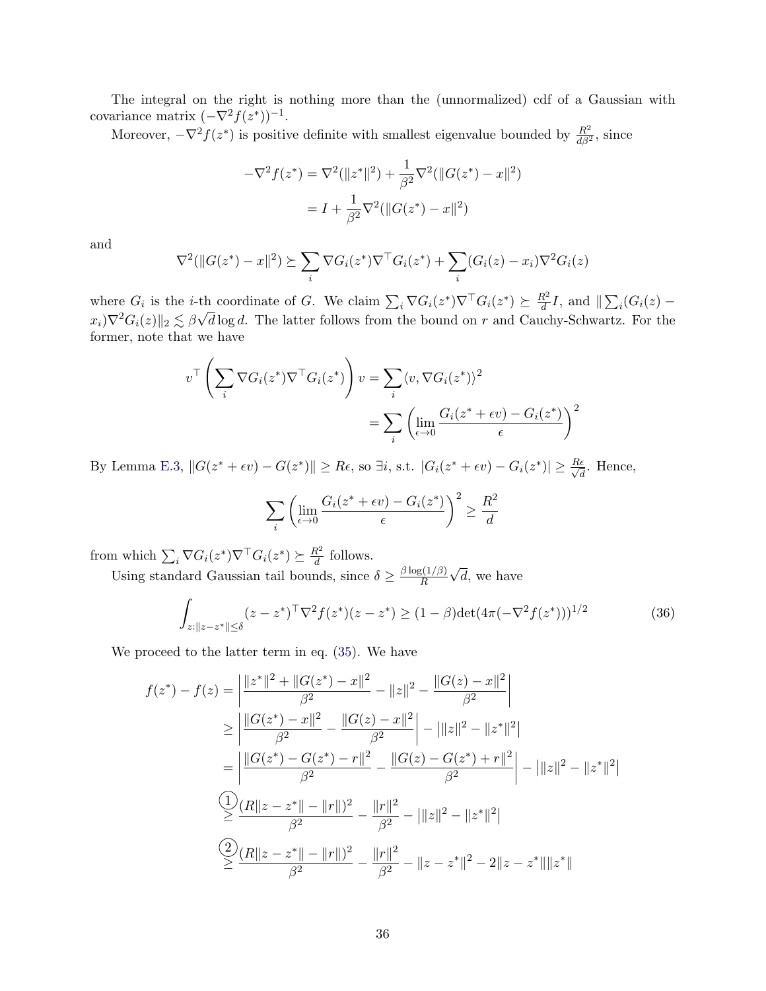The integral on the right is nothing more than the (unnormalized) cdf of a Gaussian with covariance matrix  $(-\nabla^2 f(z^*))^{-1}$ .

Moreover,  $-\nabla^2 f(z^*)$  is positive definite with smallest eigenvalue bounded by  $\frac{R^2}{d\beta^2}$ , since

$$
-\nabla^2 f(z^*) = \nabla^2 (\|z^*\|^2) + \frac{1}{\beta^2} \nabla^2 (\|G(z^*) - x\|^2)
$$

$$
= I + \frac{1}{\beta^2} \nabla^2 (\|G(z^*) - x\|^2)
$$

and

$$
\nabla^2(||G(z^*) - x||^2) \succeq \sum_i \nabla G_i(z^*) \nabla^{\top} G_i(z^*) + \sum_i (G_i(z) - x_i) \nabla^2 G_i(z)
$$

where  $G_i$  is the *i*-th coordinate of G. We claim  $\sum_i \nabla G_i(z^*) \nabla^{\top} G_i(z^*) \succeq \frac{R^2}{d}$  $\frac{d^2}{d}I$ , and  $\Vert \sum_i (G_i(z)$ where  $G_i$  is the *t*-ti<br> $x_i$ ) $\nabla^2 G_i(z)$ <sub>2</sub>  $\lesssim \beta \sqrt{\frac{1}{2}}$  $d \log d$ . The latter follows from the bound on r and Cauchy-Schwartz. For the former, note that we have

$$
v^{\top} \left( \sum_{i} \nabla G_{i}(z^{*}) \nabla^{\top} G_{i}(z^{*}) \right) v = \sum_{i} \langle v, \nabla G_{i}(z^{*}) \rangle^{2}
$$

$$
= \sum_{i} \left( \lim_{\epsilon \to 0} \frac{G_{i}(z^{*} + \epsilon v) - G_{i}(z^{*})}{\epsilon} \right)^{2}
$$

By Lemma [E.3,](#page-32-0)  $||G(z^* + \epsilon v) - G(z^*)|| \geq R\epsilon$ , so  $\exists i$ , s.t.  $|G_i(z^* + \epsilon v) - G_i(z^*)| \geq \frac{R\epsilon}{\sqrt{d}}$  $\frac{\epsilon}{d}$ . Hence,

$$
\sum_{i} \left( \lim_{\epsilon \to 0} \frac{G_i(z^* + \epsilon v) - G_i(z^*)}{\epsilon} \right)^2 \ge \frac{R^2}{d}
$$

from which  $\sum_i \nabla G_i(z^*) \nabla^{\top} G_i(z^*) \succeq \frac{R^2}{d}$  $\frac{d^2}{dt}$  follows.

Using standard Gaussian tail bounds, since  $\delta \geq \frac{\beta \log(1/\beta)}{R}$ R √  $d$ , we have

<span id="page-35-0"></span>
$$
\int_{z:||z-z^*|| \le \delta} (z-z^*)^\top \nabla^2 f(z^*)(z-z^*) \ge (1-\beta) \det(4\pi(-\nabla^2 f(z^*)))^{1/2}
$$
(36)

We proceed to the latter term in eq. [\(35\)](#page-34-1). We have

$$
f(z^*) - f(z) = \left| \frac{\|z^*\|^2 + \|G(z^*) - x\|^2}{\beta^2} - \|z\|^2 - \frac{\|G(z) - x\|^2}{\beta^2} \right|
$$
  
\n
$$
\geq \left| \frac{\|G(z^*) - x\|^2}{\beta^2} - \frac{\|G(z) - x\|^2}{\beta^2} \right| - \|\|z\|^2 - \|z^*\|^2|
$$
  
\n
$$
= \left| \frac{\|G(z^*) - G(z^*) - r\|^2}{\beta^2} - \frac{\|G(z) - G(z^*) + r\|^2}{\beta^2} \right| - \|\|z\|^2 - \|z^*\|^2|
$$
  
\n
$$
\frac{Q}{\beta^2} \frac{(R\|z - z^*\| - \|r\|)^2}{\beta^2} - \frac{\|r\|^2}{\beta^2} - \|\|z\|^2 - \|z^*\|^2|
$$
  
\n
$$
\frac{Q}{\beta^2} \frac{(R\|z - z^*\| - \|r\|)^2}{\beta^2} - \frac{\|r\|^2}{\beta^2} - \|z - z^*\|^2 - 2\|z - z^*\|\|z^*\|
$$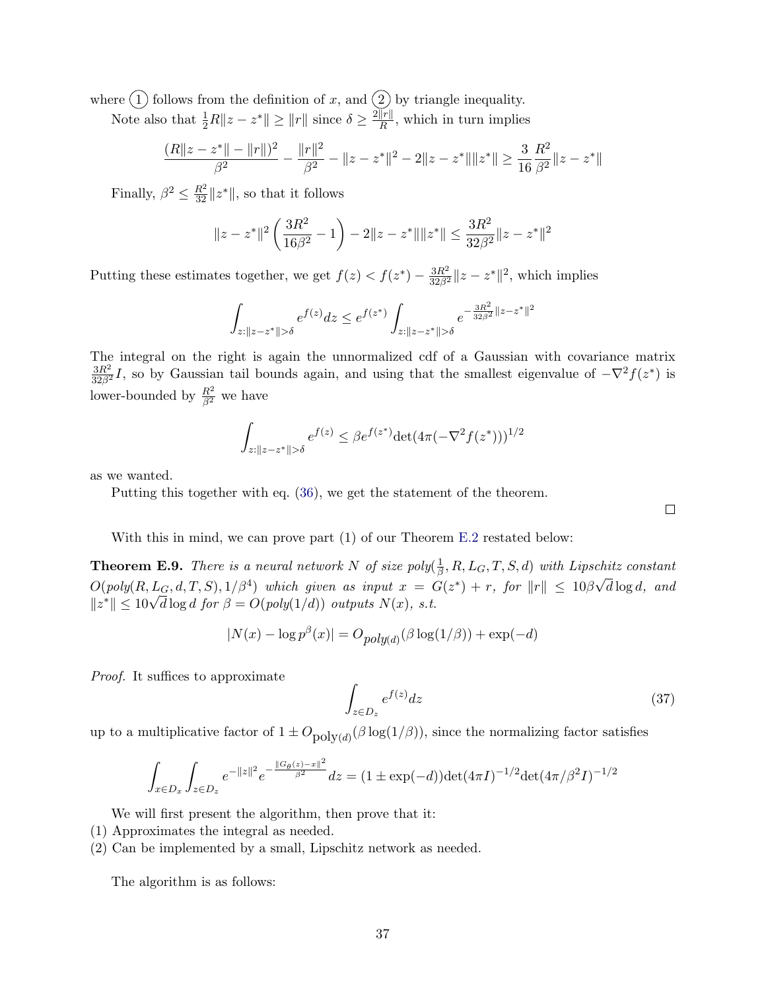where  $(1)$  follows from the definition of x, and  $(2)$  by triangle inequality.

Note also that  $\frac{1}{2}R||z - z^*|| \ge ||r||$  since  $\delta \ge \frac{2||r||}{R}$  $\frac{f||T||}{R}$ , which in turn implies

$$
\frac{(R\|z-z^*\|-\|r\|)^2}{\beta^2}-\frac{\|r\|^2}{\beta^2}-\|z-z^*\|^2-2\|z-z^*\|\|z^*\|\geq \frac{3}{16}\frac{R^2}{\beta^2}\|z-z^*\|
$$

Finally,  $\beta^2 \leq \frac{R^2}{32} ||z^*||$ , so that it follows

$$
||z - z^*||^2 \left(\frac{3R^2}{16\beta^2} - 1\right) - 2||z - z^*|| ||z^*|| \le \frac{3R^2}{32\beta^2} ||z - z^*||^2
$$

Putting these estimates together, we get  $f(z) < f(z^*) - \frac{3R^2}{32\beta^2} ||z - z^*||^2$ , which implies

$$
\int_{z: \|z-z^*\| > \delta} e^{f(z)} dz \leq e^{f(z^*)} \int_{z: \|z-z^*\| > \delta} e^{-\frac{3R^2}{32\beta^2} \|z-z^*\|^2}
$$

The integral on the right is again the unnormalized cdf of a Gaussian with covariance matrix  $\frac{3R^2}{32\beta^2}I$ , so by Gaussian tail bounds again, and using that the smallest eigenvalue of  $-\nabla^2 f(z^*)$  is lower-bounded by  $\frac{R^2}{\beta^2}$  we have

$$
\int_{z:||z-z^*||>\delta} e^{f(z)} \le \beta e^{f(z^*)} \det(4\pi(-\nabla^2 f(z^*)))^{1/2}
$$

as we wanted.

Putting this together with eq. [\(36\)](#page-35-0), we get the statement of the theorem.

With this in mind, we can prove part  $(1)$  of our Theorem [E.2](#page-30-3) restated below:

<span id="page-36-0"></span>**Theorem E.9.** There is a neural network N of size poly $(\frac{1}{6})$  $\frac{1}{\beta}, R, L_G, T, S, d)$  with Lipschitz constant  $O(poly(R, L_G, d, T, S), 1/\beta^4)$  which given as input  $x = G(z^*) + r$ , for  $||r|| \leq 10\beta\sqrt{d}\log d$ , and  $O(poly(R, L_G, a, 1, S), 1/\beta^*)$  which given as input  $x = 0$ <br> $||z^*|| \le 10\sqrt{d} \log d$  for  $\beta = O(poly(1/d))$  outputs  $N(x)$ , s.t.

$$
|N(x) - \log p^{\beta}(x)| = O_{poly(d)}(\beta \log(1/\beta)) + \exp(-d)
$$

Proof. It suffices to approximate

$$
\int_{z \in D_z} e^{f(z)} dz \tag{37}
$$

up to a multiplicative factor of  $1 \pm O_{\text{poly}(d)}(\beta \log(1/\beta))$ , since the normalizing factor satisfies

$$
\int_{x \in D_x} \int_{z \in D_z} e^{-\|z\|^2} e^{-\frac{\|G_\theta(z) - x\|^2}{\beta^2}} dz = (1 \pm \exp(-d)) \det(4\pi I)^{-1/2} \det(4\pi/\beta^2 I)^{-1/2}
$$

We will first present the algorithm, then prove that it:

- (1) Approximates the integral as needed.
- (2) Can be implemented by a small, Lipschitz network as needed.

The algorithm is as follows:

 $\Box$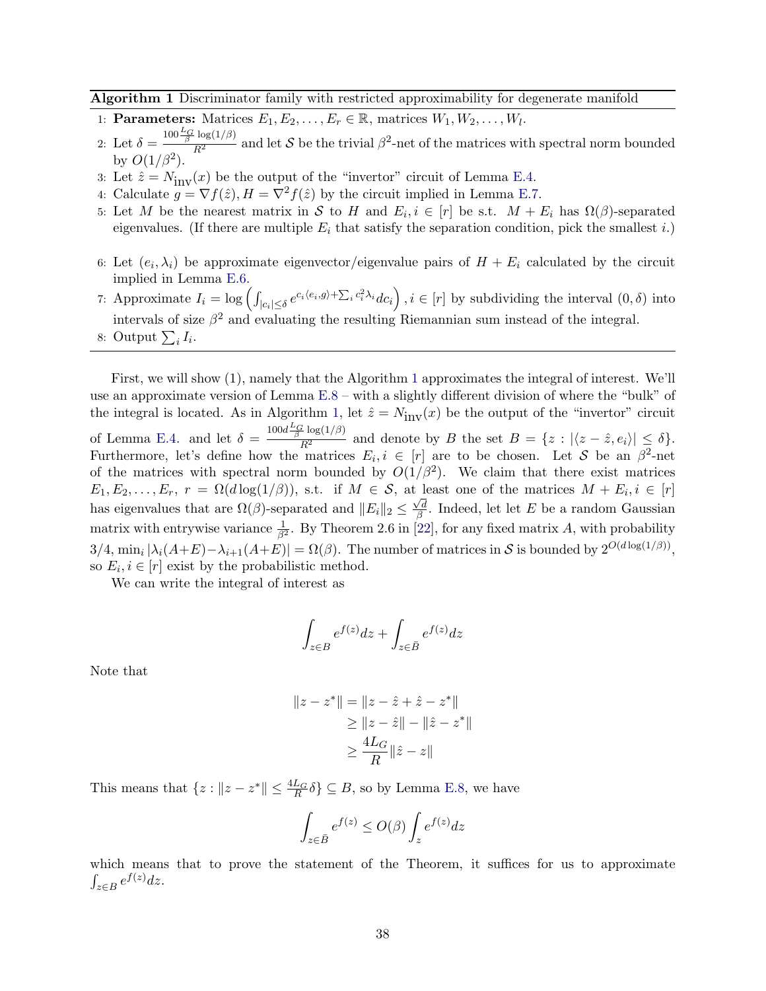Algorithm 1 Discriminator family with restricted approximability for degenerate manifold

- 1: **Parameters:** Matrices  $E_1, E_2, \ldots, E_r \in \mathbb{R}$ , matrices  $W_1, W_2, \ldots, W_l$ .
- 2: Let  $\delta =$  $\frac{100 \frac{L_G}{\beta} \log(1/\beta)}{R^2}$  and let S be the trivial  $\beta^2$ -net of the matrices with spectral norm bounded by  $O(1/\beta^2)$ .
- 3: Let  $\hat{z} = N_{\text{inv}}(x)$  be the output of the "invertor" circuit of Lemma [E.4.](#page-32-1)
- 4: Calculate  $g = \nabla f(\hat{z}), H = \nabla^2 f(\hat{z})$  by the circuit implied in Lemma [E.7.](#page-34-2)
- 5: Let M be the nearest matrix in S to H and  $E_i, i \in [r]$  be s.t.  $M + E_i$  has  $\Omega(\beta)$ -separated eigenvalues. (If there are multiple  $E_i$  that satisfy the separation condition, pick the smallest i.)
- 6: Let  $(e_i, \lambda_i)$  be approximate eigenvector/eigenvalue pairs of  $H + E_i$  calculated by the circuit implied in Lemma [E.6.](#page-34-3)
- 7: Approximate  $I_i = \log \left( \int_{|c_i| \leq \delta} e^{c_i \langle e_i, g \rangle + \sum_i c_i^2 \lambda_i} dc_i \right)$ ,  $i \in [r]$  by subdividing the interval  $(0, \delta)$  into intervals of size  $\beta^2$  and evaluating the resulting Riemannian sum instead of the integral. 8: Output  $\sum_i I_i$ .

First, we will show (1), namely that the Algorithm [1](#page-37-0) approximates the integral of interest. We'll use an approximate version of Lemma [E.8](#page-34-4) – with a slightly different division of where the "bulk" of the integral is located. As in Algorithm [1,](#page-37-0) let  $\hat{z} = N_{\text{inv}}(x)$  be the output of the "invertor" circuit of Lemma [E.4.](#page-32-1) and let  $\delta = \frac{100d\frac{L_G}{\beta}\log(1/\beta)}{R^2}$  and denote by B the set  $B = \{z : |\langle z - \hat{z}, e_i \rangle| \leq \delta\}.$ Furthermore, let's define how the matrices  $E_i, i \in [r]$  are to be chosen. Let S be an  $\beta^2$ -net of the matrices with spectral norm bounded by  $O(1/\beta^2)$ . We claim that there exist matrices  $E_1, E_2, \ldots, E_r$ ,  $r = \Omega(d \log(1/\beta))$ , s.t. if  $M \in \mathcal{S}$ , at least one of the matrices  $M + E_i, i \in [r]$ has eigenvalues that are  $\Omega(\beta)$ -separated and  $||E_i||_2 \leq \frac{\sqrt{d}}{\beta}$  $\frac{\sqrt{d}}{\beta}$ . Indeed, let let E be a random Gaussian matrix with entrywise variance  $\frac{1}{\beta^2}$ . By Theorem 2.6 in [\[22\]](#page-13-16), for any fixed matrix A, with probability  $3/4$ ,  $\min_i |\lambda_i(A+E) - \lambda_{i+1}(A+E)| = \Omega(\beta)$ . The number of matrices in S is bounded by  $2^{O(d \log(1/\beta))}$ , so  $E_i, i \in [r]$  exist by the probabilistic method.

We can write the integral of interest as

<span id="page-37-0"></span>
$$
\int_{z \in B} e^{f(z)} dz + \int_{z \in \bar{B}} e^{f(z)} dz
$$

Note that

$$
||z - z^*|| = ||z - \hat{z} + \hat{z} - z^*||
$$
  
\n
$$
\ge ||z - \hat{z}|| - ||\hat{z} - z^*||
$$
  
\n
$$
\ge \frac{4L_G}{R} ||\hat{z} - z||
$$

This means that  $\{z : ||z - z^*|| \leq \frac{4L_G}{R} \delta\} \subseteq B$ , so by Lemma [E.8,](#page-34-4) we have

$$
\int_{z\in \bar B} e^{f(z)} \leq O(\beta) \int_z e^{f(z)} dz
$$

which means that to prove the statement of the Theorem, it suffices for us to approximate  $\int_{z\in B} e^{f(z)}dz.$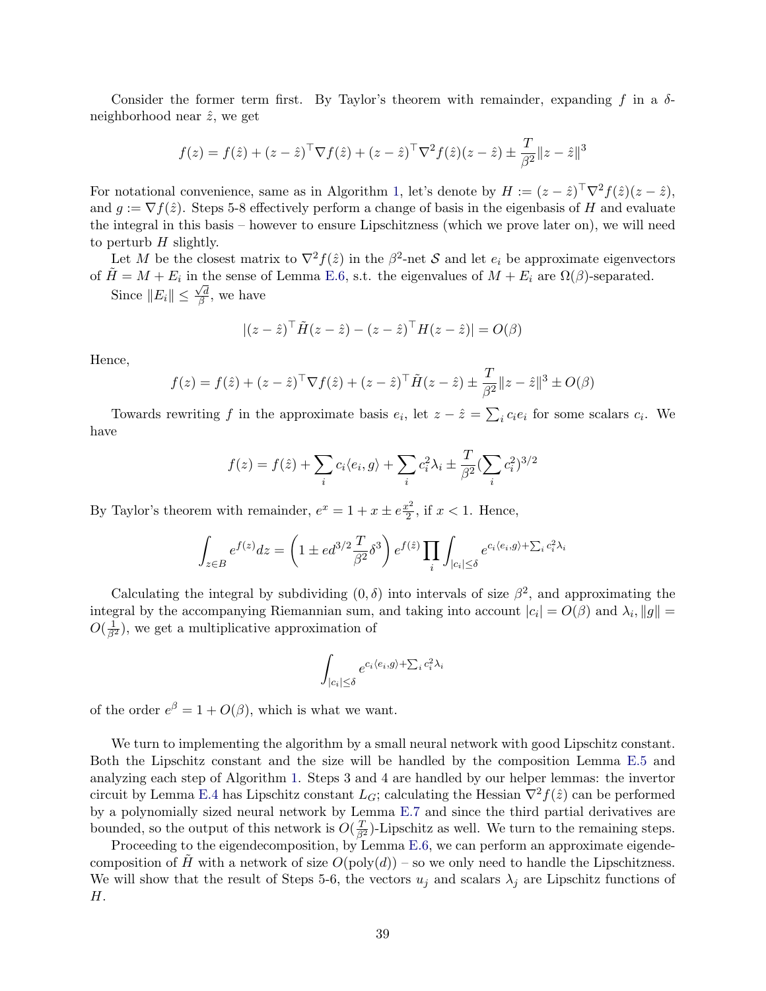Consider the former term first. By Taylor's theorem with remainder, expanding f in a  $\delta$ neighborhood near  $\hat{z}$ , we get

$$
f(z) = f(\hat{z}) + (z - \hat{z})^{\top} \nabla f(\hat{z}) + (z - \hat{z})^{\top} \nabla^{2} f(\hat{z}) (z - \hat{z}) \pm \frac{T}{\beta^{2}} ||z - \hat{z}||^{3}
$$

For notational convenience, same as in Algorithm [1,](#page-37-0) let's denote by  $H := (z - \hat{z})^{\top} \nabla^2 f(\hat{z}) (z - \hat{z})$ , and  $g := \nabla f(\hat{z})$ . Steps 5-8 effectively perform a change of basis in the eigenbasis of H and evaluate the integral in this basis – however to ensure Lipschitzness (which we prove later on), we will need to perturb  $H$  slightly.

Let M be the closest matrix to  $\nabla^2 f(\hat{z})$  in the  $\beta^2$ -net S and let  $e_i$  be approximate eigenvectors of  $\tilde{H} = M + E_i$  in the sense of Lemma [E.6,](#page-34-3) s.t. the eigenvalues of  $M + E_i$  are  $\Omega(\beta)$ -separated.

Since  $||E_i|| \leq \frac{\sqrt{d}}{\beta}$  $\frac{\sqrt{d}}{\beta}$ , we have

$$
|(z-\hat{z})^\top \tilde{H}(z-\hat{z}) - (z-\hat{z})^\top H(z-\hat{z})| = O(\beta)
$$

Hence,

$$
f(z) = f(\hat{z}) + (z - \hat{z})^{\top} \nabla f(\hat{z}) + (z - \hat{z})^{\top} \tilde{H}(z - \hat{z}) \pm \frac{T}{\beta^2} ||z - \hat{z}||^3 \pm O(\beta)
$$

Towards rewriting f in the approximate basis  $e_i$ , let  $z - \hat{z} = \sum_i c_i e_i$  for some scalars  $c_i$ . We have

$$
f(z) = f(\hat{z}) + \sum_{i} c_i \langle e_i, g \rangle + \sum_{i} c_i^2 \lambda_i \pm \frac{T}{\beta^2} (\sum_{i} c_i^2)^{3/2}
$$

By Taylor's theorem with remainder,  $e^x = 1 + x \pm e^{\frac{x^2}{2}}$  $\frac{x^2}{2}$ , if  $x < 1$ . Hence,

$$
\int_{z\in B} e^{f(z)}dz = \left(1 \pm ed^{3/2}\frac{T}{\beta^2}\delta^3\right)e^{f(\hat{z})}\prod_i\int_{|c_i|\leq \delta} e^{c_i\langle e_i,g\rangle + \sum_i c_i^2\lambda_i}.
$$

Calculating the integral by subdividing  $(0, \delta)$  into intervals of size  $\beta^2$ , and approximating the integral by the accompanying Riemannian sum, and taking into account  $|c_i| = O(\beta)$  and  $\lambda_i, \|g\| =$  $O(\frac{1}{\beta^2})$ , we get a multiplicative approximation of

$$
\int_{|c_i| \le \delta} e^{c_i \langle e_i, g \rangle + \sum_i c_i^2 \lambda_i}
$$

of the order  $e^{\beta} = 1 + O(\beta)$ , which is what we want.

We turn to implementing the algorithm by a small neural network with good Lipschitz constant. Both the Lipschitz constant and the size will be handled by the composition Lemma [E.5](#page-33-0) and analyzing each step of Algorithm [1.](#page-37-0) Steps 3 and 4 are handled by our helper lemmas: the invertor circuit by Lemma [E.4](#page-32-1) has Lipschitz constant  $L_G$ ; calculating the Hessian  $\nabla^2 f(\hat{z})$  can be performed by a polynomially sized neural network by Lemma [E.7](#page-34-2) and since the third partial derivatives are bounded, so the output of this network is  $O(\frac{T}{\beta^2})$ -Lipschitz as well. We turn to the remaining steps.

Proceeding to the eigendecomposition, by Lemma [E.6,](#page-34-3) we can perform an approximate eigendecomposition of H with a network of size  $O(poly(d))$  – so we only need to handle the Lipschitzness. We will show that the result of Steps 5-6, the vectors  $u_j$  and scalars  $\lambda_j$  are Lipschitz functions of H.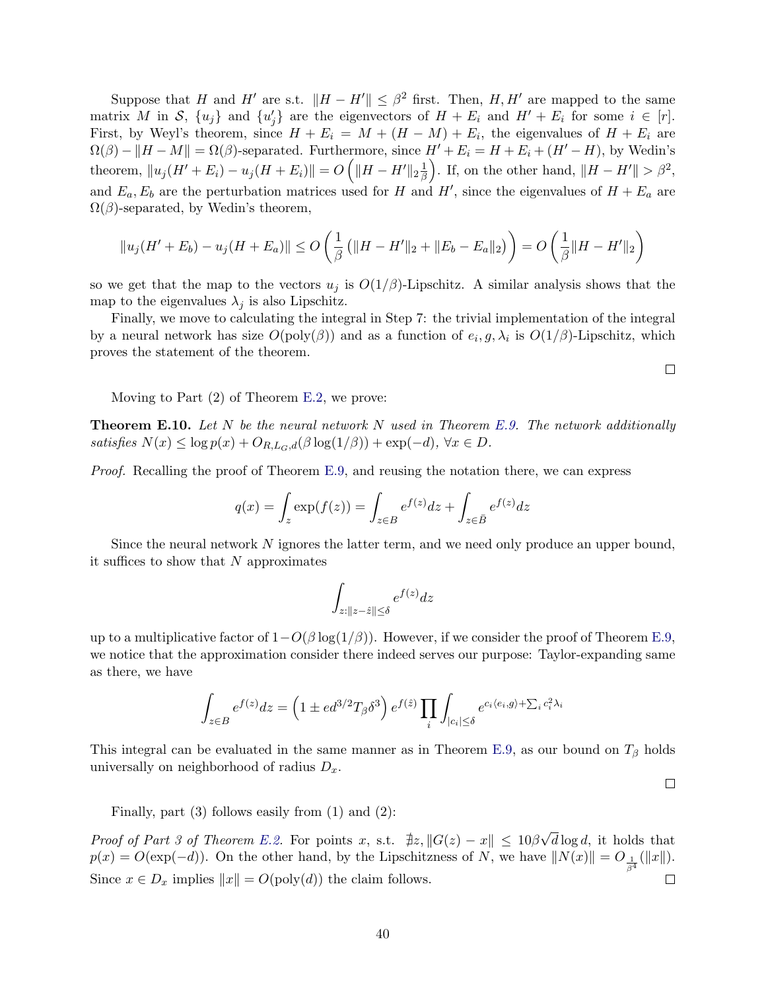Suppose that H and H' are s.t.  $||H - H'|| \leq \beta^2$  first. Then, H, H' are mapped to the same matrix M in S,  $\{u_j\}$  and  $\{u'_j\}$  are the eigenvectors of  $H + E_i$  and  $H' + E_i$  for some  $i \in [r]$ . First, by Weyl's theorem, since  $H + E_i = M + (H - M) + E_i$ , the eigenvalues of  $H + E_i$  are  $\Omega(\beta) - ||H - M|| = \Omega(\beta)$ -separated. Furthermore, since  $H' + E_i = H + E_i + (H' - H)$ , by Wedin's theorem,  $||u_j(H' + E_i) - u_j(H + E_i)|| = O(|H - H'||_2)\frac{1}{\beta}$  $\left(\frac{1}{\beta}\right)$ . If, on the other hand,  $\|H - H'\| > \beta^2$ , and  $E_a, E_b$  are the perturbation matrices used for H and H', since the eigenvalues of  $H + E_a$  are  $\Omega(\beta)$ -separated, by Wedin's theorem,

$$
||u_j(H' + E_b) - u_j(H + E_a)|| \le O\left(\frac{1}{\beta} \left(||H - H'||_2 + ||E_b - E_a||_2\right)\right) = O\left(\frac{1}{\beta} ||H - H'||_2\right)
$$

so we get that the map to the vectors  $u_j$  is  $O(1/\beta)$ -Lipschitz. A similar analysis shows that the map to the eigenvalues  $\lambda_j$  is also Lipschitz.

Finally, we move to calculating the integral in Step 7: the trivial implementation of the integral by a neural network has size  $O(poly(\beta))$  and as a function of  $e_i, g, \lambda_i$  is  $O(1/\beta)$ -Lipschitz, which proves the statement of the theorem.

Moving to Part (2) of Theorem [E.2,](#page-30-3) we prove:

**Theorem E.10.** Let N be the neural network N used in Theorem [E.9.](#page-36-0) The network additionally satisfies  $N(x) \leq \log p(x) + O_{R,L_G,d}(\beta \log(1/\beta)) + \exp(-d)$ ,  $\forall x \in D$ .

Proof. Recalling the proof of Theorem [E.9,](#page-36-0) and reusing the notation there, we can express

$$
q(x) = \int_z \exp(f(z)) = \int_{z \in B} e^{f(z)} dz + \int_{z \in \bar{B}} e^{f(z)} dz
$$

Since the neural network N ignores the latter term, and we need only produce an upper bound, it suffices to show that  $N$  approximates

$$
\int_{z:\|z-\hat{z}\|\leq \delta} e^{f(z)} dz
$$

up to a multiplicative factor of  $1-O(\beta \log(1/\beta))$ . However, if we consider the proof of Theorem [E.9,](#page-36-0) we notice that the approximation consider there indeed serves our purpose: Taylor-expanding same as there, we have

$$
\int_{z \in B} e^{f(z)} dz = \left(1 \pm ed^{3/2}T_{\beta}\delta^3\right) e^{f(\hat{z})} \prod_i \int_{|c_i| \le \delta} e^{c_i \langle e_i, g \rangle + \sum_i c_i^2 \lambda_i}
$$

This integral can be evaluated in the same manner as in Theorem [E.9,](#page-36-0) as our bound on  $T_\beta$  holds universally on neighborhood of radius  $D_x$ .

 $\Box$ 

 $\Box$ 

Finally, part  $(3)$  follows easily from  $(1)$  and  $(2)$ :

Proof of Part 3 of Theorem [E.2.](#page-30-3) For points x, s.t.  $\exists z, ||G(z) - x|| \leq 10\beta\sqrt{2}$  $d \log d$ , it holds that  $p(x) = O(\exp(-d))$ . On the other hand, by the Lipschitzness of N, we have  $||N(x)|| = O_{\frac{1}{\beta^4}}(||x||)$ . Since  $x \in D_x$  implies  $||x|| = O(poly(d))$  the claim follows.  $\Box$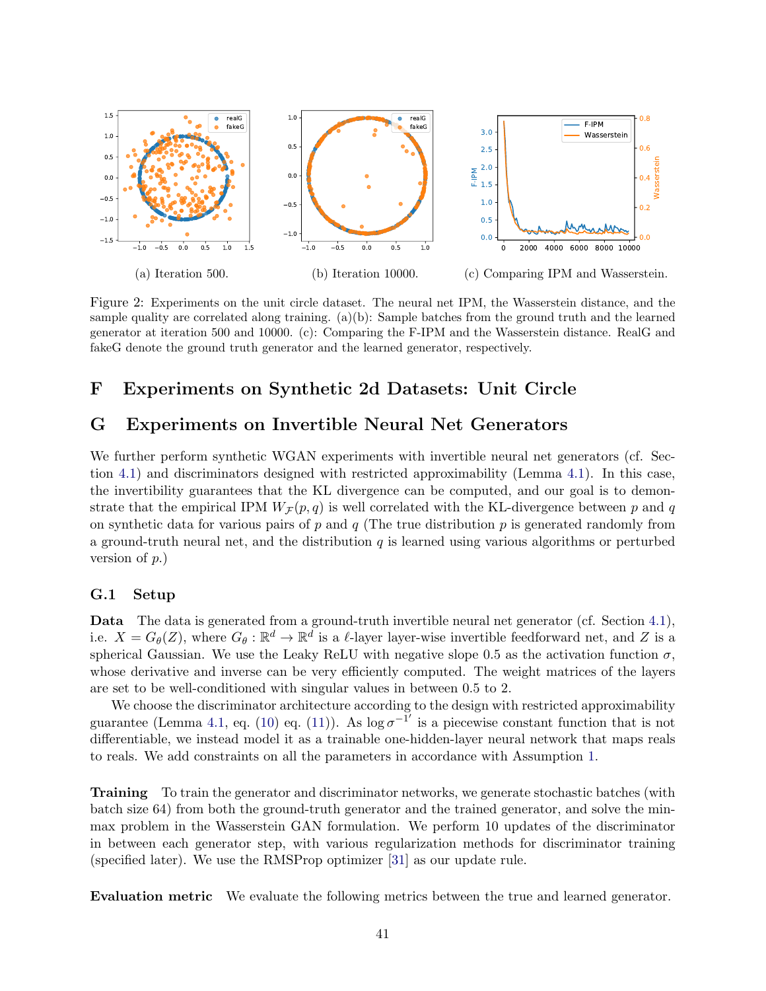<span id="page-40-1"></span>

Figure 2: Experiments on the unit circle dataset. The neural net IPM, the Wasserstein distance, and the sample quality are correlated along training. (a)(b): Sample batches from the ground truth and the learned generator at iteration 500 and 10000. (c): Comparing the F-IPM and the Wasserstein distance. RealG and fakeG denote the ground truth generator and the learned generator, respectively.

# <span id="page-40-2"></span>F Experiments on Synthetic 2d Datasets: Unit Circle

# <span id="page-40-0"></span>G Experiments on Invertible Neural Net Generators

We further perform synthetic WGAN experiments with invertible neural net generators (cf. Section [4.1\)](#page-6-1) and discriminators designed with restricted approximability (Lemma [4.1\)](#page-7-1). In this case, the invertibility guarantees that the KL divergence can be computed, and our goal is to demonstrate that the empirical IPM  $W_{\mathcal{F}}(p,q)$  is well correlated with the KL-divergence between p and q on synthetic data for various pairs of p and  $q$  (The true distribution p is generated randomly from a ground-truth neural net, and the distribution  $q$  is learned using various algorithms or perturbed version of p.)

## G.1 Setup

Data The data is generated from a ground-truth invertible neural net generator (cf. Section [4.1\)](#page-6-1), i.e.  $X = G_{\theta}(Z)$ , where  $G_{\theta}: \mathbb{R}^d \to \mathbb{R}^d$  is a  $\ell$ -layer layer-wise invertible feedforward net, and Z is a spherical Gaussian. We use the Leaky ReLU with negative slope 0.5 as the activation function  $\sigma$ , whose derivative and inverse can be very efficiently computed. The weight matrices of the layers are set to be well-conditioned with singular values in between 0.5 to 2.

We choose the discriminator architecture according to the design with restricted approximability guarantee (Lemma [4.1,](#page-7-1) eq. [\(10\)](#page-7-2) eq. [\(11\)](#page-7-3)). As  $\log \sigma^{-1}$  is a piecewise constant function that is not differentiable, we instead model it as a trainable one-hidden-layer neural network that maps reals to reals. We add constraints on all the parameters in accordance with Assumption [1.](#page-6-6)

Training To train the generator and discriminator networks, we generate stochastic batches (with batch size 64) from both the ground-truth generator and the trained generator, and solve the minmax problem in the Wasserstein GAN formulation. We perform 10 updates of the discriminator in between each generator step, with various regularization methods for discriminator training (specified later). We use the RMSProp optimizer [\[31\]](#page-13-10) as our update rule.

Evaluation metric We evaluate the following metrics between the true and learned generator.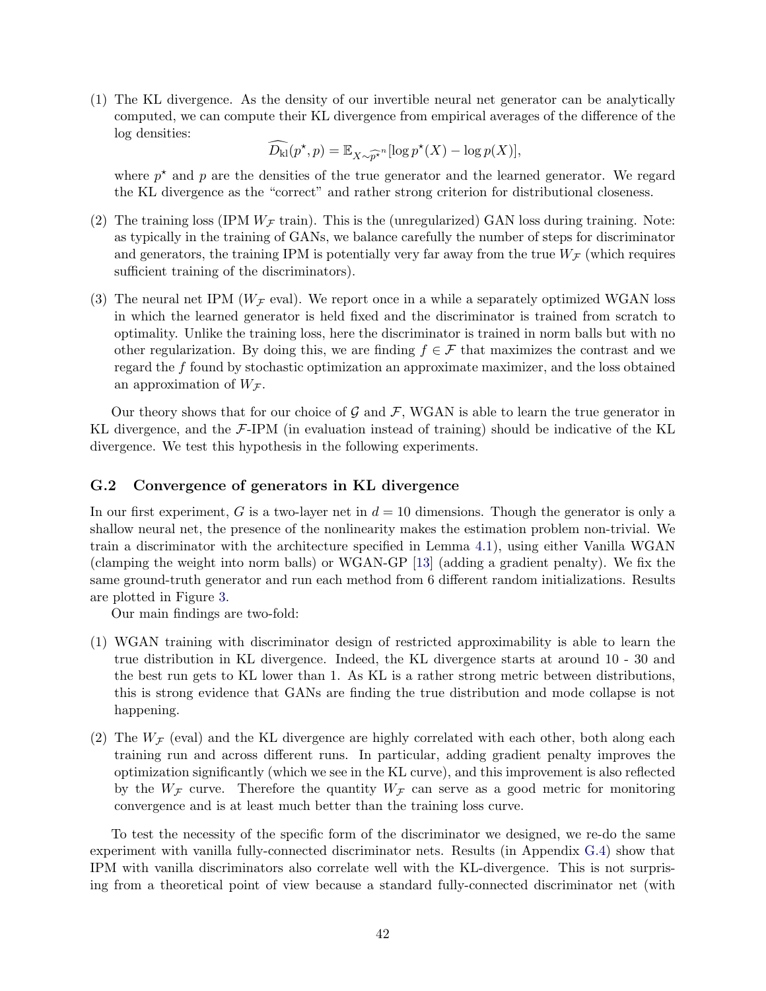(1) The KL divergence. As the density of our invertible neural net generator can be analytically computed, we can compute their KL divergence from empirical averages of the difference of the log densities:

$$
\widehat{D_{\mathrm{kl}}}(p^\star, p) = \mathbb{E}_{X \sim \widehat{p^\star}^n}[\log p^\star(X) - \log p(X)],
$$

where  $p^*$  and p are the densities of the true generator and the learned generator. We regard the KL divergence as the "correct" and rather strong criterion for distributional closeness.

- (2) The training loss (IPM  $W_{\mathcal{F}}$  train). This is the (unregularized) GAN loss during training. Note: as typically in the training of GANs, we balance carefully the number of steps for discriminator and generators, the training IPM is potentially very far away from the true  $W_{\mathcal{F}}$  (which requires sufficient training of the discriminators).
- (3) The neural net IPM ( $W_F$  eval). We report once in a while a separately optimized WGAN loss in which the learned generator is held fixed and the discriminator is trained from scratch to optimality. Unlike the training loss, here the discriminator is trained in norm balls but with no other regularization. By doing this, we are finding  $f \in \mathcal{F}$  that maximizes the contrast and we regard the f found by stochastic optimization an approximate maximizer, and the loss obtained an approximation of  $W_{\mathcal{F}}$ .

Our theory shows that for our choice of  $\mathcal G$  and  $\mathcal F$ , WGAN is able to learn the true generator in KL divergence, and the  $\mathcal{F}\text{-IPM}$  (in evaluation instead of training) should be indicative of the KL divergence. We test this hypothesis in the following experiments.

### <span id="page-41-0"></span>G.2 Convergence of generators in KL divergence

In our first experiment, G is a two-layer net in  $d = 10$  dimensions. Though the generator is only a shallow neural net, the presence of the nonlinearity makes the estimation problem non-trivial. We train a discriminator with the architecture specified in Lemma [4.1\)](#page-7-1), using either Vanilla WGAN (clamping the weight into norm balls) or WGAN-GP [\[13\]](#page-12-13) (adding a gradient penalty). We fix the same ground-truth generator and run each method from 6 different random initializations. Results are plotted in Figure [3.](#page-42-0)

Our main findings are two-fold:

- (1) WGAN training with discriminator design of restricted approximability is able to learn the true distribution in KL divergence. Indeed, the KL divergence starts at around 10 - 30 and the best run gets to KL lower than 1. As KL is a rather strong metric between distributions, this is strong evidence that GANs are finding the true distribution and mode collapse is not happening.
- (2) The  $W_F$  (eval) and the KL divergence are highly correlated with each other, both along each training run and across different runs. In particular, adding gradient penalty improves the optimization significantly (which we see in the KL curve), and this improvement is also reflected by the  $W_{\mathcal{F}}$  curve. Therefore the quantity  $W_{\mathcal{F}}$  can serve as a good metric for monitoring convergence and is at least much better than the training loss curve.

To test the necessity of the specific form of the discriminator we designed, we re-do the same experiment with vanilla fully-connected discriminator nets. Results (in Appendix [G.4\)](#page-43-0) show that IPM with vanilla discriminators also correlate well with the KL-divergence. This is not surprising from a theoretical point of view because a standard fully-connected discriminator net (with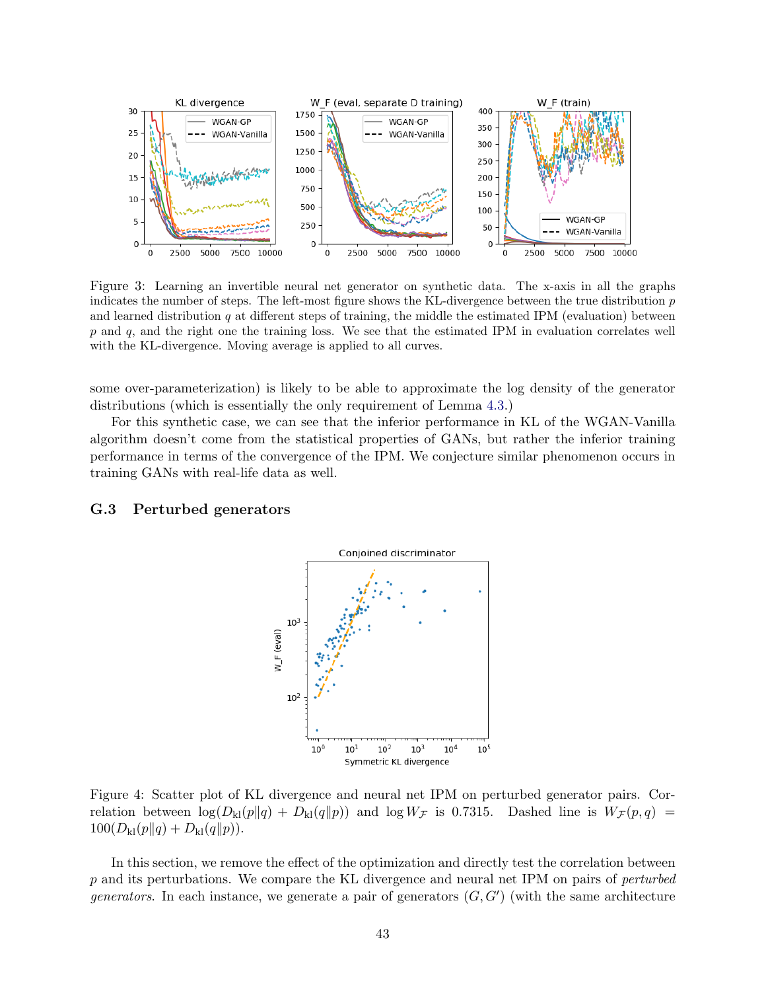<span id="page-42-0"></span>

Figure 3: Learning an invertible neural net generator on synthetic data. The x-axis in all the graphs indicates the number of steps. The left-most figure shows the KL-divergence between the true distribution p and learned distribution  $q$  at different steps of training, the middle the estimated IPM (evaluation) between  $p$  and  $q$ , and the right one the training loss. We see that the estimated IPM in evaluation correlates well with the KL-divergence. Moving average is applied to all curves.

some over-parameterization) is likely to be able to approximate the log density of the generator distributions (which is essentially the only requirement of Lemma [4.3.](#page-8-0))

For this synthetic case, we can see that the inferior performance in KL of the WGAN-Vanilla algorithm doesn't come from the statistical properties of GANs, but rather the inferior training performance in terms of the convergence of the IPM. We conjecture similar phenomenon occurs in training GANs with real-life data as well.

## <span id="page-42-1"></span>G.3 Perturbed generators



Figure 4: Scatter plot of KL divergence and neural net IPM on perturbed generator pairs. Correlation between  $\log(D_{\rm kl}(p||q) + D_{\rm kl}(q||p))$  and  $\log W_{\mathcal{F}}$  is 0.7315. Dashed line is  $W_{\mathcal{F}}(p,q)$  =  $100(D_{\rm kl}(p||q) + D_{\rm kl}(q||p)).$ 

In this section, we remove the effect of the optimization and directly test the correlation between p and its perturbations. We compare the KL divergence and neural net IPM on pairs of perturbed generators. In each instance, we generate a pair of generators  $(G, G')$  (with the same architecture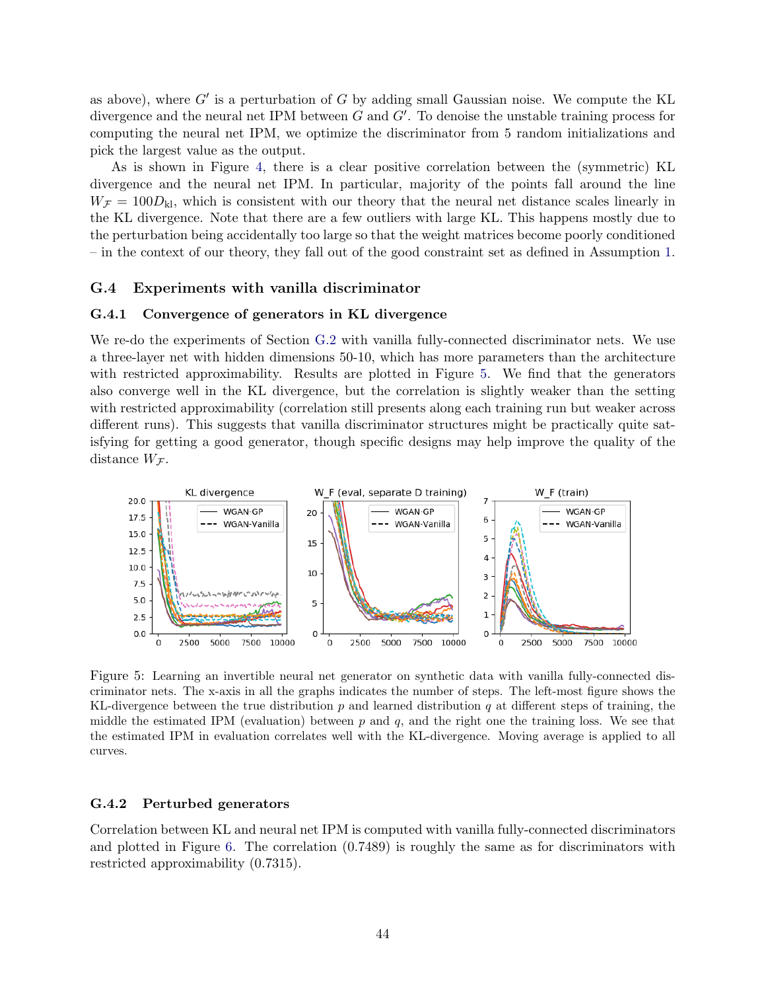as above), where  $G'$  is a perturbation of G by adding small Gaussian noise. We compute the KL divergence and the neural net IPM between  $G$  and  $G'$ . To denoise the unstable training process for computing the neural net IPM, we optimize the discriminator from 5 random initializations and pick the largest value as the output.

As is shown in Figure [4,](#page-42-1) there is a clear positive correlation between the (symmetric) KL divergence and the neural net IPM. In particular, majority of the points fall around the line  $W_{\mathcal{F}} = 100D_{\rm kl}$ , which is consistent with our theory that the neural net distance scales linearly in the KL divergence. Note that there are a few outliers with large KL. This happens mostly due to the perturbation being accidentally too large so that the weight matrices become poorly conditioned – in the context of our theory, they fall out of the good constraint set as defined in Assumption [1.](#page-6-6)

#### <span id="page-43-0"></span>G.4 Experiments with vanilla discriminator

#### G.4.1 Convergence of generators in KL divergence

We re-do the experiments of Section [G.2](#page-41-0) with vanilla fully-connected discriminator nets. We use a three-layer net with hidden dimensions 50-10, which has more parameters than the architecture with restricted approximability. Results are plotted in Figure [5.](#page-43-1) We find that the generators also converge well in the KL divergence, but the correlation is slightly weaker than the setting with restricted approximability (correlation still presents along each training run but weaker across different runs). This suggests that vanilla discriminator structures might be practically quite satisfying for getting a good generator, though specific designs may help improve the quality of the distance  $W_{\mathcal{F}}$ .

<span id="page-43-1"></span>

Figure 5: Learning an invertible neural net generator on synthetic data with vanilla fully-connected discriminator nets. The x-axis in all the graphs indicates the number of steps. The left-most figure shows the KL-divergence between the true distribution  $p$  and learned distribution  $q$  at different steps of training, the middle the estimated IPM (evaluation) between  $p$  and  $q$ , and the right one the training loss. We see that the estimated IPM in evaluation correlates well with the KL-divergence. Moving average is applied to all curves.

## G.4.2 Perturbed generators

Correlation between KL and neural net IPM is computed with vanilla fully-connected discriminators and plotted in Figure [6.](#page-44-0) The correlation (0.7489) is roughly the same as for discriminators with restricted approximability (0.7315).